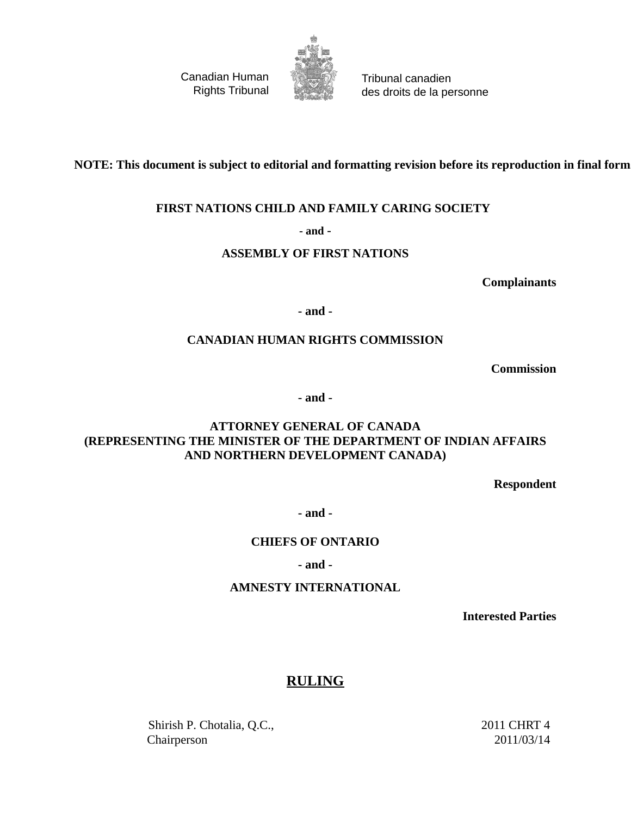Canadian Human Rights Tribunal



Tribunal canadien des droits de la personne

**NOTE: This document is subject to editorial and formatting revision before its reproduction in final form.**

### **FIRST NATIONS CHILD AND FAMILY CARING SOCIETY**

**- and -**

### **ASSEMBLY OF FIRST NATIONS**

**Complainants**

**- and -**

### **CANADIAN HUMAN RIGHTS COMMISSION**

**Commission**

**- and -**

### **ATTORNEY GENERAL OF CANADA (REPRESENTING THE MINISTER OF THE DEPARTMENT OF INDIAN AFFAIRS AND NORTHERN DEVELOPMENT CANADA)**

**Respondent**

**- and -**

### **CHIEFS OF ONTARIO**

### **- and -**

### **AMNESTY INTERNATIONAL**

**Interested Parties**

### **RULING**

Shirish P. Chotalia, Q.C., Chairperson

2011 CHRT 4 2011/03/14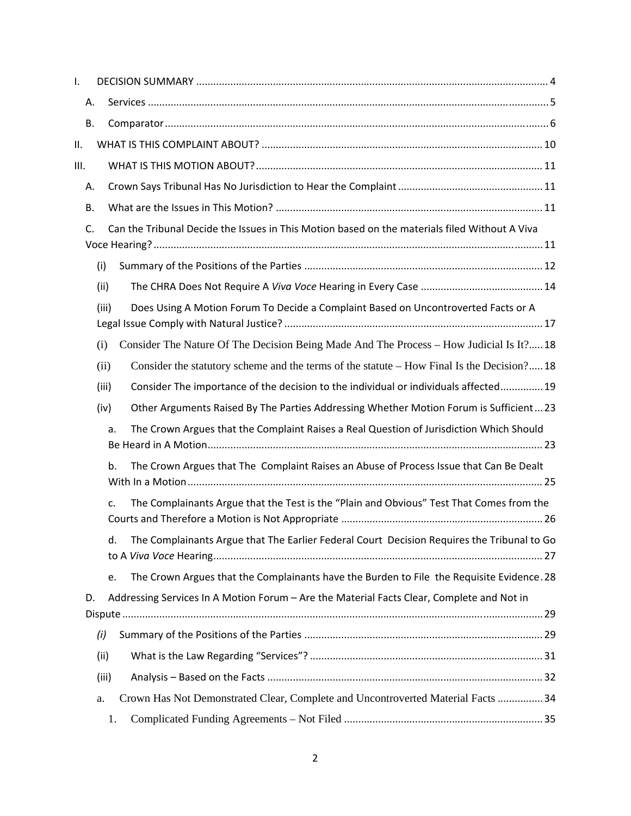| Ι.        |       |                                                                                               |
|-----------|-------|-----------------------------------------------------------------------------------------------|
| Α.        |       |                                                                                               |
| <b>B.</b> |       |                                                                                               |
| ΙΙ.       |       |                                                                                               |
| III.      |       |                                                                                               |
| Α.        |       |                                                                                               |
| <b>B.</b> |       |                                                                                               |
| C.        |       | Can the Tribunal Decide the Issues in This Motion based on the materials filed Without A Viva |
|           |       |                                                                                               |
|           | (i)   |                                                                                               |
|           | (ii)  |                                                                                               |
|           | (iii) | Does Using A Motion Forum To Decide a Complaint Based on Uncontroverted Facts or A            |
|           | (i)   | Consider The Nature Of The Decision Being Made And The Process - How Judicial Is It? 18       |
|           | (ii)  | Consider the statutory scheme and the terms of the statute - How Final Is the Decision? 18    |
|           | (iii) | Consider The importance of the decision to the individual or individuals affected 19          |
|           | (iv)  | Other Arguments Raised By The Parties Addressing Whether Motion Forum is Sufficient23         |
|           | a.    | The Crown Argues that the Complaint Raises a Real Question of Jurisdiction Which Should       |
|           | b.    | The Crown Argues that The Complaint Raises an Abuse of Process Issue that Can Be Dealt        |
|           | c.    | The Complainants Argue that the Test is the "Plain and Obvious" Test That Comes from the      |
|           | d.    | The Complainants Argue that The Earlier Federal Court Decision Requires the Tribunal to Go    |
|           | e.    | The Crown Argues that the Complainants have the Burden to File the Requisite Evidence. 28     |
| D.        |       | Addressing Services In A Motion Forum - Are the Material Facts Clear, Complete and Not in     |
|           | (i)   |                                                                                               |
|           | (ii)  |                                                                                               |
|           | (iii) |                                                                                               |
|           | a.    | Crown Has Not Demonstrated Clear, Complete and Uncontroverted Material Facts  34              |
|           | 1.    |                                                                                               |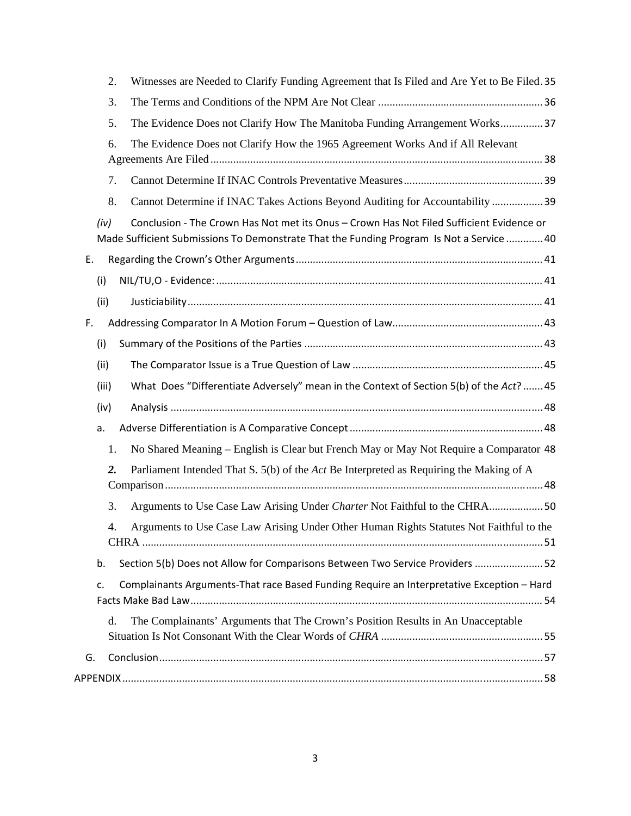| Witnesses are Needed to Clarify Funding Agreement that Is Filed and Are Yet to Be Filed. 35<br>2.                                                                                            |
|----------------------------------------------------------------------------------------------------------------------------------------------------------------------------------------------|
| 3.                                                                                                                                                                                           |
| The Evidence Does not Clarify How The Manitoba Funding Arrangement Works 37<br>5.                                                                                                            |
| The Evidence Does not Clarify How the 1965 Agreement Works And if All Relevant<br>6.                                                                                                         |
| 7.                                                                                                                                                                                           |
| 8.<br>Cannot Determine if INAC Takes Actions Beyond Auditing for Accountability  39                                                                                                          |
| Conclusion - The Crown Has Not met its Onus - Crown Has Not Filed Sufficient Evidence or<br>(iv)<br>Made Sufficient Submissions To Demonstrate That the Funding Program Is Not a Service  40 |
| Ε.                                                                                                                                                                                           |
| (i)                                                                                                                                                                                          |
| (ii)                                                                                                                                                                                         |
| F.                                                                                                                                                                                           |
| (i)                                                                                                                                                                                          |
| (ii)                                                                                                                                                                                         |
| What Does "Differentiate Adversely" mean in the Context of Section 5(b) of the Act?  45<br>(iii)                                                                                             |
| (iv)                                                                                                                                                                                         |
| a.                                                                                                                                                                                           |
| No Shared Meaning – English is Clear but French May or May Not Require a Comparator 48<br>1.                                                                                                 |
| Parliament Intended That S. 5(b) of the Act Be Interpreted as Requiring the Making of A<br>2.                                                                                                |
| 3.<br>Arguments to Use Case Law Arising Under Charter Not Faithful to the CHRA50                                                                                                             |
| Arguments to Use Case Law Arising Under Other Human Rights Statutes Not Faithful to the<br>4.                                                                                                |
| Section 5(b) Does not Allow for Comparisons Between Two Service Providers  52<br>b.                                                                                                          |
| Complainants Arguments-That race Based Funding Require an Interpretative Exception - Hard<br>c.                                                                                              |
| The Complainants' Arguments that The Crown's Position Results in An Unacceptable<br>d.                                                                                                       |
|                                                                                                                                                                                              |
| G.                                                                                                                                                                                           |
|                                                                                                                                                                                              |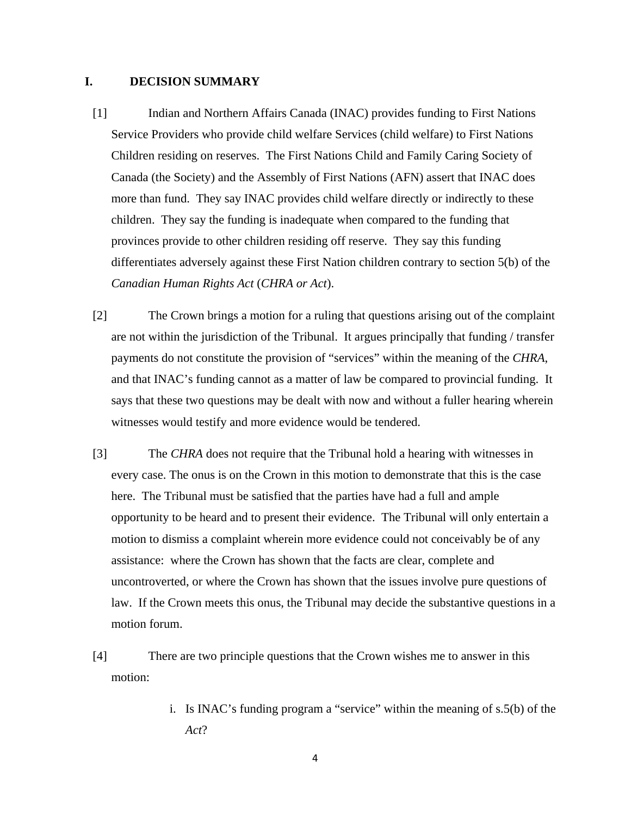### **I. DECISION SUMMARY**

- [1] Indian and Northern Affairs Canada (INAC) provides funding to First Nations Service Providers who provide child welfare Services (child welfare) to First Nations Children residing on reserves. The First Nations Child and Family Caring Society of Canada (the Society) and the Assembly of First Nations (AFN) assert that INAC does more than fund. They say INAC provides child welfare directly or indirectly to these children. They say the funding is inadequate when compared to the funding that provinces provide to other children residing off reserve. They say this funding differentiates adversely against these First Nation children contrary to section 5(b) of the *Canadian Human Rights Act* (*CHRA or Act*).
- [2] The Crown brings a motion for a ruling that questions arising out of the complaint are not within the jurisdiction of the Tribunal. It argues principally that funding / transfer payments do not constitute the provision of "services" within the meaning of the *CHRA*, and that INAC's funding cannot as a matter of law be compared to provincial funding. It says that these two questions may be dealt with now and without a fuller hearing wherein witnesses would testify and more evidence would be tendered.
- [3] The *CHRA* does not require that the Tribunal hold a hearing with witnesses in every case. The onus is on the Crown in this motion to demonstrate that this is the case here. The Tribunal must be satisfied that the parties have had a full and ample opportunity to be heard and to present their evidence. The Tribunal will only entertain a motion to dismiss a complaint wherein more evidence could not conceivably be of any assistance: where the Crown has shown that the facts are clear, complete and uncontroverted, or where the Crown has shown that the issues involve pure questions of law. If the Crown meets this onus, the Tribunal may decide the substantive questions in a motion forum.
- [4] There are two principle questions that the Crown wishes me to answer in this motion:
	- i. Is INAC's funding program a "service" within the meaning of s.5(b) of the *Act*?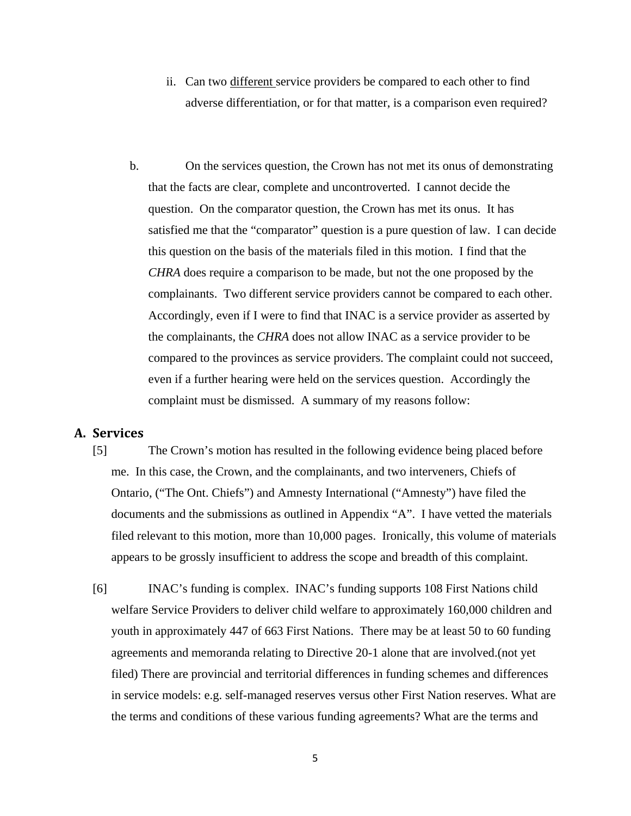- ii. Can two different service providers be compared to each other to find adverse differentiation, or for that matter, is a comparison even required?
- b. On the services question, the Crown has not met its onus of demonstrating that the facts are clear, complete and uncontroverted. I cannot decide the question. On the comparator question, the Crown has met its onus. It has satisfied me that the "comparator" question is a pure question of law. I can decide this question on the basis of the materials filed in this motion. I find that the *CHRA* does require a comparison to be made, but not the one proposed by the complainants. Two different service providers cannot be compared to each other. Accordingly, even if I were to find that INAC is a service provider as asserted by the complainants, the *CHRA* does not allow INAC as a service provider to be compared to the provinces as service providers. The complaint could not succeed, even if a further hearing were held on the services question. Accordingly the complaint must be dismissed. A summary of my reasons follow:

### **A. Services**

- [5] The Crown's motion has resulted in the following evidence being placed before me. In this case, the Crown, and the complainants, and two interveners, Chiefs of Ontario, ("The Ont. Chiefs") and Amnesty International ("Amnesty") have filed the documents and the submissions as outlined in Appendix "A". I have vetted the materials filed relevant to this motion, more than 10,000 pages. Ironically, this volume of materials appears to be grossly insufficient to address the scope and breadth of this complaint.
- [6] INAC's funding is complex. INAC's funding supports 108 First Nations child welfare Service Providers to deliver child welfare to approximately 160,000 children and youth in approximately 447 of 663 First Nations. There may be at least 50 to 60 funding agreements and memoranda relating to Directive 20-1 alone that are involved.(not yet filed) There are provincial and territorial differences in funding schemes and differences in service models: e.g. self-managed reserves versus other First Nation reserves. What are the terms and conditions of these various funding agreements? What are the terms and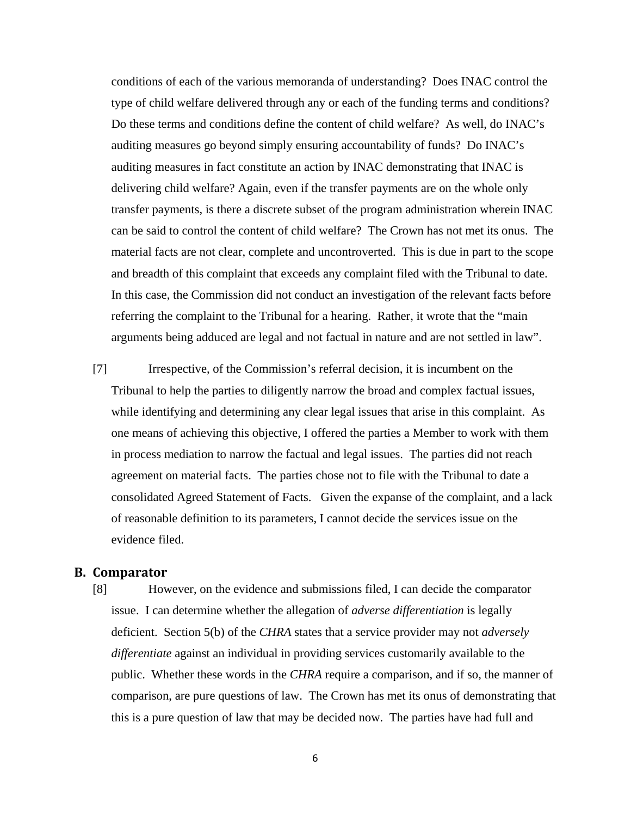conditions of each of the various memoranda of understanding? Does INAC control the type of child welfare delivered through any or each of the funding terms and conditions? Do these terms and conditions define the content of child welfare? As well, do INAC's auditing measures go beyond simply ensuring accountability of funds? Do INAC's auditing measures in fact constitute an action by INAC demonstrating that INAC is delivering child welfare? Again, even if the transfer payments are on the whole only transfer payments, is there a discrete subset of the program administration wherein INAC can be said to control the content of child welfare? The Crown has not met its onus. The material facts are not clear, complete and uncontroverted. This is due in part to the scope and breadth of this complaint that exceeds any complaint filed with the Tribunal to date. In this case, the Commission did not conduct an investigation of the relevant facts before referring the complaint to the Tribunal for a hearing. Rather, it wrote that the "main arguments being adduced are legal and not factual in nature and are not settled in law".

[7] Irrespective, of the Commission's referral decision, it is incumbent on the Tribunal to help the parties to diligently narrow the broad and complex factual issues, while identifying and determining any clear legal issues that arise in this complaint. As one means of achieving this objective, I offered the parties a Member to work with them in process mediation to narrow the factual and legal issues. The parties did not reach agreement on material facts. The parties chose not to file with the Tribunal to date a consolidated Agreed Statement of Facts. Given the expanse of the complaint, and a lack of reasonable definition to its parameters, I cannot decide the services issue on the evidence filed.

### **B. Comparator**

[8] However, on the evidence and submissions filed, I can decide the comparator issue. I can determine whether the allegation of *adverse differentiation* is legally deficient. Section 5(b) of the *CHRA* states that a service provider may not *adversely differentiate* against an individual in providing services customarily available to the public. Whether these words in the *CHRA* require a comparison, and if so, the manner of comparison, are pure questions of law. The Crown has met its onus of demonstrating that this is a pure question of law that may be decided now. The parties have had full and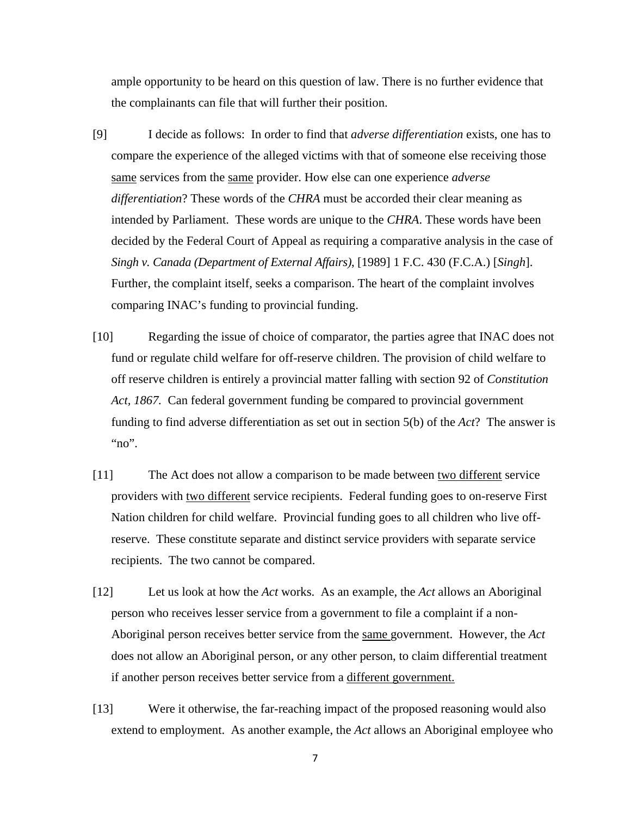ample opportunity to be heard on this question of law. There is no further evidence that the complainants can file that will further their position.

- [9] I decide as follows: In order to find that *adverse differentiation* exists, one has to compare the experience of the alleged victims with that of someone else receiving those same services from the same provider. How else can one experience *adverse differentiation*? These words of the *CHRA* must be accorded their clear meaning as intended by Parliament. These words are unique to the *CHRA*. These words have been decided by the Federal Court of Appeal as requiring a comparative analysis in the case of *Singh v. Canada (Department of External Affairs)*, [1989] 1 F.C. 430 (F.C.A.) [*Singh*]. Further, the complaint itself, seeks a comparison. The heart of the complaint involves comparing INAC's funding to provincial funding.
- [10] Regarding the issue of choice of comparator, the parties agree that INAC does not fund or regulate child welfare for off-reserve children. The provision of child welfare to off reserve children is entirely a provincial matter falling with section 92 of *Constitution Act, 1867.* Can federal government funding be compared to provincial government funding to find adverse differentiation as set out in section 5(b) of the *Act*? The answer is "no".
- [11] The Act does not allow a comparison to be made between two different service providers with two different service recipients. Federal funding goes to on-reserve First Nation children for child welfare. Provincial funding goes to all children who live offreserve. These constitute separate and distinct service providers with separate service recipients. The two cannot be compared.
- [12] Let us look at how the *Act* works. As an example, the *Act* allows an Aboriginal person who receives lesser service from a government to file a complaint if a non-Aboriginal person receives better service from the same government. However, the *Act* does not allow an Aboriginal person, or any other person, to claim differential treatment if another person receives better service from a different government.
- [13] Were it otherwise, the far-reaching impact of the proposed reasoning would also extend to employment. As another example, the *Act* allows an Aboriginal employee who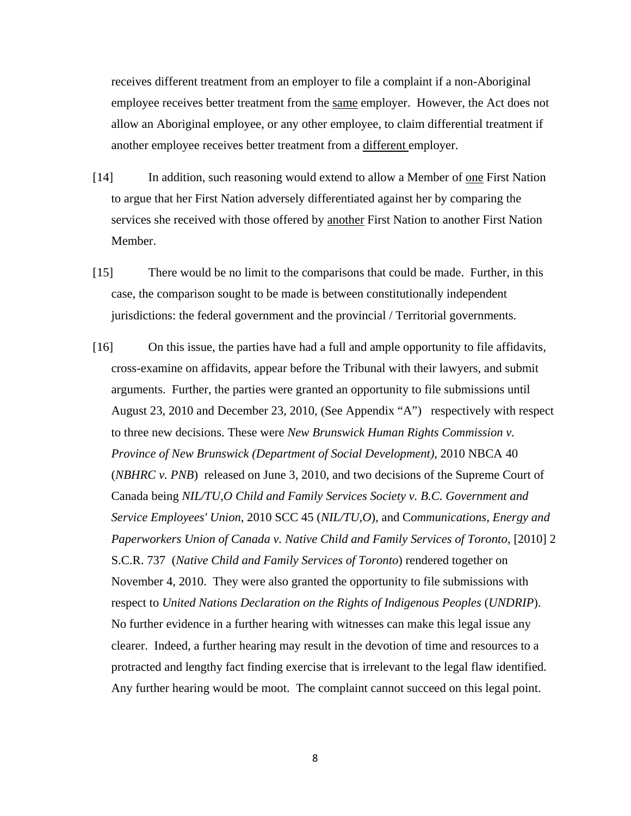receives different treatment from an employer to file a complaint if a non-Aboriginal employee receives better treatment from the same employer. However, the Act does not allow an Aboriginal employee, or any other employee, to claim differential treatment if another employee receives better treatment from a different employer.

- [14] In addition, such reasoning would extend to allow a Member of one First Nation to argue that her First Nation adversely differentiated against her by comparing the services she received with those offered by another First Nation to another First Nation Member.
- [15] There would be no limit to the comparisons that could be made. Further, in this case, the comparison sought to be made is between constitutionally independent jurisdictions: the federal government and the provincial / Territorial governments.
- [16] On this issue, the parties have had a full and ample opportunity to file affidavits, cross-examine on affidavits, appear before the Tribunal with their lawyers, and submit arguments. Further, the parties were granted an opportunity to file submissions until August 23, 2010 and December 23, 2010, (See Appendix "A") respectively with respect to three new decisions. These were *New Brunswick Human Rights Commission v. Province of New Brunswick (Department of Social Development)*, 2010 NBCA 40 (*NBHRC v. PNB*) released on June 3, 2010, and two decisions of the Supreme Court of Canada being *NIL/TU,O Child and Family Services Society v. B.C. Government and Service Employees' Union*, 2010 SCC 45 (*NIL/TU,O*), and C*ommunications, Energy and Paperworkers Union of Canada v. Native Child and Family Services of Toronto*, [2010] 2 S.C.R. 737 (*Native Child and Family Services of Toronto*) rendered together on November 4, 2010. They were also granted the opportunity to file submissions with respect to *United Nations Declaration on the Rights of Indigenous Peoples* (*UNDRIP*). No further evidence in a further hearing with witnesses can make this legal issue any clearer. Indeed, a further hearing may result in the devotion of time and resources to a protracted and lengthy fact finding exercise that is irrelevant to the legal flaw identified. Any further hearing would be moot. The complaint cannot succeed on this legal point.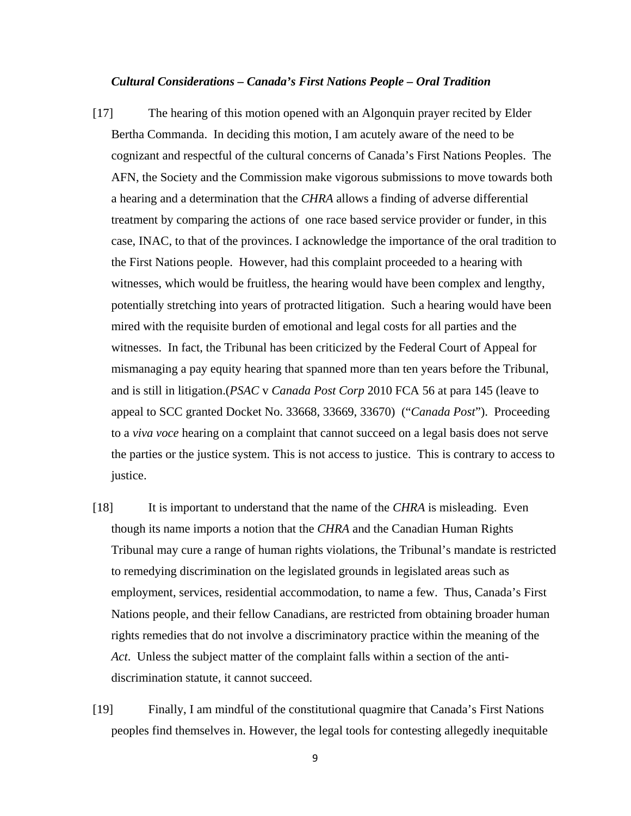#### *Cultural Considerations – Canada's First Nations People – Oral Tradition*

- [17] The hearing of this motion opened with an Algonquin prayer recited by Elder Bertha Commanda. In deciding this motion, I am acutely aware of the need to be cognizant and respectful of the cultural concerns of Canada's First Nations Peoples. The AFN, the Society and the Commission make vigorous submissions to move towards both a hearing and a determination that the *CHRA* allows a finding of adverse differential treatment by comparing the actions of one race based service provider or funder, in this case, INAC, to that of the provinces. I acknowledge the importance of the oral tradition to the First Nations people. However, had this complaint proceeded to a hearing with witnesses, which would be fruitless, the hearing would have been complex and lengthy, potentially stretching into years of protracted litigation. Such a hearing would have been mired with the requisite burden of emotional and legal costs for all parties and the witnesses. In fact, the Tribunal has been criticized by the Federal Court of Appeal for mismanaging a pay equity hearing that spanned more than ten years before the Tribunal, and is still in litigation.(*PSAC* v *Canada Post Corp* 2010 FCA 56 at para 145 (leave to appeal to SCC granted Docket No. 33668, 33669, 33670) ("*Canada Post*"). Proceeding to a *viva voce* hearing on a complaint that cannot succeed on a legal basis does not serve the parties or the justice system. This is not access to justice. This is contrary to access to justice.
- [18] It is important to understand that the name of the *CHRA* is misleading. Even though its name imports a notion that the *CHRA* and the Canadian Human Rights Tribunal may cure a range of human rights violations, the Tribunal's mandate is restricted to remedying discrimination on the legislated grounds in legislated areas such as employment, services, residential accommodation, to name a few. Thus, Canada's First Nations people, and their fellow Canadians, are restricted from obtaining broader human rights remedies that do not involve a discriminatory practice within the meaning of the *Act*. Unless the subject matter of the complaint falls within a section of the antidiscrimination statute, it cannot succeed.
- [19] Finally, I am mindful of the constitutional quagmire that Canada's First Nations peoples find themselves in. However, the legal tools for contesting allegedly inequitable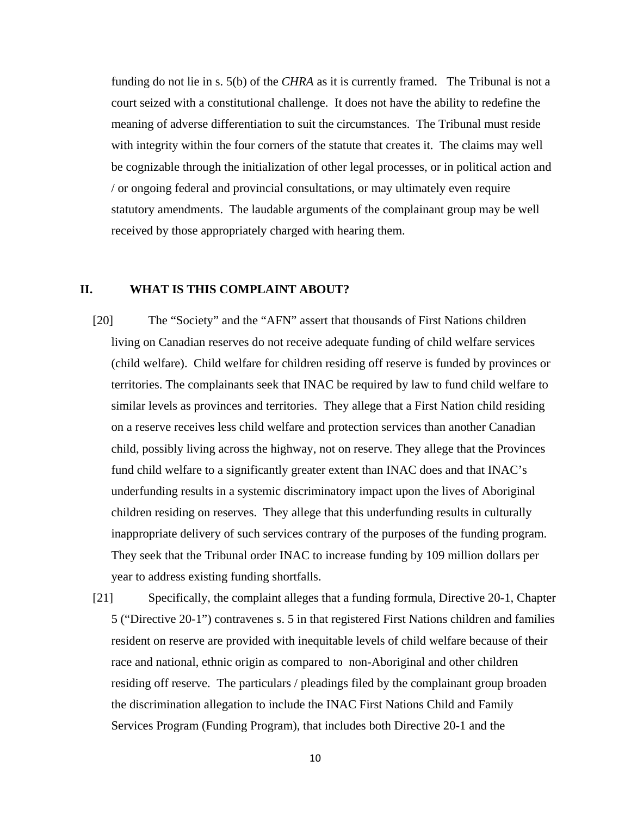funding do not lie in s. 5(b) of the *CHRA* as it is currently framed. The Tribunal is not a court seized with a constitutional challenge. It does not have the ability to redefine the meaning of adverse differentiation to suit the circumstances. The Tribunal must reside with integrity within the four corners of the statute that creates it. The claims may well be cognizable through the initialization of other legal processes, or in political action and / or ongoing federal and provincial consultations, or may ultimately even require statutory amendments. The laudable arguments of the complainant group may be well received by those appropriately charged with hearing them.

### **II. WHAT IS THIS COMPLAINT ABOUT?**

- [20] The "Society" and the "AFN" assert that thousands of First Nations children living on Canadian reserves do not receive adequate funding of child welfare services (child welfare). Child welfare for children residing off reserve is funded by provinces or territories. The complainants seek that INAC be required by law to fund child welfare to similar levels as provinces and territories. They allege that a First Nation child residing on a reserve receives less child welfare and protection services than another Canadian child, possibly living across the highway, not on reserve. They allege that the Provinces fund child welfare to a significantly greater extent than INAC does and that INAC's underfunding results in a systemic discriminatory impact upon the lives of Aboriginal children residing on reserves. They allege that this underfunding results in culturally inappropriate delivery of such services contrary of the purposes of the funding program. They seek that the Tribunal order INAC to increase funding by 109 million dollars per year to address existing funding shortfalls.
- [21] Specifically, the complaint alleges that a funding formula, Directive 20-1, Chapter 5 ("Directive 20-1") contravenes s. 5 in that registered First Nations children and families resident on reserve are provided with inequitable levels of child welfare because of their race and national, ethnic origin as compared to non-Aboriginal and other children residing off reserve. The particulars / pleadings filed by the complainant group broaden the discrimination allegation to include the INAC First Nations Child and Family Services Program (Funding Program), that includes both Directive 20-1 and the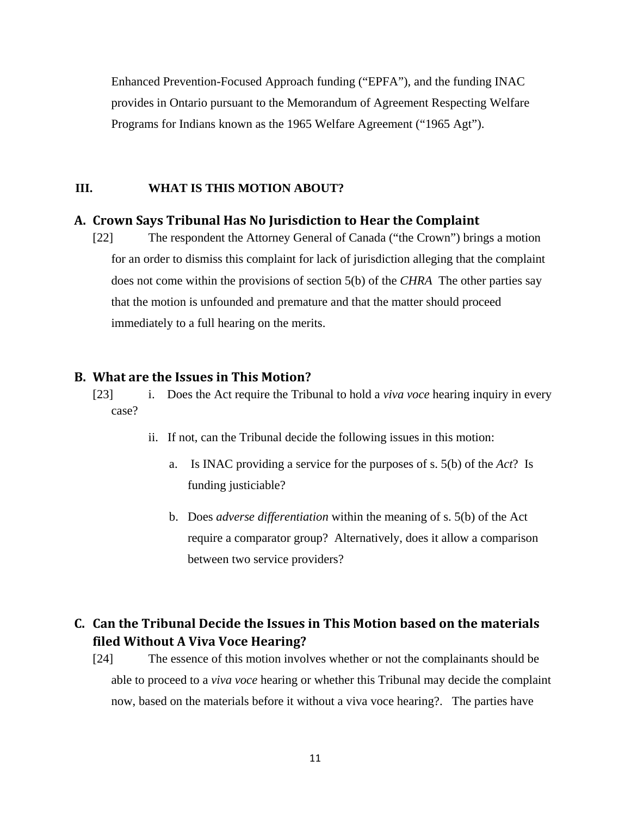Enhanced Prevention-Focused Approach funding ("EPFA"), and the funding INAC provides in Ontario pursuant to the Memorandum of Agreement Respecting Welfare Programs for Indians known as the 1965 Welfare Agreement ("1965 Agt").

### **III. WHAT IS THIS MOTION ABOUT?**

### **A. Crown Says Tribunal Has No Jurisdiction to Hear the Complaint**

[22] The respondent the Attorney General of Canada ("the Crown") brings a motion for an order to dismiss this complaint for lack of jurisdiction alleging that the complaint does not come within the provisions of section 5(b) of the *CHRA* The other parties say that the motion is unfounded and premature and that the matter should proceed immediately to a full hearing on the merits.

### **B. What are the Issues in This Motion?**

[23] i. Does the Act require the Tribunal to hold a *viva voce* hearing inquiry in every case?

- ii. If not, can the Tribunal decide the following issues in this motion:
	- a. Is INAC providing a service for the purposes of s. 5(b) of the *Act*? Is funding justiciable?
	- b. Does *adverse differentiation* within the meaning of s. 5(b) of the Act require a comparator group? Alternatively, does it allow a comparison between two service providers?

### **C. Can the Tribunal Decide the Issues in This Motion based on the materials filed Without A Viva Voce Hearing?**

[24] The essence of this motion involves whether or not the complainants should be able to proceed to a *viva voce* hearing or whether this Tribunal may decide the complaint now, based on the materials before it without a viva voce hearing?. The parties have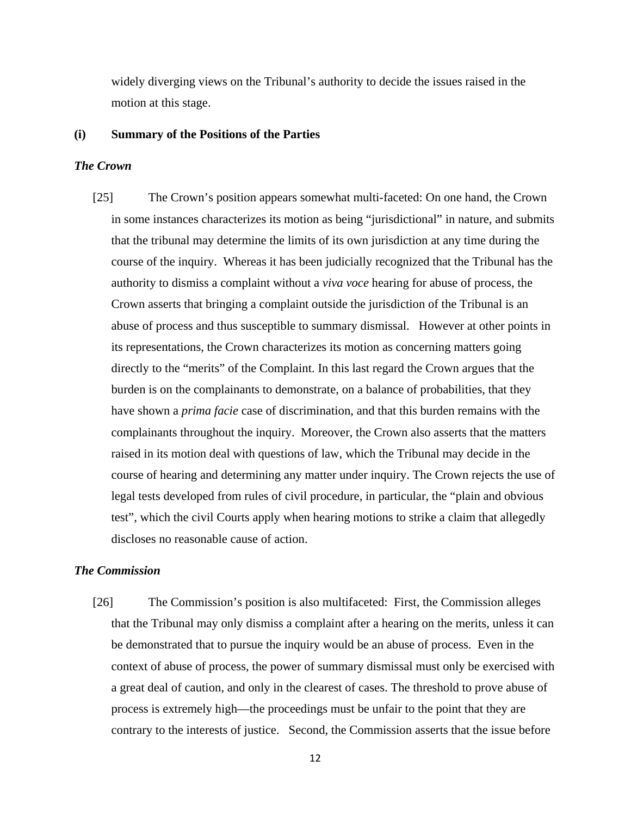widely diverging views on the Tribunal's authority to decide the issues raised in the motion at this stage.

#### **(i) Summary of the Positions of the Parties**

#### *The Crown*

[25] The Crown's position appears somewhat multi-faceted: On one hand, the Crown in some instances characterizes its motion as being "jurisdictional" in nature, and submits that the tribunal may determine the limits of its own jurisdiction at any time during the course of the inquiry. Whereas it has been judicially recognized that the Tribunal has the authority to dismiss a complaint without a *viva voce* hearing for abuse of process, the Crown asserts that bringing a complaint outside the jurisdiction of the Tribunal is an abuse of process and thus susceptible to summary dismissal. However at other points in its representations, the Crown characterizes its motion as concerning matters going directly to the "merits" of the Complaint. In this last regard the Crown argues that the burden is on the complainants to demonstrate, on a balance of probabilities, that they have shown a *prima facie* case of discrimination, and that this burden remains with the complainants throughout the inquiry. Moreover, the Crown also asserts that the matters raised in its motion deal with questions of law, which the Tribunal may decide in the course of hearing and determining any matter under inquiry. The Crown rejects the use of legal tests developed from rules of civil procedure, in particular, the "plain and obvious test", which the civil Courts apply when hearing motions to strike a claim that allegedly discloses no reasonable cause of action.

### *The Commission*

[26] The Commission's position is also multifaceted: First, the Commission alleges that the Tribunal may only dismiss a complaint after a hearing on the merits, unless it can be demonstrated that to pursue the inquiry would be an abuse of process. Even in the context of abuse of process, the power of summary dismissal must only be exercised with a great deal of caution, and only in the clearest of cases. The threshold to prove abuse of process is extremely high—the proceedings must be unfair to the point that they are contrary to the interests of justice. Second, the Commission asserts that the issue before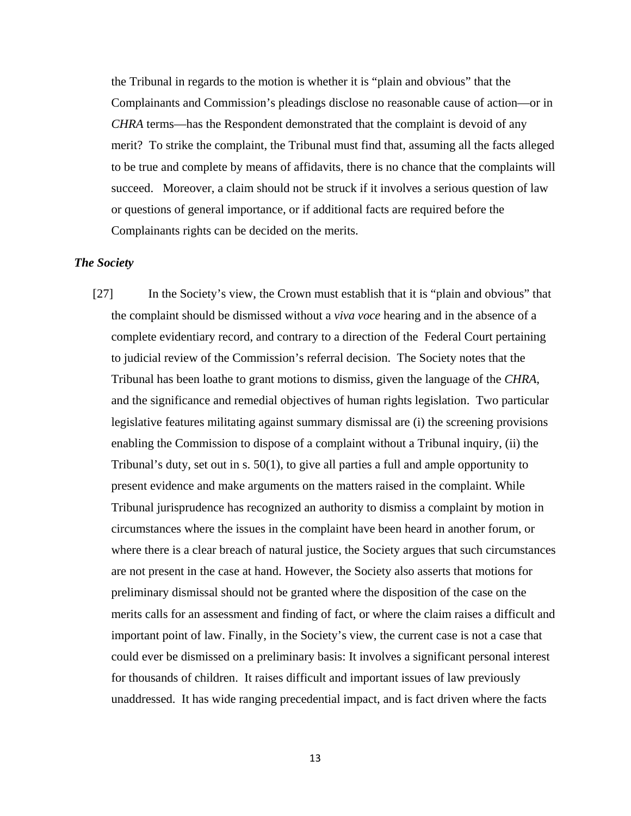the Tribunal in regards to the motion is whether it is "plain and obvious" that the Complainants and Commission's pleadings disclose no reasonable cause of action—or in *CHRA* terms—has the Respondent demonstrated that the complaint is devoid of any merit? To strike the complaint, the Tribunal must find that, assuming all the facts alleged to be true and complete by means of affidavits, there is no chance that the complaints will succeed. Moreover, a claim should not be struck if it involves a serious question of law or questions of general importance, or if additional facts are required before the Complainants rights can be decided on the merits.

### *The Society*

[27] In the Society's view, the Crown must establish that it is "plain and obvious" that the complaint should be dismissed without a *viva voce* hearing and in the absence of a complete evidentiary record, and contrary to a direction of the Federal Court pertaining to judicial review of the Commission's referral decision. The Society notes that the Tribunal has been loathe to grant motions to dismiss, given the language of the *CHRA*, and the significance and remedial objectives of human rights legislation. Two particular legislative features militating against summary dismissal are (i) the screening provisions enabling the Commission to dispose of a complaint without a Tribunal inquiry, (ii) the Tribunal's duty, set out in s. 50(1), to give all parties a full and ample opportunity to present evidence and make arguments on the matters raised in the complaint. While Tribunal jurisprudence has recognized an authority to dismiss a complaint by motion in circumstances where the issues in the complaint have been heard in another forum, or where there is a clear breach of natural justice, the Society argues that such circumstances are not present in the case at hand. However, the Society also asserts that motions for preliminary dismissal should not be granted where the disposition of the case on the merits calls for an assessment and finding of fact, or where the claim raises a difficult and important point of law. Finally, in the Society's view, the current case is not a case that could ever be dismissed on a preliminary basis: It involves a significant personal interest for thousands of children. It raises difficult and important issues of law previously unaddressed. It has wide ranging precedential impact, and is fact driven where the facts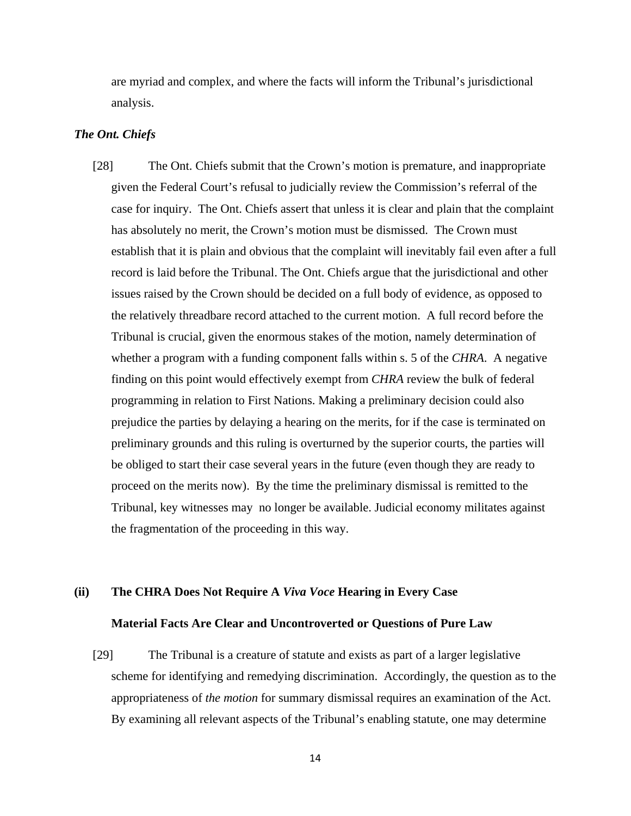are myriad and complex, and where the facts will inform the Tribunal's jurisdictional analysis.

### *The Ont. Chiefs*

[28] The Ont. Chiefs submit that the Crown's motion is premature, and inappropriate given the Federal Court's refusal to judicially review the Commission's referral of the case for inquiry. The Ont. Chiefs assert that unless it is clear and plain that the complaint has absolutely no merit, the Crown's motion must be dismissed. The Crown must establish that it is plain and obvious that the complaint will inevitably fail even after a full record is laid before the Tribunal. The Ont. Chiefs argue that the jurisdictional and other issues raised by the Crown should be decided on a full body of evidence, as opposed to the relatively threadbare record attached to the current motion. A full record before the Tribunal is crucial, given the enormous stakes of the motion, namely determination of whether a program with a funding component falls within s. 5 of the *CHRA*. A negative finding on this point would effectively exempt from *CHRA* review the bulk of federal programming in relation to First Nations. Making a preliminary decision could also prejudice the parties by delaying a hearing on the merits, for if the case is terminated on preliminary grounds and this ruling is overturned by the superior courts, the parties will be obliged to start their case several years in the future (even though they are ready to proceed on the merits now). By the time the preliminary dismissal is remitted to the Tribunal, key witnesses may no longer be available. Judicial economy militates against the fragmentation of the proceeding in this way.

### **(ii) The CHRA Does Not Require A** *Viva Voce* **Hearing in Every Case**

### **Material Facts Are Clear and Uncontroverted or Questions of Pure Law**

[29] The Tribunal is a creature of statute and exists as part of a larger legislative scheme for identifying and remedying discrimination. Accordingly, the question as to the appropriateness of *the motion* for summary dismissal requires an examination of the Act. By examining all relevant aspects of the Tribunal's enabling statute, one may determine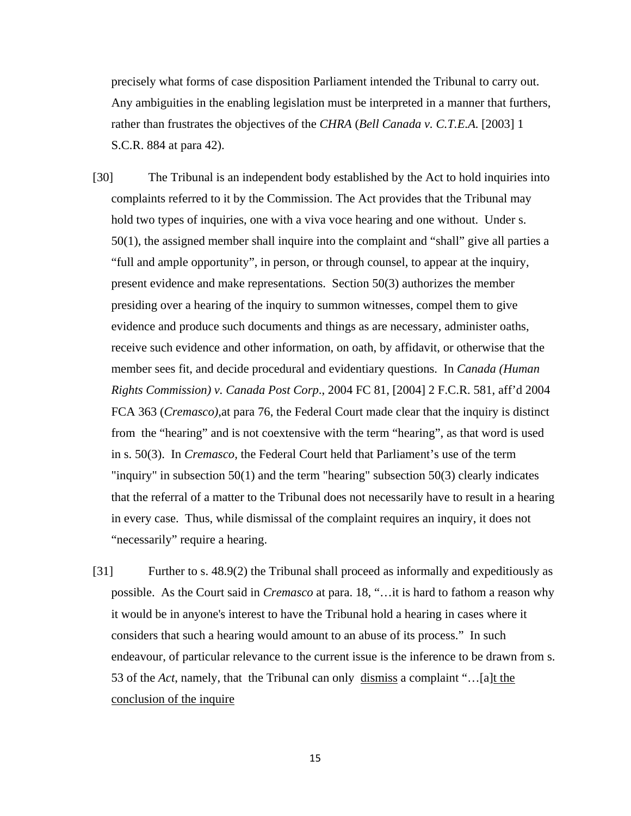precisely what forms of case disposition Parliament intended the Tribunal to carry out. Any ambiguities in the enabling legislation must be interpreted in a manner that furthers, rather than frustrates the objectives of the *CHRA* (*Bell Canada v. C.T.E.A.* [2003] 1 S.C.R. 884 at para 42).

- [30] The Tribunal is an independent body established by the Act to hold inquiries into complaints referred to it by the Commission. The Act provides that the Tribunal may hold two types of inquiries, one with a viva voce hearing and one without. Under s. 50(1), the assigned member shall inquire into the complaint and "shall" give all parties a "full and ample opportunity", in person, or through counsel, to appear at the inquiry, present evidence and make representations. Section 50(3) authorizes the member presiding over a hearing of the inquiry to summon witnesses, compel them to give evidence and produce such documents and things as are necessary, administer oaths, receive such evidence and other information, on oath, by affidavit, or otherwise that the member sees fit, and decide procedural and evidentiary questions. In *Canada (Human Rights Commission) v. Canada Post Corp*., 2004 FC 81, [2004] 2 F.C.R. 581, aff'd 2004 FCA 363 (*Cremasco)*,at para 76, the Federal Court made clear that the inquiry is distinct from the "hearing" and is not coextensive with the term "hearing", as that word is used in s. 50(3). In *Cremasco,* the Federal Court held that Parliament's use of the term "inquiry" in subsection 50(1) and the term "hearing" subsection 50(3) clearly indicates that the referral of a matter to the Tribunal does not necessarily have to result in a hearing in every case. Thus, while dismissal of the complaint requires an inquiry, it does not "necessarily" require a hearing.
- [31] Further to s. 48.9(2) the Tribunal shall proceed as informally and expeditiously as possible. As the Court said in *Cremasco* at para. 18, "…it is hard to fathom a reason why it would be in anyone's interest to have the Tribunal hold a hearing in cases where it considers that such a hearing would amount to an abuse of its process." In such endeavour, of particular relevance to the current issue is the inference to be drawn from s. 53 of the *Act*, namely, that the Tribunal can only dismiss a complaint "…[a]t the conclusion of the inquire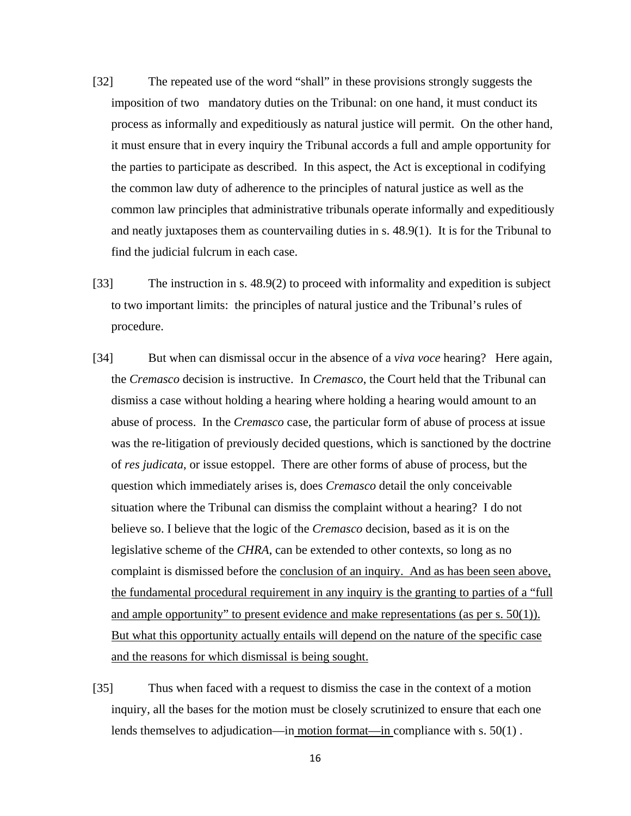- [32] The repeated use of the word "shall" in these provisions strongly suggests the imposition of two mandatory duties on the Tribunal: on one hand, it must conduct its process as informally and expeditiously as natural justice will permit. On the other hand, it must ensure that in every inquiry the Tribunal accords a full and ample opportunity for the parties to participate as described. In this aspect, the Act is exceptional in codifying the common law duty of adherence to the principles of natural justice as well as the common law principles that administrative tribunals operate informally and expeditiously and neatly juxtaposes them as countervailing duties in s. 48.9(1). It is for the Tribunal to find the judicial fulcrum in each case.
- [33] The instruction in s. 48.9(2) to proceed with informality and expedition is subject to two important limits: the principles of natural justice and the Tribunal's rules of procedure.
- [34] But when can dismissal occur in the absence of a *viva voce* hearing? Here again, the *Cremasco* decision is instructive. In *Cremasco*, the Court held that the Tribunal can dismiss a case without holding a hearing where holding a hearing would amount to an abuse of process. In the *Cremasco* case, the particular form of abuse of process at issue was the re-litigation of previously decided questions, which is sanctioned by the doctrine of *res judicata*, or issue estoppel. There are other forms of abuse of process, but the question which immediately arises is, does *Cremasco* detail the only conceivable situation where the Tribunal can dismiss the complaint without a hearing? I do not believe so. I believe that the logic of the *Cremasco* decision, based as it is on the legislative scheme of the *CHRA*, can be extended to other contexts, so long as no complaint is dismissed before the conclusion of an inquiry. And as has been seen above, the fundamental procedural requirement in any inquiry is the granting to parties of a "full and ample opportunity" to present evidence and make representations (as per s. 50(1)). But what this opportunity actually entails will depend on the nature of the specific case and the reasons for which dismissal is being sought.
- [35] Thus when faced with a request to dismiss the case in the context of a motion inquiry, all the bases for the motion must be closely scrutinized to ensure that each one lends themselves to adjudication—in motion format—in compliance with s. 50(1).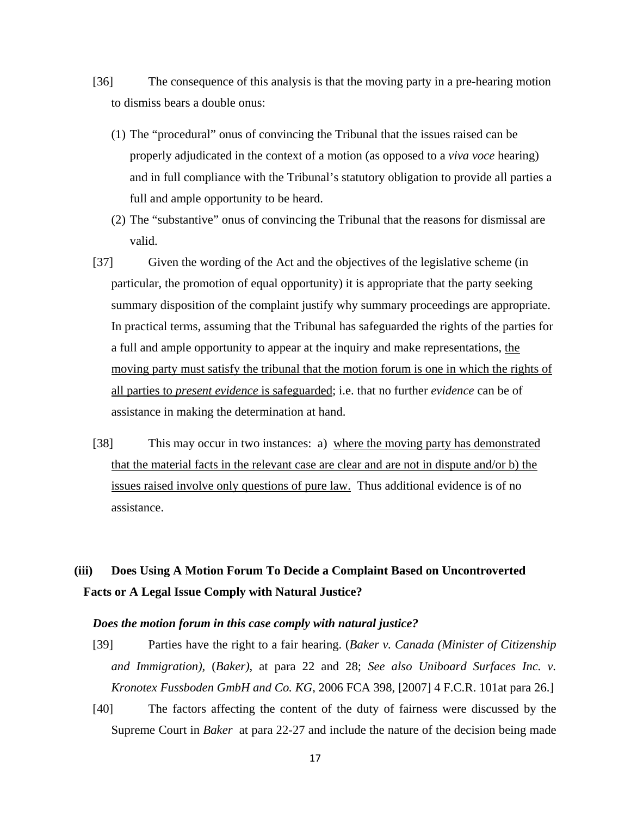- [36] The consequence of this analysis is that the moving party in a pre-hearing motion to dismiss bears a double onus:
	- (1) The "procedural" onus of convincing the Tribunal that the issues raised can be properly adjudicated in the context of a motion (as opposed to a *viva voce* hearing) and in full compliance with the Tribunal's statutory obligation to provide all parties a full and ample opportunity to be heard.
	- (2) The "substantive" onus of convincing the Tribunal that the reasons for dismissal are valid.
- [37] Given the wording of the Act and the objectives of the legislative scheme (in particular, the promotion of equal opportunity) it is appropriate that the party seeking summary disposition of the complaint justify why summary proceedings are appropriate. In practical terms, assuming that the Tribunal has safeguarded the rights of the parties for a full and ample opportunity to appear at the inquiry and make representations, the moving party must satisfy the tribunal that the motion forum is one in which the rights of all parties to *present evidence* is safeguarded; i.e. that no further *evidence* can be of assistance in making the determination at hand.
- [38] This may occur in two instances: a) where the moving party has demonstrated that the material facts in the relevant case are clear and are not in dispute and/or b) the issues raised involve only questions of pure law. Thus additional evidence is of no assistance.

# **(iii) Does Using A Motion Forum To Decide a Complaint Based on Uncontroverted Facts or A Legal Issue Comply with Natural Justice?**

### *Does the motion forum in this case comply with natural justice?*

- [39] Parties have the right to a fair hearing. (*Baker v. Canada (Minister of Citizenship and Immigration),* (*Baker)*, at para 22 and 28; *See also Uniboard Surfaces Inc. v. Kronotex Fussboden GmbH and Co. KG*, 2006 FCA 398, [2007] 4 F.C.R. 101at para 26.]
- [40] The factors affecting the content of the duty of fairness were discussed by the Supreme Court in *Baker* at para 22-27 and include the nature of the decision being made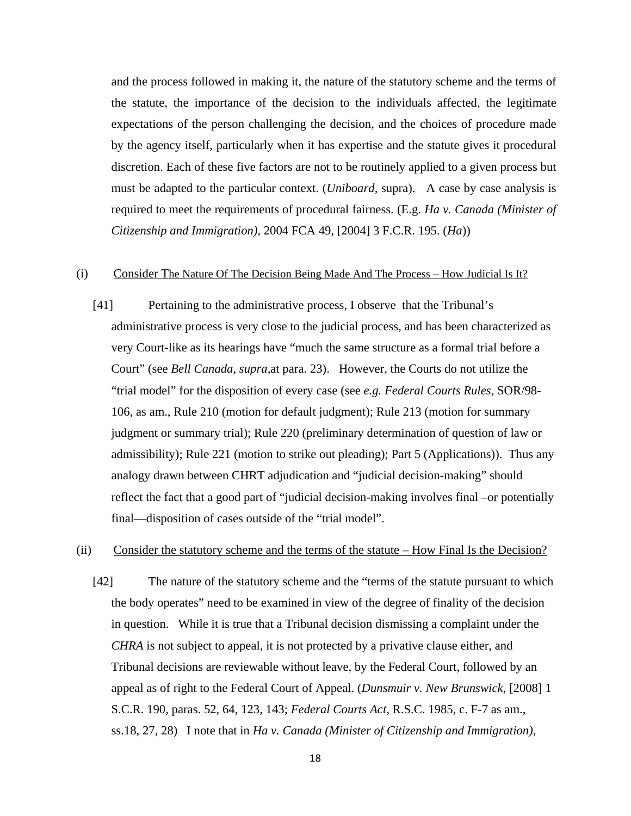and the process followed in making it, the nature of the statutory scheme and the terms of the statute, the importance of the decision to the individuals affected, the legitimate expectations of the person challenging the decision, and the choices of procedure made by the agency itself, particularly when it has expertise and the statute gives it procedural discretion. Each of these five factors are not to be routinely applied to a given process but must be adapted to the particular context. (*Uniboard,* supra). A case by case analysis is required to meet the requirements of procedural fairness. (E.g. *Ha v. Canada (Minister of Citizenship and Immigration)*, 2004 FCA 49, [2004] 3 F.C.R. 195. (*Ha*))

### (i) Consider The Nature Of The Decision Being Made And The Process – How Judicial Is It?

[41] Pertaining to the administrative process, I observe that the Tribunal's administrative process is very close to the judicial process, and has been characterized as very Court-like as its hearings have "much the same structure as a formal trial before a Court" (see *Bell Canada, supra,*at para. 23). However, the Courts do not utilize the "trial model" for the disposition of every case (see *e.g. Federal Courts Rules,* SOR/98- 106, as am., Rule 210 (motion for default judgment); Rule 213 (motion for summary judgment or summary trial); Rule 220 (preliminary determination of question of law or admissibility); Rule 221 (motion to strike out pleading); Part 5 (Applications)). Thus any analogy drawn between CHRT adjudication and "judicial decision-making" should reflect the fact that a good part of "judicial decision-making involves final –or potentially final—disposition of cases outside of the "trial model".

### (ii) Consider the statutory scheme and the terms of the statute – How Final Is the Decision?

[42] The nature of the statutory scheme and the "terms of the statute pursuant to which the body operates" need to be examined in view of the degree of finality of the decision in question. While it is true that a Tribunal decision dismissing a complaint under the *CHRA* is not subject to appeal, it is not protected by a privative clause either, and Tribunal decisions are reviewable without leave, by the Federal Court, followed by an appeal as of right to the Federal Court of Appeal. (*Dunsmuir v. New Brunswick*, [2008] 1 S.C.R. 190, paras. 52, 64, 123, 143; *Federal Courts Act*, R.S.C. 1985, c. F-7 as am., ss.18, 27, 28) I note that in *Ha v. Canada (Minister of Citizenship and Immigration)*,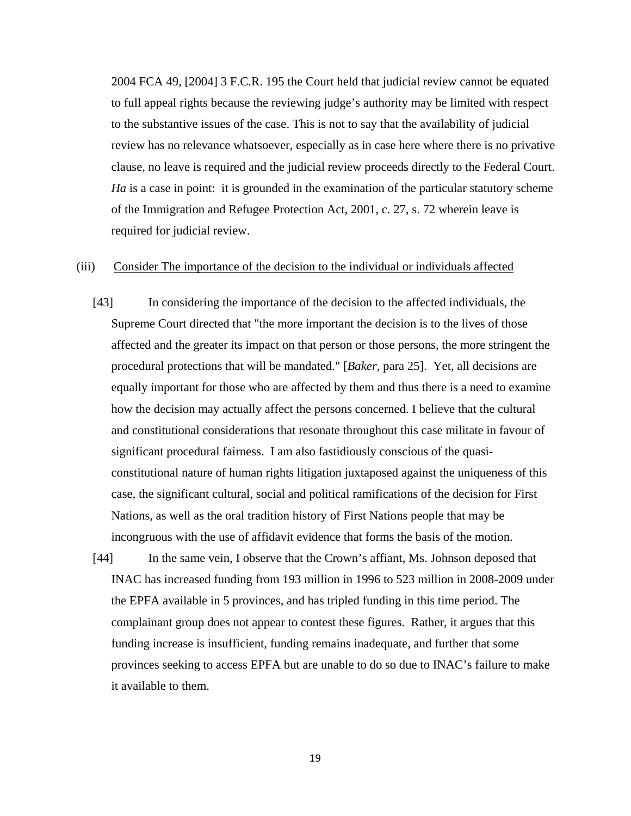2004 FCA 49, [2004] 3 F.C.R. 195 the Court held that judicial review cannot be equated to full appeal rights because the reviewing judge's authority may be limited with respect to the substantive issues of the case. This is not to say that the availability of judicial review has no relevance whatsoever, especially as in case here where there is no privative clause, no leave is required and the judicial review proceeds directly to the Federal Court. *Ha* is a case in point: it is grounded in the examination of the particular statutory scheme of the Immigration and Refugee Protection Act, 2001, c. 27, s. 72 wherein leave is required for judicial review.

### (iii) Consider The importance of the decision to the individual or individuals affected

- [43] In considering the importance of the decision to the affected individuals, the Supreme Court directed that "the more important the decision is to the lives of those affected and the greater its impact on that person or those persons, the more stringent the procedural protections that will be mandated." [*Baker*, para 25]. Yet, all decisions are equally important for those who are affected by them and thus there is a need to examine how the decision may actually affect the persons concerned. I believe that the cultural and constitutional considerations that resonate throughout this case militate in favour of significant procedural fairness. I am also fastidiously conscious of the quasiconstitutional nature of human rights litigation juxtaposed against the uniqueness of this case, the significant cultural, social and political ramifications of the decision for First Nations, as well as the oral tradition history of First Nations people that may be incongruous with the use of affidavit evidence that forms the basis of the motion.
- [44] In the same vein, I observe that the Crown's affiant, Ms. Johnson deposed that INAC has increased funding from 193 million in 1996 to 523 million in 2008-2009 under the EPFA available in 5 provinces, and has tripled funding in this time period. The complainant group does not appear to contest these figures. Rather, it argues that this funding increase is insufficient, funding remains inadequate, and further that some provinces seeking to access EPFA but are unable to do so due to INAC's failure to make it available to them.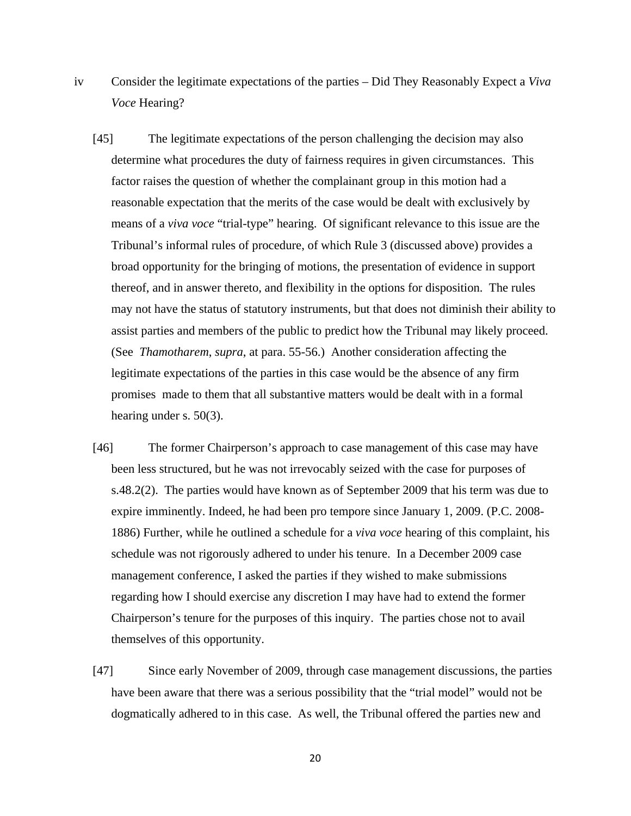- iv Consider the legitimate expectations of the parties Did They Reasonably Expect a *Viva Voce* Hearing?
	- [45] The legitimate expectations of the person challenging the decision may also determine what procedures the duty of fairness requires in given circumstances. This factor raises the question of whether the complainant group in this motion had a reasonable expectation that the merits of the case would be dealt with exclusively by means of a *viva voce* "trial-type" hearing. Of significant relevance to this issue are the Tribunal's informal rules of procedure, of which Rule 3 (discussed above) provides a broad opportunity for the bringing of motions, the presentation of evidence in support thereof, and in answer thereto, and flexibility in the options for disposition. The rules may not have the status of statutory instruments, but that does not diminish their ability to assist parties and members of the public to predict how the Tribunal may likely proceed. (See *Thamotharem*, *supra*, at para. 55-56.) Another consideration affecting the legitimate expectations of the parties in this case would be the absence of any firm promises made to them that all substantive matters would be dealt with in a formal hearing under s. 50(3).
	- [46] The former Chairperson's approach to case management of this case may have been less structured, but he was not irrevocably seized with the case for purposes of s.48.2(2). The parties would have known as of September 2009 that his term was due to expire imminently. Indeed, he had been pro tempore since January 1, 2009. (P.C. 2008- 1886) Further, while he outlined a schedule for a *viva voce* hearing of this complaint, his schedule was not rigorously adhered to under his tenure. In a December 2009 case management conference, I asked the parties if they wished to make submissions regarding how I should exercise any discretion I may have had to extend the former Chairperson's tenure for the purposes of this inquiry. The parties chose not to avail themselves of this opportunity.
	- [47] Since early November of 2009, through case management discussions, the parties have been aware that there was a serious possibility that the "trial model" would not be dogmatically adhered to in this case. As well, the Tribunal offered the parties new and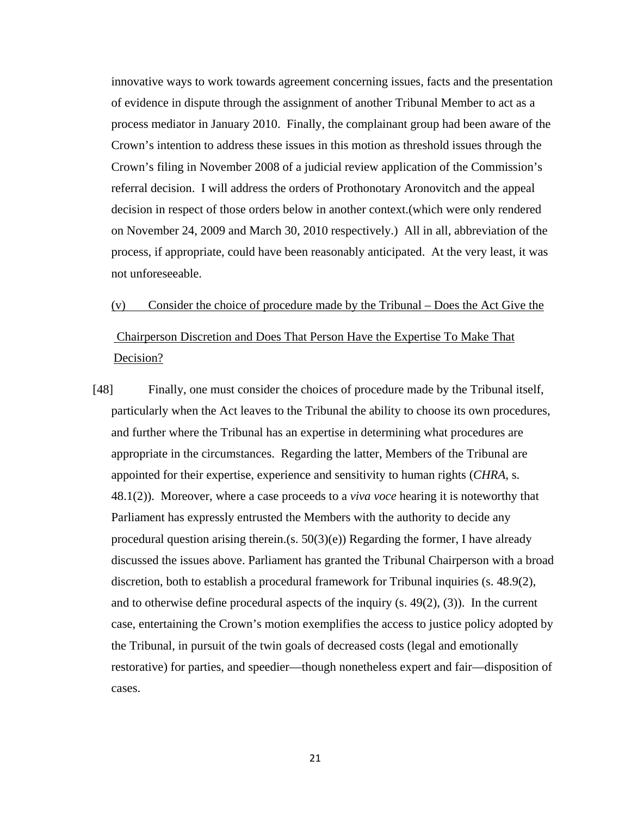innovative ways to work towards agreement concerning issues, facts and the presentation of evidence in dispute through the assignment of another Tribunal Member to act as a process mediator in January 2010. Finally, the complainant group had been aware of the Crown's intention to address these issues in this motion as threshold issues through the Crown's filing in November 2008 of a judicial review application of the Commission's referral decision. I will address the orders of Prothonotary Aronovitch and the appeal decision in respect of those orders below in another context.(which were only rendered on November 24, 2009 and March 30, 2010 respectively.) All in all, abbreviation of the process, if appropriate, could have been reasonably anticipated. At the very least, it was not unforeseeable.

# (v) Consider the choice of procedure made by the Tribunal – Does the Act Give the Chairperson Discretion and Does That Person Have the Expertise To Make That Decision?

[48] Finally, one must consider the choices of procedure made by the Tribunal itself, particularly when the Act leaves to the Tribunal the ability to choose its own procedures, and further where the Tribunal has an expertise in determining what procedures are appropriate in the circumstances. Regarding the latter, Members of the Tribunal are appointed for their expertise, experience and sensitivity to human rights (*CHRA*, s. 48.1(2)). Moreover, where a case proceeds to a *viva voce* hearing it is noteworthy that Parliament has expressly entrusted the Members with the authority to decide any procedural question arising therein.(s.  $50(3)(e)$ ) Regarding the former, I have already discussed the issues above. Parliament has granted the Tribunal Chairperson with a broad discretion, both to establish a procedural framework for Tribunal inquiries (s. 48.9(2), and to otherwise define procedural aspects of the inquiry (s. 49(2), (3)). In the current case, entertaining the Crown's motion exemplifies the access to justice policy adopted by the Tribunal, in pursuit of the twin goals of decreased costs (legal and emotionally restorative) for parties, and speedier—though nonetheless expert and fair—disposition of cases.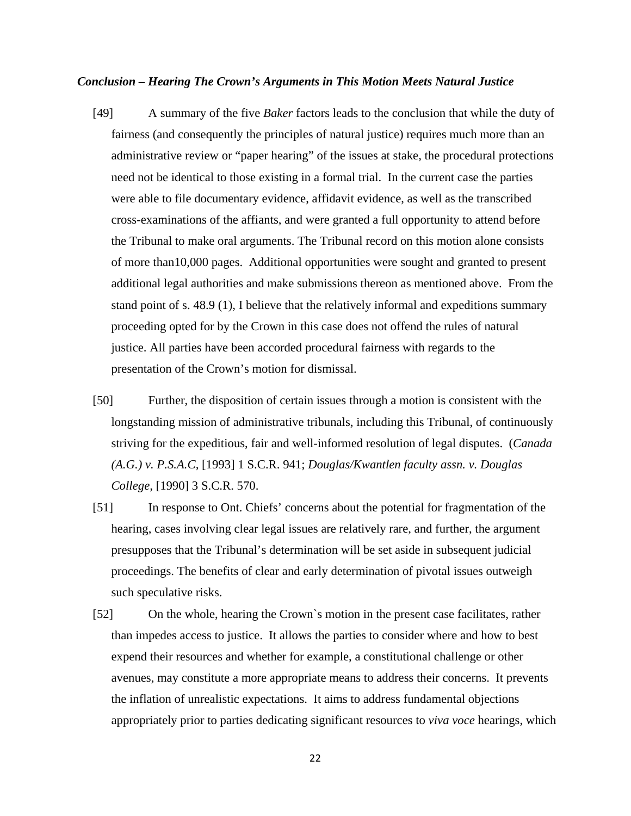#### *Conclusion – Hearing The Crown's Arguments in This Motion Meets Natural Justice*

- [49] A summary of the five *Baker* factors leads to the conclusion that while the duty of fairness (and consequently the principles of natural justice) requires much more than an administrative review or "paper hearing" of the issues at stake, the procedural protections need not be identical to those existing in a formal trial. In the current case the parties were able to file documentary evidence, affidavit evidence, as well as the transcribed cross-examinations of the affiants, and were granted a full opportunity to attend before the Tribunal to make oral arguments. The Tribunal record on this motion alone consists of more than10,000 pages. Additional opportunities were sought and granted to present additional legal authorities and make submissions thereon as mentioned above. From the stand point of s. 48.9 (1), I believe that the relatively informal and expeditions summary proceeding opted for by the Crown in this case does not offend the rules of natural justice. All parties have been accorded procedural fairness with regards to the presentation of the Crown's motion for dismissal.
- [50] Further, the disposition of certain issues through a motion is consistent with the longstanding mission of administrative tribunals, including this Tribunal, of continuously striving for the expeditious, fair and well-informed resolution of legal disputes. (*Canada (A.G.) v. P.S.A.C,* [1993] 1 S.C.R. 941; *Douglas/Kwantlen faculty assn. v. Douglas College,* [1990] 3 S.C.R. 570.
- [51] In response to Ont. Chiefs' concerns about the potential for fragmentation of the hearing, cases involving clear legal issues are relatively rare, and further, the argument presupposes that the Tribunal's determination will be set aside in subsequent judicial proceedings. The benefits of clear and early determination of pivotal issues outweigh such speculative risks.
- [52] On the whole, hearing the Crown`s motion in the present case facilitates, rather than impedes access to justice. It allows the parties to consider where and how to best expend their resources and whether for example, a constitutional challenge or other avenues, may constitute a more appropriate means to address their concerns. It prevents the inflation of unrealistic expectations. It aims to address fundamental objections appropriately prior to parties dedicating significant resources to *viva voce* hearings, which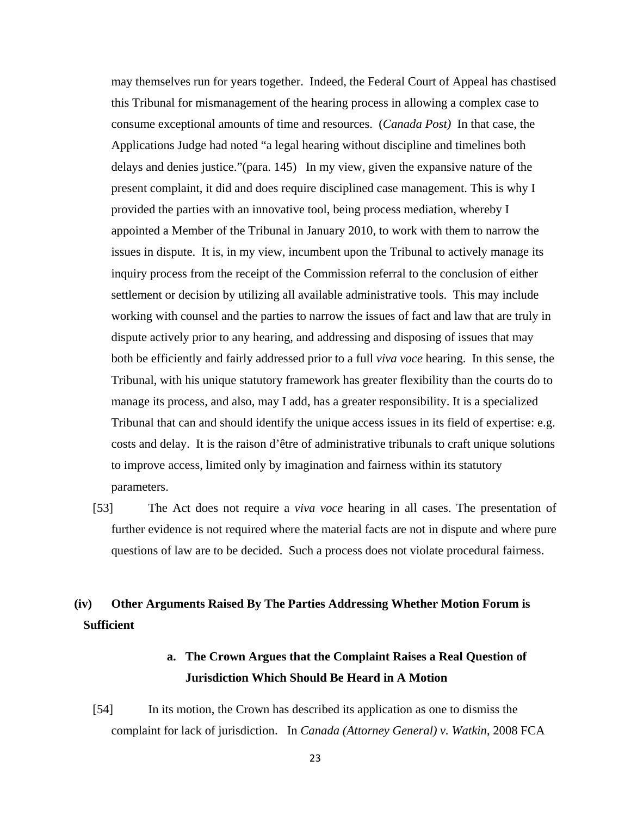may themselves run for years together. Indeed, the Federal Court of Appeal has chastised this Tribunal for mismanagement of the hearing process in allowing a complex case to consume exceptional amounts of time and resources. (*Canada Post)* In that case, the Applications Judge had noted "a legal hearing without discipline and timelines both delays and denies justice."(para. 145) In my view, given the expansive nature of the present complaint, it did and does require disciplined case management. This is why I provided the parties with an innovative tool, being process mediation, whereby I appointed a Member of the Tribunal in January 2010, to work with them to narrow the issues in dispute. It is, in my view, incumbent upon the Tribunal to actively manage its inquiry process from the receipt of the Commission referral to the conclusion of either settlement or decision by utilizing all available administrative tools. This may include working with counsel and the parties to narrow the issues of fact and law that are truly in dispute actively prior to any hearing, and addressing and disposing of issues that may both be efficiently and fairly addressed prior to a full *viva voce* hearing. In this sense, the Tribunal, with his unique statutory framework has greater flexibility than the courts do to manage its process, and also, may I add, has a greater responsibility. It is a specialized Tribunal that can and should identify the unique access issues in its field of expertise: e.g. costs and delay. It is the raison d'être of administrative tribunals to craft unique solutions to improve access, limited only by imagination and fairness within its statutory parameters.

[53] The Act does not require a *viva voce* hearing in all cases. The presentation of further evidence is not required where the material facts are not in dispute and where pure questions of law are to be decided. Such a process does not violate procedural fairness.

# **(iv) Other Arguments Raised By The Parties Addressing Whether Motion Forum is Sufficient**

# **a. The Crown Argues that the Complaint Raises a Real Question of Jurisdiction Which Should Be Heard in A Motion**

[54] In its motion, the Crown has described its application as one to dismiss the complaint for lack of jurisdiction. In *Canada (Attorney General) v. Watkin*, 2008 FCA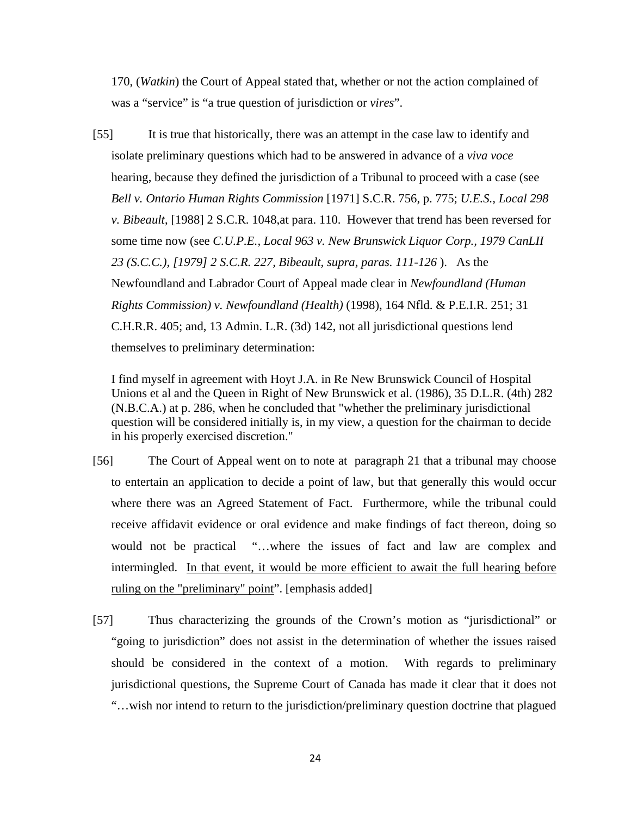170, (*Watkin*) the Court of Appeal stated that, whether or not the action complained of was a "service" is "a true question of jurisdiction or *vires*".

[55] It is true that historically, there was an attempt in the case law to identify and isolate preliminary questions which had to be answered in advance of a *viva voce*  hearing, because they defined the jurisdiction of a Tribunal to proceed with a case (see *Bell v. Ontario Human Rights Commission* [1971] S.C.R. 756, p. 775; *U.E.S., Local 298 v. Bibeault*, [1988] 2 S.C.R. 1048,at para. 110. However that trend has been reversed for some time now (see *C.U.P.E., Local 963 v. New Brunswick Liquor Corp., 1979 CanLII 23 (S.C.C.), [1979] 2 S.C.R. 227, Bibeault, supra, paras. 111-126* ). As the Newfoundland and Labrador Court of Appeal made clear in *Newfoundland (Human Rights Commission) v. Newfoundland (Health)* (1998), 164 Nfld. & P.E.I.R. 251; 31 C.H.R.R. 405; and, 13 Admin. L.R. (3d) 142, not all jurisdictional questions lend themselves to preliminary determination:

I find myself in agreement with Hoyt J.A. in Re New Brunswick Council of Hospital Unions et al and the Queen in Right of New Brunswick et al. (1986), 35 D.L.R. (4th) 282 (N.B.C.A.) at p. 286, when he concluded that "whether the preliminary jurisdictional question will be considered initially is, in my view, a question for the chairman to decide in his properly exercised discretion."

- [56] The Court of Appeal went on to note at paragraph 21 that a tribunal may choose to entertain an application to decide a point of law, but that generally this would occur where there was an Agreed Statement of Fact. Furthermore, while the tribunal could receive affidavit evidence or oral evidence and make findings of fact thereon, doing so would not be practical "…where the issues of fact and law are complex and intermingled. In that event, it would be more efficient to await the full hearing before ruling on the "preliminary" point". [emphasis added]
- [57] Thus characterizing the grounds of the Crown's motion as "jurisdictional" or "going to jurisdiction" does not assist in the determination of whether the issues raised should be considered in the context of a motion. With regards to preliminary jurisdictional questions, the Supreme Court of Canada has made it clear that it does not "…wish nor intend to return to the jurisdiction/preliminary question doctrine that plagued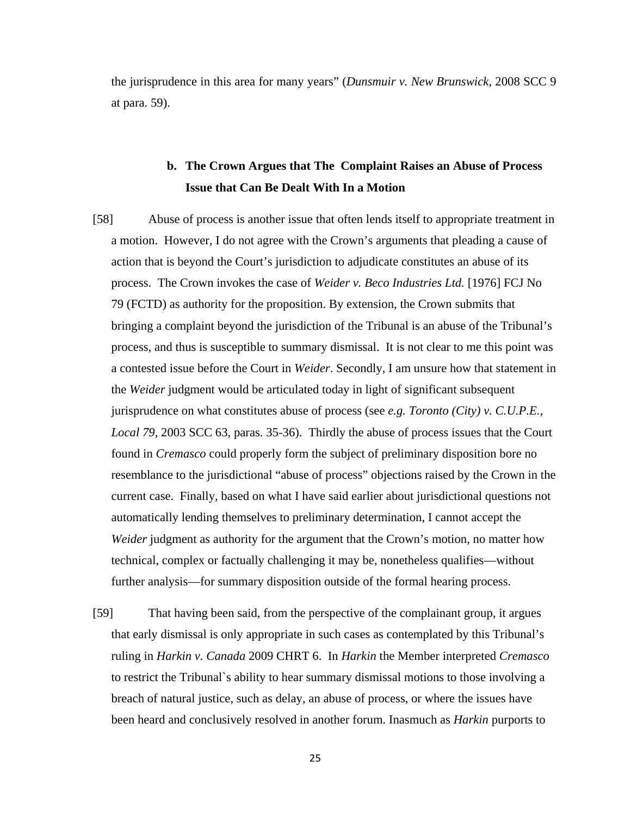the jurisprudence in this area for many years" (*Dunsmuir v. New Brunswick*, 2008 SCC 9 at para. 59).

# **b. The Crown Argues that The Complaint Raises an Abuse of Process Issue that Can Be Dealt With In a Motion**

- [58] Abuse of process is another issue that often lends itself to appropriate treatment in a motion. However, I do not agree with the Crown's arguments that pleading a cause of action that is beyond the Court's jurisdiction to adjudicate constitutes an abuse of its process. The Crown invokes the case of *Weider v. Beco Industries Ltd.* [1976] FCJ No 79 (FCTD) as authority for the proposition. By extension, the Crown submits that bringing a complaint beyond the jurisdiction of the Tribunal is an abuse of the Tribunal's process, and thus is susceptible to summary dismissal. It is not clear to me this point was a contested issue before the Court in *Weider*. Secondly, I am unsure how that statement in the *Weider* judgment would be articulated today in light of significant subsequent jurisprudence on what constitutes abuse of process (see *e.g. Toronto (City) v. C.U.P.E., Local 79,* 2003 SCC 63, paras. 35-36). Thirdly the abuse of process issues that the Court found in *Cremasco* could properly form the subject of preliminary disposition bore no resemblance to the jurisdictional "abuse of process" objections raised by the Crown in the current case. Finally, based on what I have said earlier about jurisdictional questions not automatically lending themselves to preliminary determination, I cannot accept the *Weider* judgment as authority for the argument that the Crown's motion, no matter how technical, complex or factually challenging it may be, nonetheless qualifies—without further analysis—for summary disposition outside of the formal hearing process.
- [59] That having been said, from the perspective of the complainant group, it argues that early dismissal is only appropriate in such cases as contemplated by this Tribunal's ruling in *Harkin v. Canada* 2009 CHRT 6. In *Harkin* the Member interpreted *Cremasco*  to restrict the Tribunal`s ability to hear summary dismissal motions to those involving a breach of natural justice, such as delay, an abuse of process, or where the issues have been heard and conclusively resolved in another forum. Inasmuch as *Harkin* purports to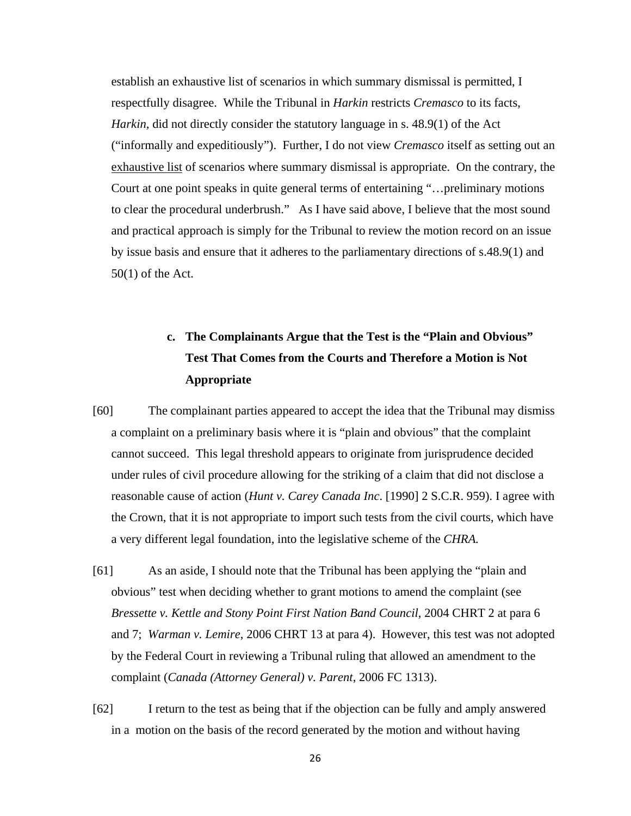establish an exhaustive list of scenarios in which summary dismissal is permitted, I respectfully disagree. While the Tribunal in *Harkin* restricts *Cremasco* to its facts, *Harkin,* did not directly consider the statutory language in s. 48.9(1) of the Act ("informally and expeditiously"). Further, I do not view *Cremasco* itself as setting out an exhaustive list of scenarios where summary dismissal is appropriate. On the contrary, the Court at one point speaks in quite general terms of entertaining "…preliminary motions to clear the procedural underbrush." As I have said above, I believe that the most sound and practical approach is simply for the Tribunal to review the motion record on an issue by issue basis and ensure that it adheres to the parliamentary directions of s.48.9(1) and 50(1) of the Act.

# **c. The Complainants Argue that the Test is the "Plain and Obvious" Test That Comes from the Courts and Therefore a Motion is Not Appropriate**

- [60] The complainant parties appeared to accept the idea that the Tribunal may dismiss a complaint on a preliminary basis where it is "plain and obvious" that the complaint cannot succeed. This legal threshold appears to originate from jurisprudence decided under rules of civil procedure allowing for the striking of a claim that did not disclose a reasonable cause of action (*Hunt v. Carey Canada Inc*. [1990] 2 S.C.R. 959). I agree with the Crown, that it is not appropriate to import such tests from the civil courts, which have a very different legal foundation, into the legislative scheme of the *CHRA.*
- [61] As an aside, I should note that the Tribunal has been applying the "plain and obvious" test when deciding whether to grant motions to amend the complaint (see *Bressette v. Kettle and Stony Point First Nation Band Council*, 2004 CHRT 2 at para 6 and 7; *Warman v. Lemire*, 2006 CHRT 13 at para 4). However, this test was not adopted by the Federal Court in reviewing a Tribunal ruling that allowed an amendment to the complaint (*Canada (Attorney General) v. Parent*, 2006 FC 1313).
- [62] I return to the test as being that if the objection can be fully and amply answered in a motion on the basis of the record generated by the motion and without having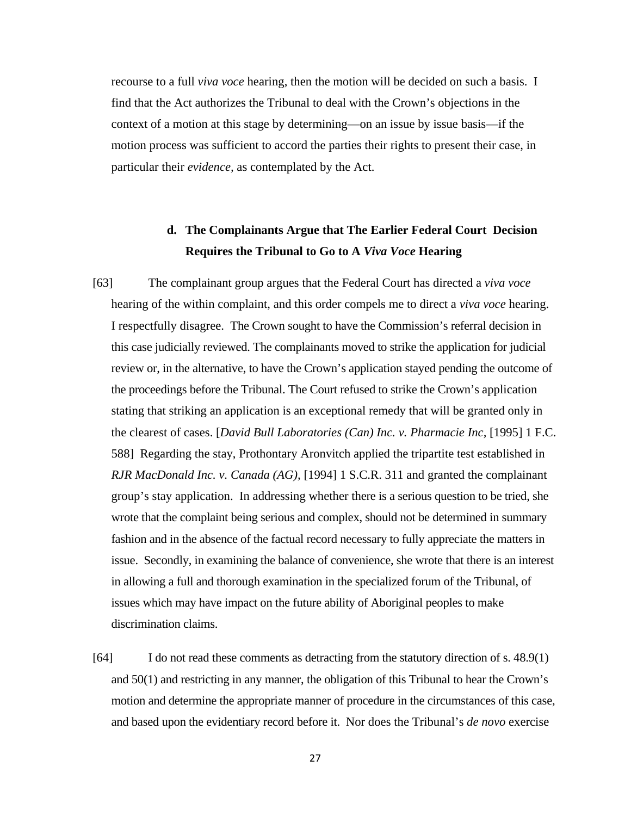recourse to a full *viva voce* hearing, then the motion will be decided on such a basis. I find that the Act authorizes the Tribunal to deal with the Crown's objections in the context of a motion at this stage by determining—on an issue by issue basis—if the motion process was sufficient to accord the parties their rights to present their case, in particular their *evidence,* as contemplated by the Act.

# **d. The Complainants Argue that The Earlier Federal Court Decision Requires the Tribunal to Go to A** *Viva Voce* **Hearing**

- [63] The complainant group argues that the Federal Court has directed a *viva voce* hearing of the within complaint, and this order compels me to direct a *viva voce* hearing. I respectfully disagree. The Crown sought to have the Commission's referral decision in this case judicially reviewed. The complainants moved to strike the application for judicial review or, in the alternative, to have the Crown's application stayed pending the outcome of the proceedings before the Tribunal. The Court refused to strike the Crown's application stating that striking an application is an exceptional remedy that will be granted only in the clearest of cases. [*David Bull Laboratories (Can) Inc. v. Pharmacie Inc,* [1995] 1 F.C. 588] Regarding the stay, Prothontary Aronvitch applied the tripartite test established in *RJR MacDonald Inc. v. Canada (AG),* [1994] 1 S.C.R. 311 and granted the complainant group's stay application. In addressing whether there is a serious question to be tried, she wrote that the complaint being serious and complex, should not be determined in summary fashion and in the absence of the factual record necessary to fully appreciate the matters in issue. Secondly, in examining the balance of convenience, she wrote that there is an interest in allowing a full and thorough examination in the specialized forum of the Tribunal, of issues which may have impact on the future ability of Aboriginal peoples to make discrimination claims.
- [64] I do not read these comments as detracting from the statutory direction of s. 48.9(1) and 50(1) and restricting in any manner, the obligation of this Tribunal to hear the Crown's motion and determine the appropriate manner of procedure in the circumstances of this case, and based upon the evidentiary record before it. Nor does the Tribunal's *de novo* exercise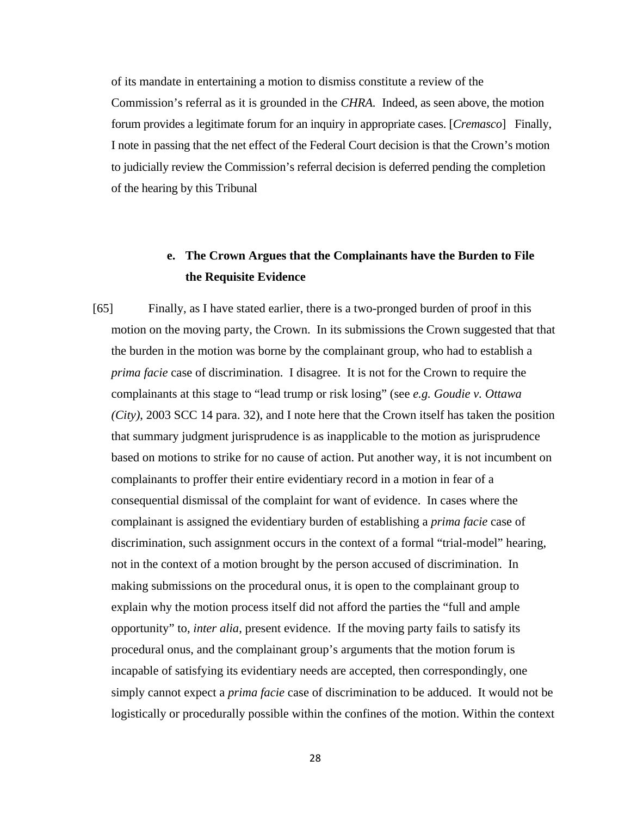of its mandate in entertaining a motion to dismiss constitute a review of the Commission's referral as it is grounded in the *CHRA.* Indeed, as seen above, the motion forum provides a legitimate forum for an inquiry in appropriate cases. [*Cremasco*] Finally, I note in passing that the net effect of the Federal Court decision is that the Crown's motion to judicially review the Commission's referral decision is deferred pending the completion of the hearing by this Tribunal

# **e. The Crown Argues that the Complainants have the Burden to File the Requisite Evidence**

[65] Finally, as I have stated earlier, there is a two-pronged burden of proof in this motion on the moving party, the Crown. In its submissions the Crown suggested that that the burden in the motion was borne by the complainant group, who had to establish a *prima facie* case of discrimination. I disagree. It is not for the Crown to require the complainants at this stage to "lead trump or risk losing" (see *e.g. Goudie v. Ottawa (City)*, 2003 SCC 14 para. 32), and I note here that the Crown itself has taken the position that summary judgment jurisprudence is as inapplicable to the motion as jurisprudence based on motions to strike for no cause of action. Put another way, it is not incumbent on complainants to proffer their entire evidentiary record in a motion in fear of a consequential dismissal of the complaint for want of evidence. In cases where the complainant is assigned the evidentiary burden of establishing a *prima facie* case of discrimination, such assignment occurs in the context of a formal "trial-model" hearing, not in the context of a motion brought by the person accused of discrimination. In making submissions on the procedural onus, it is open to the complainant group to explain why the motion process itself did not afford the parties the "full and ample opportunity" to, *inter alia*, present evidence. If the moving party fails to satisfy its procedural onus, and the complainant group's arguments that the motion forum is incapable of satisfying its evidentiary needs are accepted, then correspondingly, one simply cannot expect a *prima facie* case of discrimination to be adduced. It would not be logistically or procedurally possible within the confines of the motion. Within the context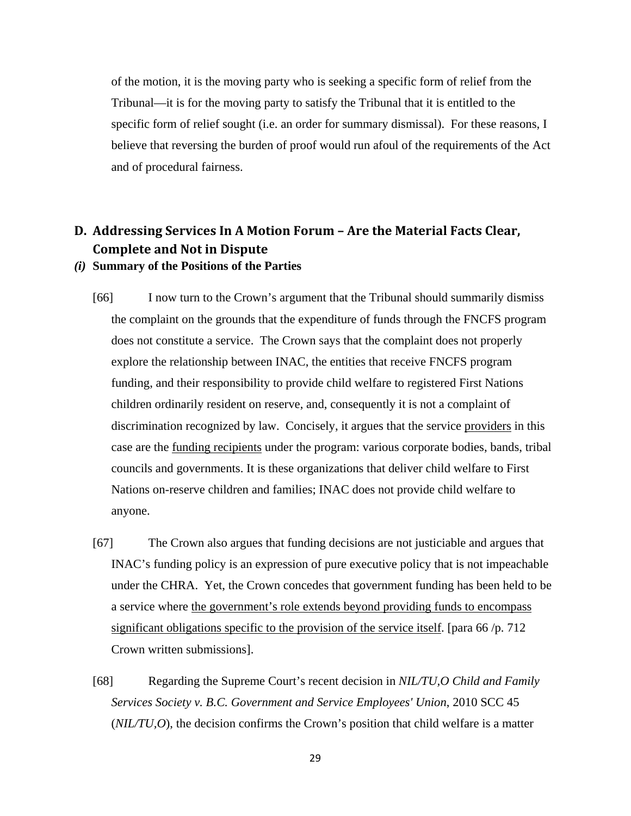of the motion, it is the moving party who is seeking a specific form of relief from the Tribunal—it is for the moving party to satisfy the Tribunal that it is entitled to the specific form of relief sought (i.e. an order for summary dismissal). For these reasons, I believe that reversing the burden of proof would run afoul of the requirements of the Act and of procedural fairness.

## **D. Addressing Services In A Motion Forum – Are the Material Facts Clear, Complete and Not in Dispute**

### *(i)* **Summary of the Positions of the Parties**

- [66] I now turn to the Crown's argument that the Tribunal should summarily dismiss the complaint on the grounds that the expenditure of funds through the FNCFS program does not constitute a service. The Crown says that the complaint does not properly explore the relationship between INAC, the entities that receive FNCFS program funding, and their responsibility to provide child welfare to registered First Nations children ordinarily resident on reserve, and, consequently it is not a complaint of discrimination recognized by law. Concisely, it argues that the service providers in this case are the funding recipients under the program: various corporate bodies, bands, tribal councils and governments. It is these organizations that deliver child welfare to First Nations on-reserve children and families; INAC does not provide child welfare to anyone.
- [67] The Crown also argues that funding decisions are not justiciable and argues that INAC's funding policy is an expression of pure executive policy that is not impeachable under the CHRA. Yet, the Crown concedes that government funding has been held to be a service where the government's role extends beyond providing funds to encompass significant obligations specific to the provision of the service itself. [para 66/p. 712] Crown written submissions].
- [68] Regarding the Supreme Court's recent decision in *NIL/TU,O Child and Family Services Society v. B.C. Government and Service Employees' Union*, 2010 SCC 45 (*NIL/TU,O*), the decision confirms the Crown's position that child welfare is a matter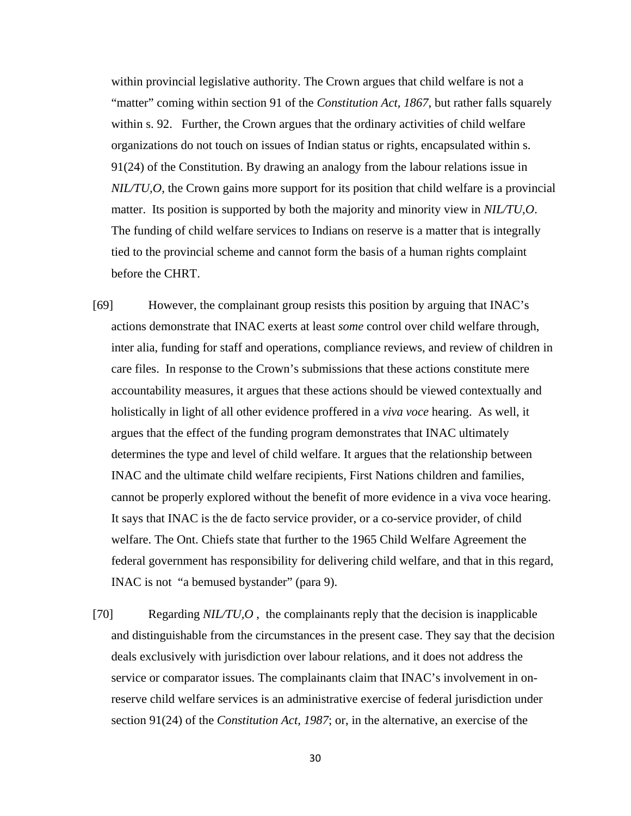within provincial legislative authority. The Crown argues that child welfare is not a "matter" coming within section 91 of the *Constitution Act, 1867*, but rather falls squarely within s. 92. Further, the Crown argues that the ordinary activities of child welfare organizations do not touch on issues of Indian status or rights, encapsulated within s. 91(24) of the Constitution. By drawing an analogy from the labour relations issue in *NIL/TU,O*, the Crown gains more support for its position that child welfare is a provincial matter. Its position is supported by both the majority and minority view in *NIL/TU,O*. The funding of child welfare services to Indians on reserve is a matter that is integrally tied to the provincial scheme and cannot form the basis of a human rights complaint before the CHRT.

- [69] However, the complainant group resists this position by arguing that INAC's actions demonstrate that INAC exerts at least *some* control over child welfare through, inter alia, funding for staff and operations, compliance reviews, and review of children in care files. In response to the Crown's submissions that these actions constitute mere accountability measures, it argues that these actions should be viewed contextually and holistically in light of all other evidence proffered in a *viva voce* hearing. As well, it argues that the effect of the funding program demonstrates that INAC ultimately determines the type and level of child welfare. It argues that the relationship between INAC and the ultimate child welfare recipients, First Nations children and families, cannot be properly explored without the benefit of more evidence in a viva voce hearing. It says that INAC is the de facto service provider, or a co-service provider, of child welfare. The Ont. Chiefs state that further to the 1965 Child Welfare Agreement the federal government has responsibility for delivering child welfare, and that in this regard, INAC is not "a bemused bystander" (para 9).
- [70] Regarding *NIL/TU,O* , the complainants reply that the decision is inapplicable and distinguishable from the circumstances in the present case. They say that the decision deals exclusively with jurisdiction over labour relations, and it does not address the service or comparator issues. The complainants claim that INAC's involvement in onreserve child welfare services is an administrative exercise of federal jurisdiction under section 91(24) of the *Constitution Act, 1987*; or, in the alternative, an exercise of the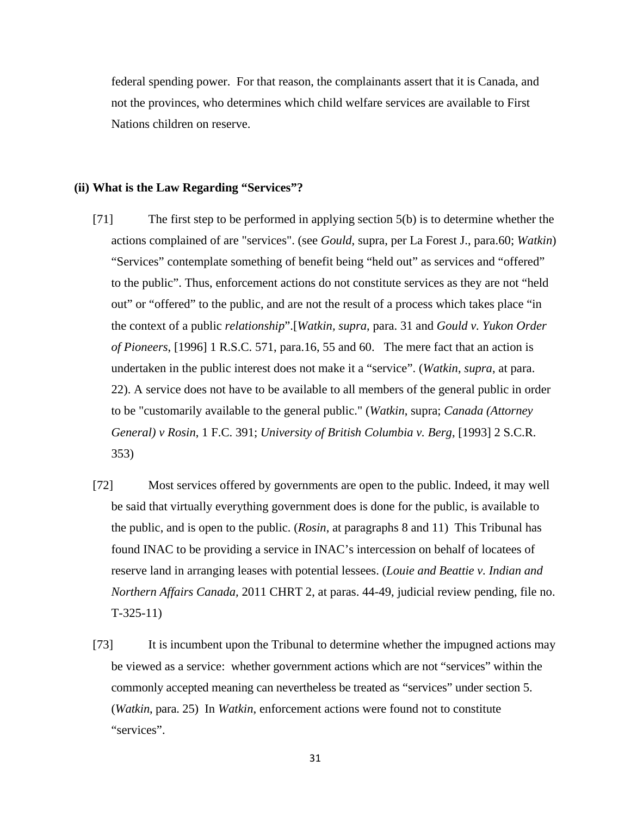federal spending power. For that reason, the complainants assert that it is Canada, and not the provinces, who determines which child welfare services are available to First Nations children on reserve.

### **(ii) What is the Law Regarding "Services"?**

- [71] The first step to be performed in applying section 5(b) is to determine whether the actions complained of are "services". (see *Gould*, supra, per La Forest J., para.60; *Watkin*) "Services" contemplate something of benefit being "held out" as services and "offered" to the public". Thus, enforcement actions do not constitute services as they are not "held out" or "offered" to the public, and are not the result of a process which takes place "in the context of a public *relationship*".[*Watkin, supra*, para. 31 and *Gould v. Yukon Order of Pioneers*, [1996] 1 R.S.C. 571, para.16, 55 and 60. The mere fact that an action is undertaken in the public interest does not make it a "service". (*Watkin*, *supra*, at para. 22). A service does not have to be available to all members of the general public in order to be "customarily available to the general public." (*Watkin*, supra; *Canada (Attorney General) v Rosin*, 1 F.C. 391; *University of British Columbia v. Berg*, [1993] 2 S.C.R. 353)
- [72] Most services offered by governments are open to the public. Indeed, it may well be said that virtually everything government does is done for the public, is available to the public, and is open to the public. (*Rosin*, at paragraphs 8 and 11) This Tribunal has found INAC to be providing a service in INAC's intercession on behalf of locatees of reserve land in arranging leases with potential lessees. (*Louie and Beattie v. Indian and Northern Affairs Canada,* 2011 CHRT 2, at paras. 44-49, judicial review pending, file no. T-325-11)
- [73] It is incumbent upon the Tribunal to determine whether the impugned actions may be viewed as a service: whether government actions which are not "services" within the commonly accepted meaning can nevertheless be treated as "services" under section 5. (*Watkin*, para. 25) In *Watkin*, enforcement actions were found not to constitute "services".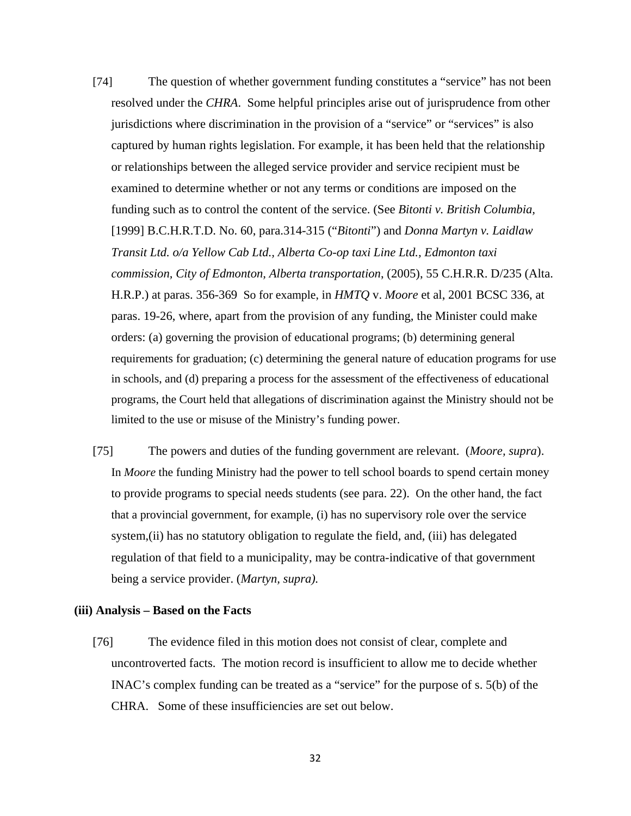- [74] The question of whether government funding constitutes a "service" has not been resolved under the *CHRA*. Some helpful principles arise out of jurisprudence from other jurisdictions where discrimination in the provision of a "service" or "services" is also captured by human rights legislation. For example, it has been held that the relationship or relationships between the alleged service provider and service recipient must be examined to determine whether or not any terms or conditions are imposed on the funding such as to control the content of the service. (See *Bitonti v. British Columbia,*  [1999] B.C.H.R.T.D. No. 60, para.314-315 ("*Bitonti*") and *Donna Martyn v. Laidlaw Transit Ltd. o/a Yellow Cab Ltd., Alberta Co-op taxi Line Ltd., Edmonton taxi commission, City of Edmonton, Alberta transportation*, (2005), 55 C.H.R.R. D/235 (Alta. H.R.P.) at paras. 356-369So for example, in *HMTQ* v. *Moore* et al, 2001 BCSC 336, at paras. 19-26, where, apart from the provision of any funding, the Minister could make orders: (a) governing the provision of educational programs; (b) determining general requirements for graduation; (c) determining the general nature of education programs for use in schools, and (d) preparing a process for the assessment of the effectiveness of educational programs, the Court held that allegations of discrimination against the Ministry should not be limited to the use or misuse of the Ministry's funding power.
- [75] The powers and duties of the funding government are relevant. (*Moore, supra*). In *Moore* the funding Ministry had the power to tell school boards to spend certain money to provide programs to special needs students (see para. 22). On the other hand, the fact that a provincial government, for example, (i) has no supervisory role over the service system,(ii) has no statutory obligation to regulate the field, and, (iii) has delegated regulation of that field to a municipality, may be contra-indicative of that government being a service provider. (*Martyn, supra).*

#### **(iii) Analysis – Based on the Facts**

[76] The evidence filed in this motion does not consist of clear, complete and uncontroverted facts. The motion record is insufficient to allow me to decide whether INAC's complex funding can be treated as a "service" for the purpose of s. 5(b) of the CHRA. Some of these insufficiencies are set out below.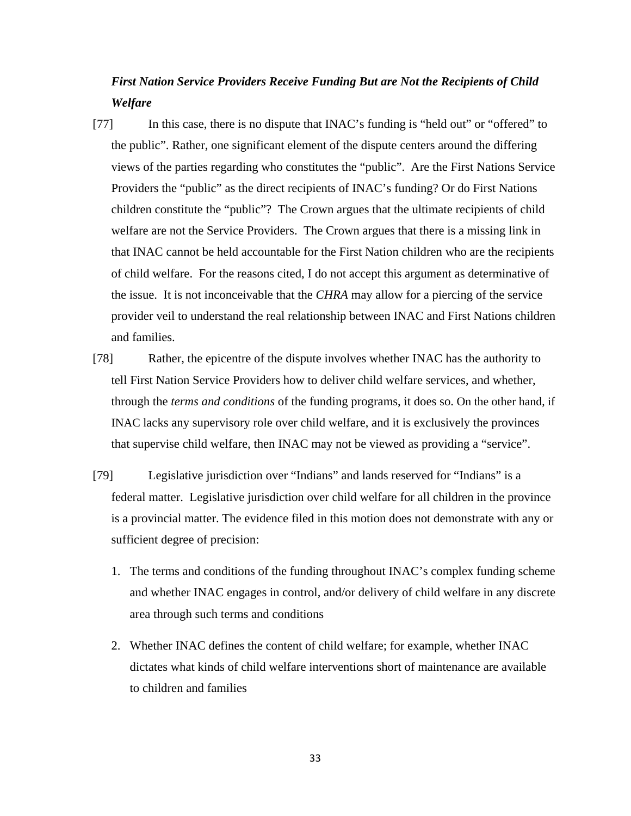# *First Nation Service Providers Receive Funding But are Not the Recipients of Child Welfare*

- [77] In this case, there is no dispute that INAC's funding is "held out" or "offered" to the public". Rather, one significant element of the dispute centers around the differing views of the parties regarding who constitutes the "public". Are the First Nations Service Providers the "public" as the direct recipients of INAC's funding? Or do First Nations children constitute the "public"? The Crown argues that the ultimate recipients of child welfare are not the Service Providers. The Crown argues that there is a missing link in that INAC cannot be held accountable for the First Nation children who are the recipients of child welfare. For the reasons cited, I do not accept this argument as determinative of the issue. It is not inconceivable that the *CHRA* may allow for a piercing of the service provider veil to understand the real relationship between INAC and First Nations children and families.
- [78] Rather, the epicentre of the dispute involves whether INAC has the authority to tell First Nation Service Providers how to deliver child welfare services, and whether, through the *terms and conditions* of the funding programs, it does so. On the other hand, if INAC lacks any supervisory role over child welfare, and it is exclusively the provinces that supervise child welfare, then INAC may not be viewed as providing a "service".
- [79] Legislative jurisdiction over "Indians" and lands reserved for "Indians" is a federal matter. Legislative jurisdiction over child welfare for all children in the province is a provincial matter. The evidence filed in this motion does not demonstrate with any or sufficient degree of precision:
	- 1. The terms and conditions of the funding throughout INAC's complex funding scheme and whether INAC engages in control, and/or delivery of child welfare in any discrete area through such terms and conditions
	- 2. Whether INAC defines the content of child welfare; for example, whether INAC dictates what kinds of child welfare interventions short of maintenance are available to children and families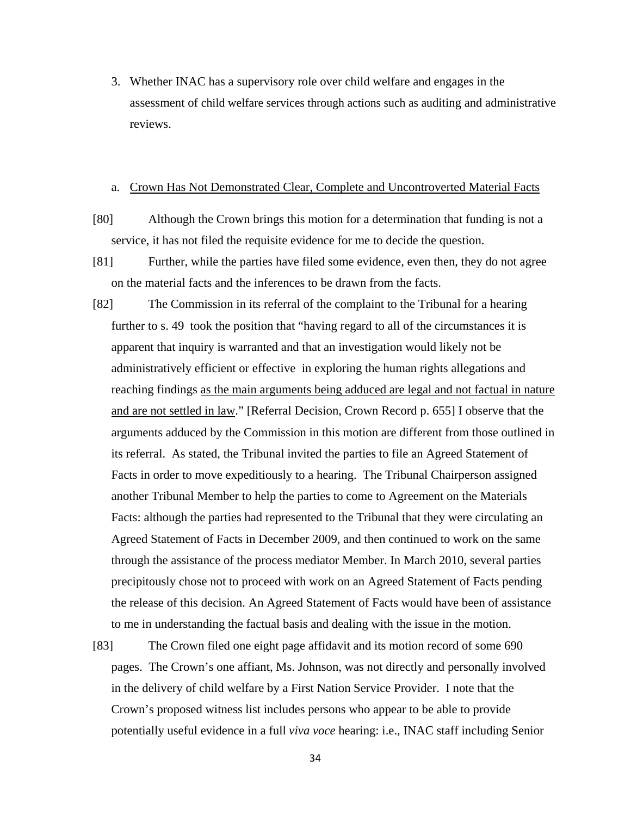3. Whether INAC has a supervisory role over child welfare and engages in the assessment of child welfare services through actions such as auditing and administrative reviews.

#### a. Crown Has Not Demonstrated Clear, Complete and Uncontroverted Material Facts

- [80] Although the Crown brings this motion for a determination that funding is not a service, it has not filed the requisite evidence for me to decide the question.
- [81] Further, while the parties have filed some evidence, even then, they do not agree on the material facts and the inferences to be drawn from the facts.
- [82] The Commission in its referral of the complaint to the Tribunal for a hearing further to s. 49 took the position that "having regard to all of the circumstances it is apparent that inquiry is warranted and that an investigation would likely not be administratively efficient or effective in exploring the human rights allegations and reaching findings as the main arguments being adduced are legal and not factual in nature and are not settled in law." [Referral Decision, Crown Record p. 655] I observe that the arguments adduced by the Commission in this motion are different from those outlined in its referral. As stated, the Tribunal invited the parties to file an Agreed Statement of Facts in order to move expeditiously to a hearing. The Tribunal Chairperson assigned another Tribunal Member to help the parties to come to Agreement on the Materials Facts: although the parties had represented to the Tribunal that they were circulating an Agreed Statement of Facts in December 2009, and then continued to work on the same through the assistance of the process mediator Member. In March 2010, several parties precipitously chose not to proceed with work on an Agreed Statement of Facts pending the release of this decision. An Agreed Statement of Facts would have been of assistance to me in understanding the factual basis and dealing with the issue in the motion.
- [83] The Crown filed one eight page affidavit and its motion record of some 690 pages. The Crown's one affiant, Ms. Johnson, was not directly and personally involved in the delivery of child welfare by a First Nation Service Provider. I note that the Crown's proposed witness list includes persons who appear to be able to provide potentially useful evidence in a full *viva voce* hearing: i.e., INAC staff including Senior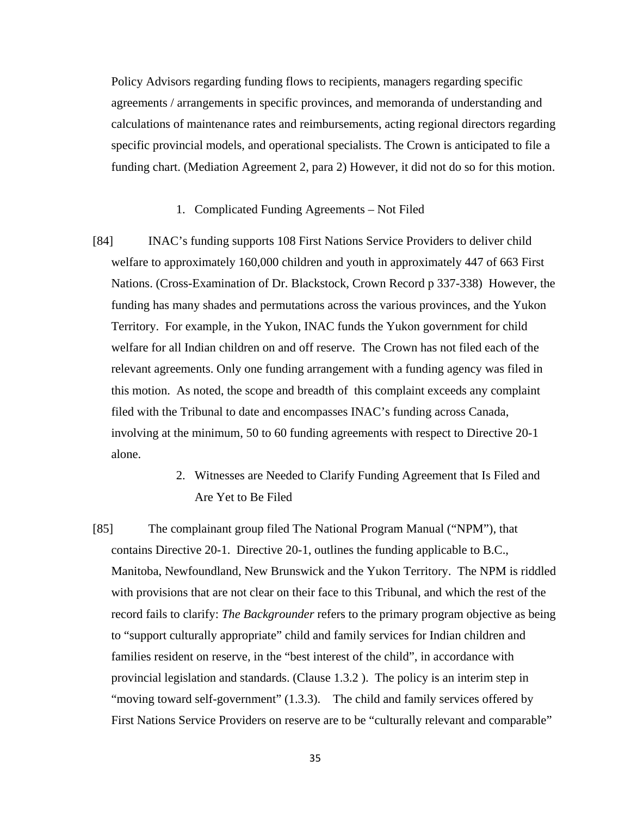Policy Advisors regarding funding flows to recipients, managers regarding specific agreements / arrangements in specific provinces, and memoranda of understanding and calculations of maintenance rates and reimbursements, acting regional directors regarding specific provincial models, and operational specialists. The Crown is anticipated to file a funding chart. (Mediation Agreement 2, para 2) However, it did not do so for this motion.

### 1. Complicated Funding Agreements – Not Filed

- [84] INAC's funding supports 108 First Nations Service Providers to deliver child welfare to approximately 160,000 children and youth in approximately 447 of 663 First Nations. (Cross-Examination of Dr. Blackstock, Crown Record p 337-338) However, the funding has many shades and permutations across the various provinces, and the Yukon Territory. For example, in the Yukon, INAC funds the Yukon government for child welfare for all Indian children on and off reserve. The Crown has not filed each of the relevant agreements. Only one funding arrangement with a funding agency was filed in this motion. As noted, the scope and breadth of this complaint exceeds any complaint filed with the Tribunal to date and encompasses INAC's funding across Canada, involving at the minimum, 50 to 60 funding agreements with respect to Directive 20-1 alone.
	- 2. Witnesses are Needed to Clarify Funding Agreement that Is Filed and Are Yet to Be Filed
- [85] The complainant group filed The National Program Manual ("NPM"), that contains Directive 20-1. Directive 20-1, outlines the funding applicable to B.C., Manitoba, Newfoundland, New Brunswick and the Yukon Territory. The NPM is riddled with provisions that are not clear on their face to this Tribunal, and which the rest of the record fails to clarify: *The Backgrounder* refers to the primary program objective as being to "support culturally appropriate" child and family services for Indian children and families resident on reserve, in the "best interest of the child", in accordance with provincial legislation and standards. (Clause 1.3.2 ). The policy is an interim step in "moving toward self-government" (1.3.3). The child and family services offered by First Nations Service Providers on reserve are to be "culturally relevant and comparable"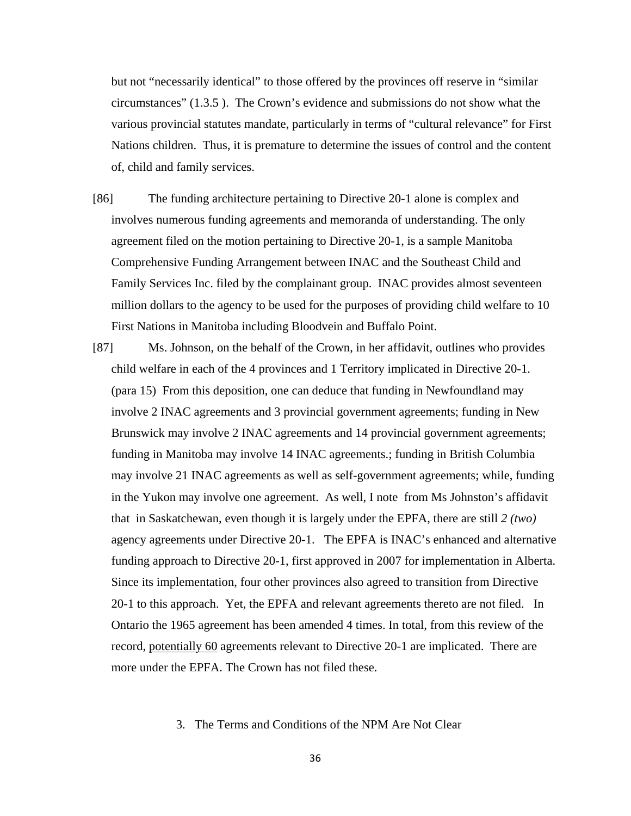but not "necessarily identical" to those offered by the provinces off reserve in "similar circumstances" (1.3.5 ). The Crown's evidence and submissions do not show what the various provincial statutes mandate, particularly in terms of "cultural relevance" for First Nations children. Thus, it is premature to determine the issues of control and the content of, child and family services.

- [86] The funding architecture pertaining to Directive 20-1 alone is complex and involves numerous funding agreements and memoranda of understanding. The only agreement filed on the motion pertaining to Directive 20-1, is a sample Manitoba Comprehensive Funding Arrangement between INAC and the Southeast Child and Family Services Inc. filed by the complainant group. INAC provides almost seventeen million dollars to the agency to be used for the purposes of providing child welfare to 10 First Nations in Manitoba including Bloodvein and Buffalo Point.
- [87] Ms. Johnson, on the behalf of the Crown, in her affidavit, outlines who provides child welfare in each of the 4 provinces and 1 Territory implicated in Directive 20-1. (para 15) From this deposition, one can deduce that funding in Newfoundland may involve 2 INAC agreements and 3 provincial government agreements; funding in New Brunswick may involve 2 INAC agreements and 14 provincial government agreements; funding in Manitoba may involve 14 INAC agreements.; funding in British Columbia may involve 21 INAC agreements as well as self-government agreements; while, funding in the Yukon may involve one agreement. As well, I note from Ms Johnston's affidavit that in Saskatchewan, even though it is largely under the EPFA, there are still *2 (two)*  agency agreements under Directive 20-1. The EPFA is INAC's enhanced and alternative funding approach to Directive 20-1, first approved in 2007 for implementation in Alberta. Since its implementation, four other provinces also agreed to transition from Directive 20-1 to this approach. Yet, the EPFA and relevant agreements thereto are not filed. In Ontario the 1965 agreement has been amended 4 times. In total, from this review of the record, potentially 60 agreements relevant to Directive 20-1 are implicated. There are more under the EPFA. The Crown has not filed these.

### 3. The Terms and Conditions of the NPM Are Not Clear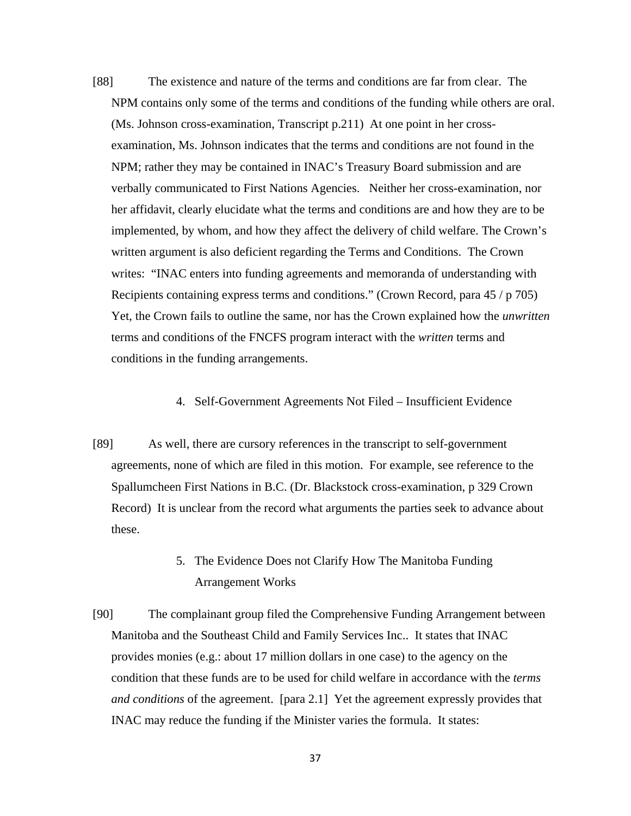- [88] The existence and nature of the terms and conditions are far from clear. The NPM contains only some of the terms and conditions of the funding while others are oral. (Ms. Johnson cross-examination, Transcript p.211) At one point in her crossexamination, Ms. Johnson indicates that the terms and conditions are not found in the NPM; rather they may be contained in INAC's Treasury Board submission and are verbally communicated to First Nations Agencies. Neither her cross-examination, nor her affidavit, clearly elucidate what the terms and conditions are and how they are to be implemented, by whom, and how they affect the delivery of child welfare. The Crown's written argument is also deficient regarding the Terms and Conditions. The Crown writes: "INAC enters into funding agreements and memoranda of understanding with Recipients containing express terms and conditions." (Crown Record, para 45 / p 705) Yet, the Crown fails to outline the same, nor has the Crown explained how the *unwritten* terms and conditions of the FNCFS program interact with the *written* terms and conditions in the funding arrangements.
	- 4. Self-Government Agreements Not Filed Insufficient Evidence
- [89] As well, there are cursory references in the transcript to self-government agreements, none of which are filed in this motion. For example, see reference to the Spallumcheen First Nations in B.C. (Dr. Blackstock cross-examination, p 329 Crown Record) It is unclear from the record what arguments the parties seek to advance about these.
	- 5. The Evidence Does not Clarify How The Manitoba Funding Arrangement Works
- [90] The complainant group filed the Comprehensive Funding Arrangement between Manitoba and the Southeast Child and Family Services Inc.. It states that INAC provides monies (e.g.: about 17 million dollars in one case) to the agency on the condition that these funds are to be used for child welfare in accordance with the *terms and conditions* of the agreement. [para 2.1] Yet the agreement expressly provides that INAC may reduce the funding if the Minister varies the formula. It states: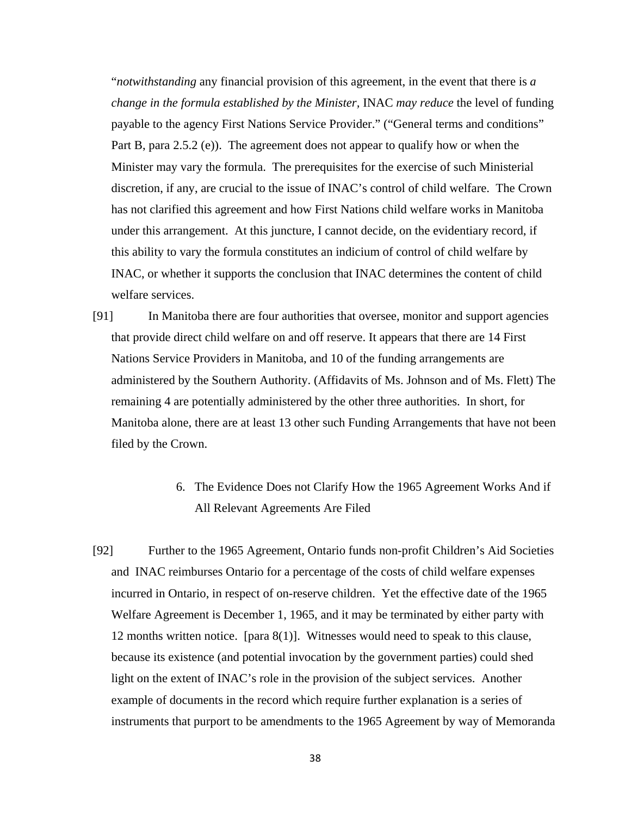"*notwithstanding* any financial provision of this agreement, in the event that there is *a change in the formula established by the Minister,* INAC *may reduce* the level of funding payable to the agency First Nations Service Provider." ("General terms and conditions" Part B, para 2.5.2 (e)). The agreement does not appear to qualify how or when the Minister may vary the formula. The prerequisites for the exercise of such Ministerial discretion, if any, are crucial to the issue of INAC's control of child welfare. The Crown has not clarified this agreement and how First Nations child welfare works in Manitoba under this arrangement. At this juncture, I cannot decide, on the evidentiary record, if this ability to vary the formula constitutes an indicium of control of child welfare by INAC, or whether it supports the conclusion that INAC determines the content of child welfare services.

[91] In Manitoba there are four authorities that oversee, monitor and support agencies that provide direct child welfare on and off reserve. It appears that there are 14 First Nations Service Providers in Manitoba, and 10 of the funding arrangements are administered by the Southern Authority. (Affidavits of Ms. Johnson and of Ms. Flett) The remaining 4 are potentially administered by the other three authorities. In short, for Manitoba alone, there are at least 13 other such Funding Arrangements that have not been filed by the Crown.

# 6. The Evidence Does not Clarify How the 1965 Agreement Works And if All Relevant Agreements Are Filed

[92] Further to the 1965 Agreement, Ontario funds non-profit Children's Aid Societies and INAC reimburses Ontario for a percentage of the costs of child welfare expenses incurred in Ontario, in respect of on-reserve children. Yet the effective date of the 1965 Welfare Agreement is December 1, 1965, and it may be terminated by either party with 12 months written notice. [para 8(1)]. Witnesses would need to speak to this clause, because its existence (and potential invocation by the government parties) could shed light on the extent of INAC's role in the provision of the subject services. Another example of documents in the record which require further explanation is a series of instruments that purport to be amendments to the 1965 Agreement by way of Memoranda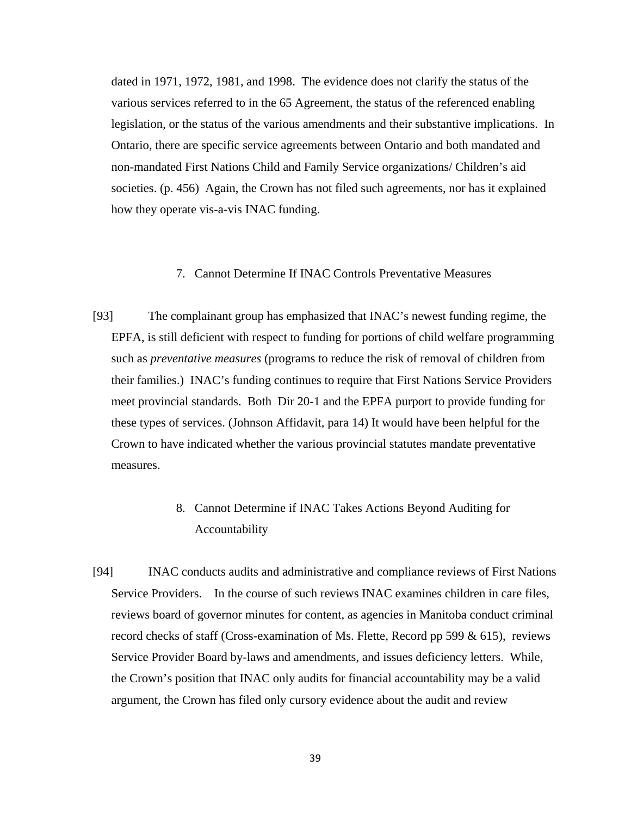dated in 1971, 1972, 1981, and 1998. The evidence does not clarify the status of the various services referred to in the 65 Agreement, the status of the referenced enabling legislation, or the status of the various amendments and their substantive implications. In Ontario, there are specific service agreements between Ontario and both mandated and non-mandated First Nations Child and Family Service organizations/ Children's aid societies. (p. 456) Again, the Crown has not filed such agreements, nor has it explained how they operate vis-a-vis INAC funding.

### 7. Cannot Determine If INAC Controls Preventative Measures

[93] The complainant group has emphasized that INAC's newest funding regime, the EPFA, is still deficient with respect to funding for portions of child welfare programming such as *preventative measures* (programs to reduce the risk of removal of children from their families.) INAC's funding continues to require that First Nations Service Providers meet provincial standards. Both Dir 20-1 and the EPFA purport to provide funding for these types of services. (Johnson Affidavit, para 14) It would have been helpful for the Crown to have indicated whether the various provincial statutes mandate preventative measures.

# 8. Cannot Determine if INAC Takes Actions Beyond Auditing for Accountability

[94] INAC conducts audits and administrative and compliance reviews of First Nations Service Providers. In the course of such reviews INAC examines children in care files, reviews board of governor minutes for content, as agencies in Manitoba conduct criminal record checks of staff (Cross-examination of Ms. Flette, Record pp 599 & 615), reviews Service Provider Board by-laws and amendments, and issues deficiency letters. While, the Crown's position that INAC only audits for financial accountability may be a valid argument, the Crown has filed only cursory evidence about the audit and review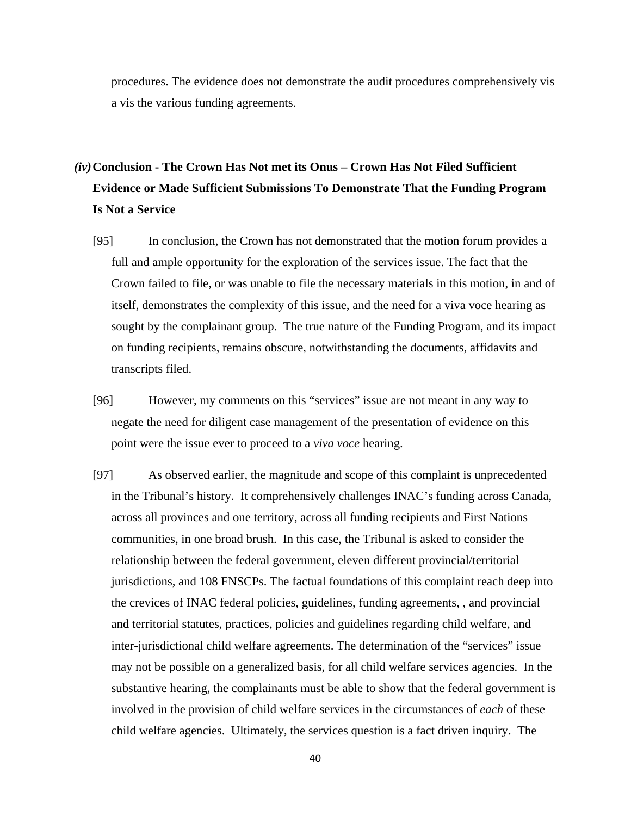procedures. The evidence does not demonstrate the audit procedures comprehensively vis a vis the various funding agreements.

# *(iv)***Conclusion - The Crown Has Not met its Onus – Crown Has Not Filed Sufficient Evidence or Made Sufficient Submissions To Demonstrate That the Funding Program Is Not a Service**

- [95] In conclusion, the Crown has not demonstrated that the motion forum provides a full and ample opportunity for the exploration of the services issue. The fact that the Crown failed to file, or was unable to file the necessary materials in this motion, in and of itself, demonstrates the complexity of this issue, and the need for a viva voce hearing as sought by the complainant group. The true nature of the Funding Program, and its impact on funding recipients, remains obscure, notwithstanding the documents, affidavits and transcripts filed.
- [96] However, my comments on this "services" issue are not meant in any way to negate the need for diligent case management of the presentation of evidence on this point were the issue ever to proceed to a *viva voce* hearing.
- [97] As observed earlier, the magnitude and scope of this complaint is unprecedented in the Tribunal's history. It comprehensively challenges INAC's funding across Canada, across all provinces and one territory, across all funding recipients and First Nations communities, in one broad brush. In this case, the Tribunal is asked to consider the relationship between the federal government, eleven different provincial/territorial jurisdictions, and 108 FNSCPs. The factual foundations of this complaint reach deep into the crevices of INAC federal policies, guidelines, funding agreements, , and provincial and territorial statutes, practices, policies and guidelines regarding child welfare, and inter-jurisdictional child welfare agreements. The determination of the "services" issue may not be possible on a generalized basis, for all child welfare services agencies. In the substantive hearing, the complainants must be able to show that the federal government is involved in the provision of child welfare services in the circumstances of *each* of these child welfare agencies. Ultimately, the services question is a fact driven inquiry. The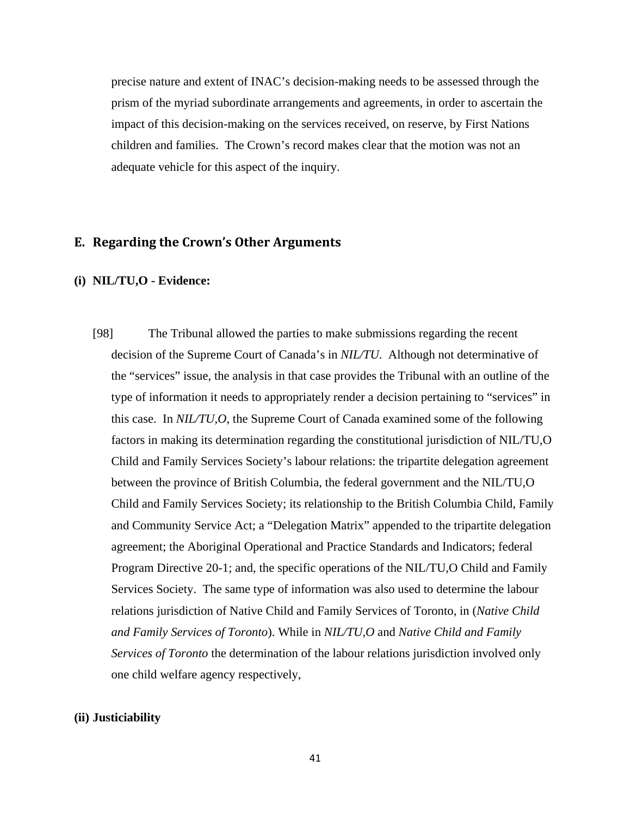precise nature and extent of INAC's decision-making needs to be assessed through the prism of the myriad subordinate arrangements and agreements, in order to ascertain the impact of this decision-making on the services received, on reserve, by First Nations children and families. The Crown's record makes clear that the motion was not an adequate vehicle for this aspect of the inquiry.

### **E. Regarding the Crown's Other Arguments**

#### **(i) NIL/TU,O - Evidence:**

[98] The Tribunal allowed the parties to make submissions regarding the recent decision of the Supreme Court of Canada's in *NIL/TU*. Although not determinative of the "services" issue, the analysis in that case provides the Tribunal with an outline of the type of information it needs to appropriately render a decision pertaining to "services" in this case. In *NIL/TU,O*, the Supreme Court of Canada examined some of the following factors in making its determination regarding the constitutional jurisdiction of NIL/TU,O Child and Family Services Society's labour relations: the tripartite delegation agreement between the province of British Columbia, the federal government and the NIL/TU,O Child and Family Services Society; its relationship to the British Columbia Child, Family and Community Service Act; a "Delegation Matrix" appended to the tripartite delegation agreement; the Aboriginal Operational and Practice Standards and Indicators; federal Program Directive 20-1; and, the specific operations of the NIL/TU,O Child and Family Services Society. The same type of information was also used to determine the labour relations jurisdiction of Native Child and Family Services of Toronto, in (*Native Child and Family Services of Toronto*). While in *NIL/TU,O* and *Native Child and Family Services of Toronto* the determination of the labour relations jurisdiction involved only one child welfare agency respectively,

### **(ii) Justiciability**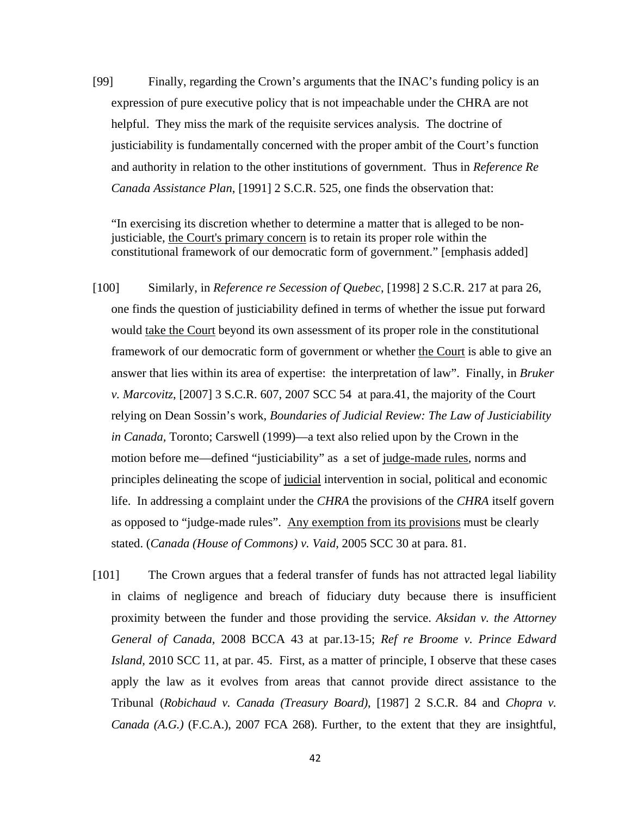[99] Finally, regarding the Crown's arguments that the INAC's funding policy is an expression of pure executive policy that is not impeachable under the CHRA are not helpful. They miss the mark of the requisite services analysis. The doctrine of justiciability is fundamentally concerned with the proper ambit of the Court's function and authority in relation to the other institutions of government. Thus in *Reference Re Canada Assistance Plan*, [1991] 2 S.C.R. 525, one finds the observation that:

"In exercising its discretion whether to determine a matter that is alleged to be nonjusticiable, the Court's primary concern is to retain its proper role within the constitutional framework of our democratic form of government." [emphasis added]

- [100] Similarly, in *Reference re Secession of Quebec*, [1998] 2 S.C.R. 217 at para 26, one finds the question of justiciability defined in terms of whether the issue put forward would take the Court beyond its own assessment of its proper role in the constitutional framework of our democratic form of government or whether the Court is able to give an answer that lies within its area of expertise: the interpretation of law". Finally, in *Bruker v. Marcovitz*, [2007] 3 S.C.R. 607, 2007 SCC 54 at para.41, the majority of the Court relying on Dean Sossin's work, *Boundaries of Judicial Review: The Law of Justiciability in Canada,* Toronto; Carswell (1999)—a text also relied upon by the Crown in the motion before me—defined "justiciability" as a set of judge-made rules, norms and principles delineating the scope of judicial intervention in social, political and economic life. In addressing a complaint under the *CHRA* the provisions of the *CHRA* itself govern as opposed to "judge-made rules". Any exemption from its provisions must be clearly stated. (*Canada (House of Commons) v. Vaid,* 2005 SCC 30 at para. 81.
- [101] The Crown argues that a federal transfer of funds has not attracted legal liability in claims of negligence and breach of fiduciary duty because there is insufficient proximity between the funder and those providing the service. *Aksidan v. the Attorney General of Canada,* 2008 BCCA 43 at par.13-15; *Ref re Broome v. Prince Edward Island,* 2010 SCC 11, at par. 45. First, as a matter of principle, I observe that these cases apply the law as it evolves from areas that cannot provide direct assistance to the Tribunal (*Robichaud v. Canada (Treasury Board)*, [1987] 2 S.C.R. 84 and *Chopra v. Canada (A.G.)* (F.C.A.), 2007 FCA 268). Further, to the extent that they are insightful,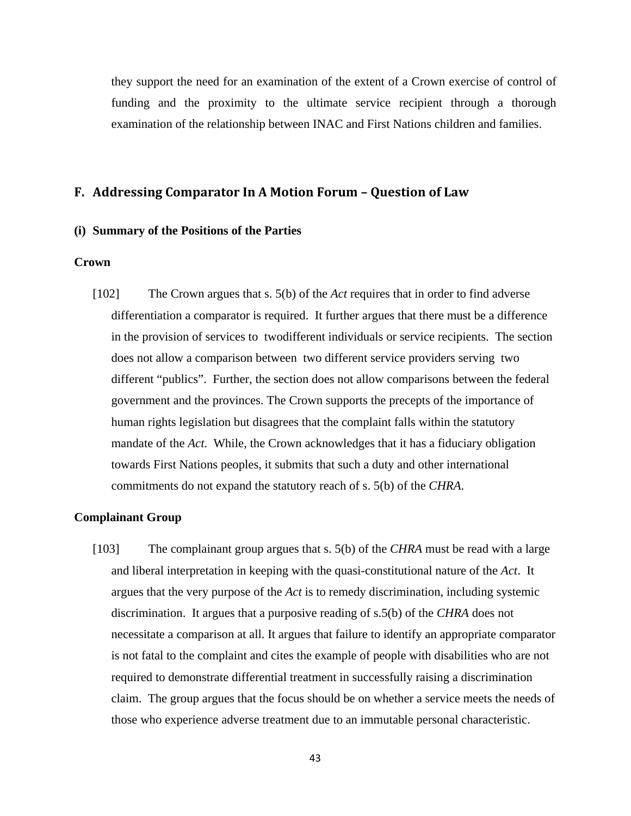they support the need for an examination of the extent of a Crown exercise of control of funding and the proximity to the ultimate service recipient through a thorough examination of the relationship between INAC and First Nations children and families.

### **F. Addressing Comparator In A Motion Forum – Question of Law**

#### **(i) Summary of the Positions of the Parties**

### **Crown**

[102] The Crown argues that s. 5(b) of the *Act* requires that in order to find adverse differentiation a comparator is required. It further argues that there must be a difference in the provision of services to twodifferent individuals or service recipients. The section does not allow a comparison between two different service providers serving two different "publics". Further, the section does not allow comparisons between the federal government and the provinces. The Crown supports the precepts of the importance of human rights legislation but disagrees that the complaint falls within the statutory mandate of the *Act*. While, the Crown acknowledges that it has a fiduciary obligation towards First Nations peoples, it submits that such a duty and other international commitments do not expand the statutory reach of s. 5(b) of the *CHRA*.

### **Complainant Group**

[103] The complainant group argues that s. 5(b) of the *CHRA* must be read with a large and liberal interpretation in keeping with the quasi-constitutional nature of the *Act*. It argues that the very purpose of the *Act* is to remedy discrimination, including systemic discrimination. It argues that a purposive reading of s.5(b) of the *CHRA* does not necessitate a comparison at all. It argues that failure to identify an appropriate comparator is not fatal to the complaint and cites the example of people with disabilities who are not required to demonstrate differential treatment in successfully raising a discrimination claim. The group argues that the focus should be on whether a service meets the needs of those who experience adverse treatment due to an immutable personal characteristic.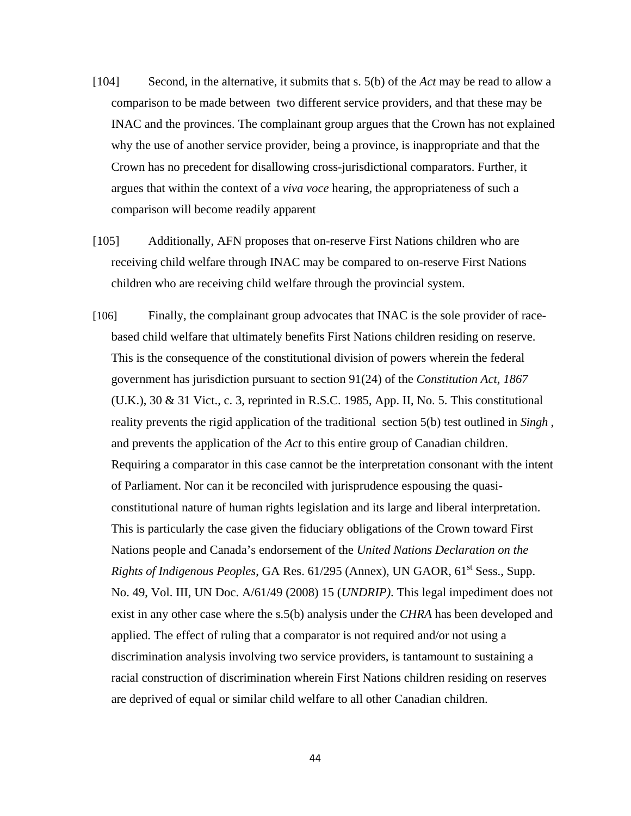- [104] Second, in the alternative, it submits that s. 5(b) of the *Act* may be read to allow a comparison to be made between two different service providers, and that these may be INAC and the provinces. The complainant group argues that the Crown has not explained why the use of another service provider, being a province, is inappropriate and that the Crown has no precedent for disallowing cross-jurisdictional comparators. Further, it argues that within the context of a *viva voce* hearing, the appropriateness of such a comparison will become readily apparent
- [105] Additionally, AFN proposes that on-reserve First Nations children who are receiving child welfare through INAC may be compared to on-reserve First Nations children who are receiving child welfare through the provincial system.
- [106] Finally, the complainant group advocates that INAC is the sole provider of racebased child welfare that ultimately benefits First Nations children residing on reserve. This is the consequence of the constitutional division of powers wherein the federal government has jurisdiction pursuant to section 91(24) of the *Constitution Act, 1867* (U.K.), 30 & 31 Vict., c. 3, reprinted in R.S.C. 1985, App. II, No. 5. This constitutional reality prevents the rigid application of the traditional section 5(b) test outlined in *Singh* , and prevents the application of the *Act* to this entire group of Canadian children. Requiring a comparator in this case cannot be the interpretation consonant with the intent of Parliament. Nor can it be reconciled with jurisprudence espousing the quasiconstitutional nature of human rights legislation and its large and liberal interpretation. This is particularly the case given the fiduciary obligations of the Crown toward First Nations people and Canada's endorsement of the *United Nations Declaration on the Rights of Indigenous Peoples*, GA Res. 61/295 (Annex), UN GAOR, 61<sup>st</sup> Sess., Supp. No. 49, Vol. III, UN Doc. A/61/49 (2008) 15 (*UNDRIP)*. This legal impediment does not exist in any other case where the s.5(b) analysis under the *CHRA* has been developed and applied. The effect of ruling that a comparator is not required and/or not using a discrimination analysis involving two service providers, is tantamount to sustaining a racial construction of discrimination wherein First Nations children residing on reserves are deprived of equal or similar child welfare to all other Canadian children.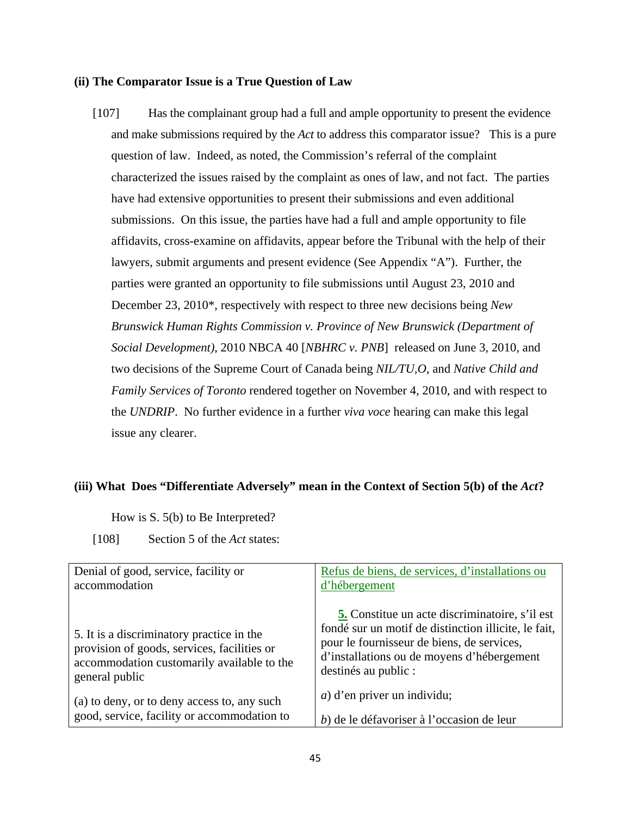### **(ii) The Comparator Issue is a True Question of Law**

[107] Has the complainant group had a full and ample opportunity to present the evidence and make submissions required by the *Act* to address this comparator issue? This is a pure question of law. Indeed, as noted, the Commission's referral of the complaint characterized the issues raised by the complaint as ones of law, and not fact. The parties have had extensive opportunities to present their submissions and even additional submissions. On this issue, the parties have had a full and ample opportunity to file affidavits, cross-examine on affidavits, appear before the Tribunal with the help of their lawyers, submit arguments and present evidence (See Appendix "A"). Further, the parties were granted an opportunity to file submissions until August 23, 2010 and December 23, 2010\*, respectively with respect to three new decisions being *New Brunswick Human Rights Commission v. Province of New Brunswick (Department of Social Development)*, 2010 NBCA 40 [*NBHRC v. PNB*] released on June 3, 2010, and two decisions of the Supreme Court of Canada being *NIL/TU,O*, and *Native Child and Family Services of Toronto* rendered together on November 4, 2010, and with respect to the *UNDRIP*. No further evidence in a further *viva voce* hearing can make this legal issue any clearer.

### (iii) What Does "Differentiate Adversely" mean in the Context of Section 5(b) of the *Act*?

How is S. 5(b) to Be Interpreted?

[108] Section 5 of the *Act* states:

| Denial of good, service, facility or                                                                                                                     | Refus de biens, de services, d'installations ou                                                                                                                                                                                   |
|----------------------------------------------------------------------------------------------------------------------------------------------------------|-----------------------------------------------------------------------------------------------------------------------------------------------------------------------------------------------------------------------------------|
| accommodation                                                                                                                                            | d'hébergement                                                                                                                                                                                                                     |
| 5. It is a discriminatory practice in the<br>provision of goods, services, facilities or<br>accommodation customarily available to the<br>general public | <b>5.</b> Constitue un acte discriminatoire, s'il est<br>fondé sur un motif de distinction illicite, le fait,<br>pour le fournisseur de biens, de services,<br>d'installations ou de moyens d'hébergement<br>destinés au public : |
| (a) to deny, or to deny access to, any such                                                                                                              | $a)$ d'en priver un individu;                                                                                                                                                                                                     |
| good, service, facility or accommodation to                                                                                                              | b) de le défavoriser à l'occasion de leur                                                                                                                                                                                         |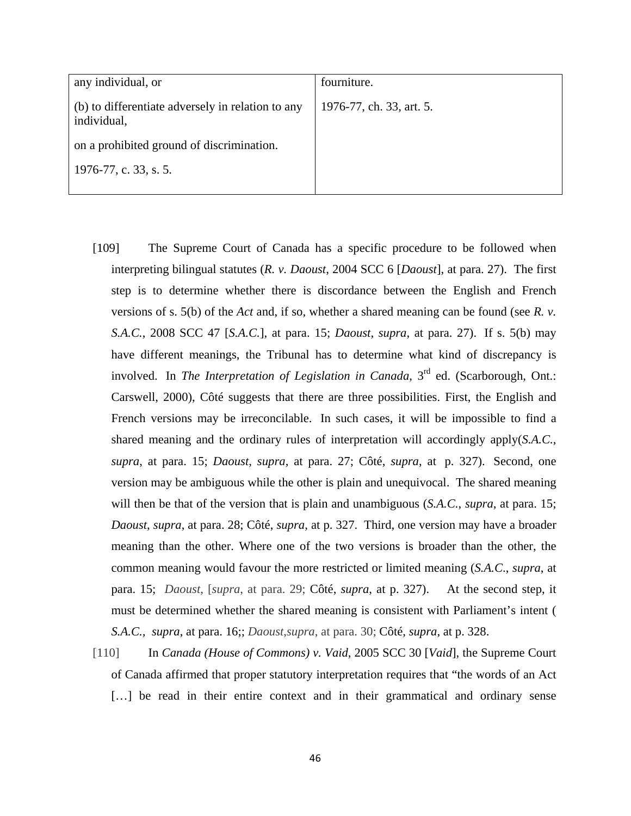| any individual, or                                               | fourniture.              |
|------------------------------------------------------------------|--------------------------|
| (b) to differentiate adversely in relation to any<br>individual, | 1976-77, ch. 33, art. 5. |
| on a prohibited ground of discrimination.                        |                          |
| 1976-77, c. 33, s. 5.                                            |                          |
|                                                                  |                          |

- [109] The Supreme Court of Canada has a specific procedure to be followed when interpreting bilingual statutes (*R. v. Daoust*, 2004 SCC 6 [*Daoust*], at para. 27). The first step is to determine whether there is discordance between the English and French versions of s. 5(b) of the *Act* and, if so, whether a shared meaning can be found (see *R. v. S.A.C.*, 2008 SCC 47 [*S.A.C.*], at para. 15; *Daoust*, *supra*, at para. 27). If s. 5(b) may have different meanings, the Tribunal has to determine what kind of discrepancy is involved. In *The Interpretation of Legislation in Canada*, 3<sup>rd</sup> ed. (Scarborough, Ont.: Carswell, 2000), Côté suggests that there are three possibilities. First, the English and French versions may be irreconcilable. In such cases, it will be impossible to find a shared meaning and the ordinary rules of interpretation will accordingly apply(*S.A.C.*, *supra*, at para. 15; *Daoust*, *supra*, at para. 27; Côté, *supra*, at p. 327). Second, one version may be ambiguous while the other is plain and unequivocal. The shared meaning will then be that of the version that is plain and unambiguous (*S.A.C.*, *supra*, at para. 15; *Daoust*, *supra*, at para. 28; Côté, *supra*, at p. 327. Third, one version may have a broader meaning than the other. Where one of the two versions is broader than the other, the common meaning would favour the more restricted or limited meaning (*S.A.C*., *supra*, at para. 15; *Daoust*, [*supra*, at para. 29; Côté, *supra*, at p. 327). At the second step, it must be determined whether the shared meaning is consistent with Parliament's intent ( *S.A.C., supra*, at para. 16;; *Daoust*,*supra*, at para. 30; Côté, *supra*, at p. 328.
- [110] In *Canada (House of Commons) v. Vaid*, 2005 SCC 30 [*Vaid*], the Supreme Court of Canada affirmed that proper statutory interpretation requires that "the words of an Act [...] be read in their entire context and in their grammatical and ordinary sense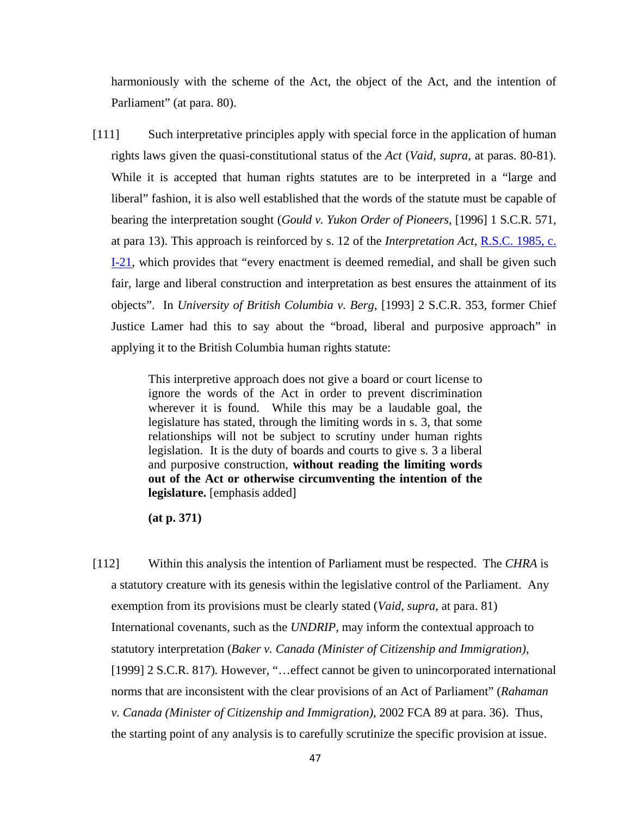harmoniously with the scheme of the Act, the object of the Act, and the intention of Parliament" (at para. 80).

[111] Such interpretative principles apply with special force in the application of human rights laws given the quasi-constitutional status of the *Act* (*Vaid*, *supra*, at paras. 80-81). While it is accepted that human rights statutes are to be interpreted in a "large and liberal" fashion, it is also well established that the words of the statute must be capable of bearing the interpretation sought (*Gould v. Yukon Order of Pioneers*, [1996] 1 S.C.R. 571, at para 13). This approach is reinforced by s. 12 of the *Interpretation Act*, R.S.C. 1985, c. I-21, which provides that "every enactment is deemed remedial, and shall be given such fair, large and liberal construction and interpretation as best ensures the attainment of its objects". In *University of British Columbia v. Berg*, [1993] 2 S.C.R. 353, former Chief Justice Lamer had this to say about the "broad, liberal and purposive approach" in applying it to the British Columbia human rights statute:

> This interpretive approach does not give a board or court license to ignore the words of the Act in order to prevent discrimination wherever it is found. While this may be a laudable goal, the legislature has stated, through the limiting words in s. 3, that some relationships will not be subject to scrutiny under human rights legislation. It is the duty of boards and courts to give s. 3 a liberal and purposive construction, **without reading the limiting words out of the Act or otherwise circumventing the intention of the legislature.** [emphasis added]

**(at p. 371)** 

[112] Within this analysis the intention of Parliament must be respected. The *CHRA* is a statutory creature with its genesis within the legislative control of the Parliament. Any exemption from its provisions must be clearly stated (*Vaid*, *supra*, at para. 81) International covenants, such as the *UNDRIP*, may inform the contextual approach to statutory interpretation (*Baker v. Canada (Minister of Citizenship and Immigration)*, [1999] 2 S.C.R. 817). However, "...effect cannot be given to unincorporated international norms that are inconsistent with the clear provisions of an Act of Parliament" (*Rahaman v. Canada (Minister of Citizenship and Immigration)*, 2002 FCA 89 at para. 36). Thus, the starting point of any analysis is to carefully scrutinize the specific provision at issue.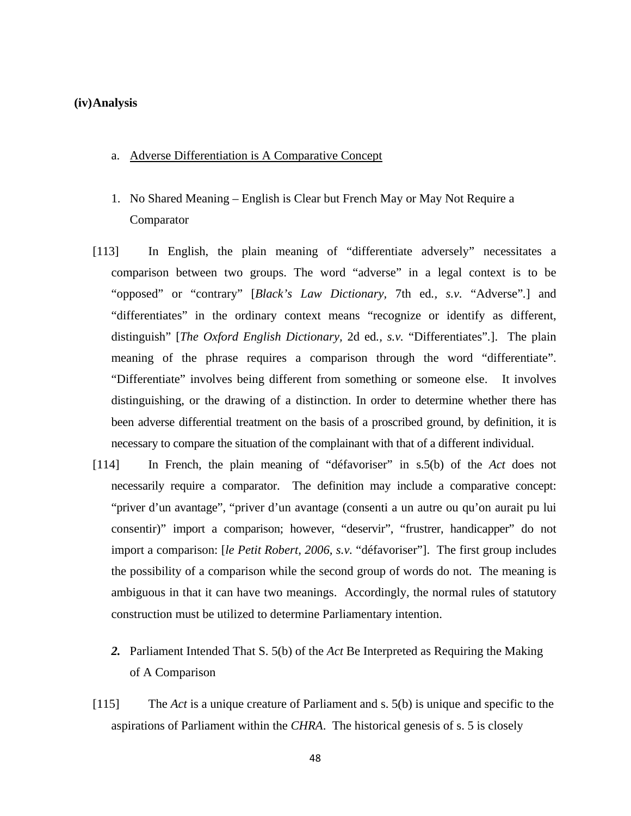### **(iv)Analysis**

### a. Adverse Differentiation is A Comparative Concept

- 1. No Shared Meaning English is Clear but French May or May Not Require a Comparator
- [113] In English, the plain meaning of "differentiate adversely" necessitates a comparison between two groups. The word "adverse" in a legal context is to be "opposed" or "contrary" [*Black's Law Dictionary,* 7th ed*., s.v.* "Adverse"*.*] and "differentiates" in the ordinary context means "recognize or identify as different, distinguish" [*The Oxford English Dictionary,* 2d ed*., s.v.* "Differentiates"*.*]. The plain meaning of the phrase requires a comparison through the word "differentiate". "Differentiate" involves being different from something or someone else. It involves distinguishing, or the drawing of a distinction. In order to determine whether there has been adverse differential treatment on the basis of a proscribed ground, by definition, it is necessary to compare the situation of the complainant with that of a different individual.
- [114] In French, the plain meaning of "défavoriser" in s.5(b) of the *Act* does not necessarily require a comparator. The definition may include a comparative concept: "priver d'un avantage", "priver d'un avantage (consenti a un autre ou qu'on aurait pu lui consentir)" import a comparison; however, "deservir", "frustrer, handicapper" do not import a comparison: [*le Petit Robert, 2006, s.v.* "défavoriser"]. The first group includes the possibility of a comparison while the second group of words do not. The meaning is ambiguous in that it can have two meanings. Accordingly, the normal rules of statutory construction must be utilized to determine Parliamentary intention.
	- *2.* Parliament Intended That S. 5(b) of the *Act* Be Interpreted as Requiring the Making of A Comparison
- [115] The *Act* is a unique creature of Parliament and s. 5(b) is unique and specific to the aspirations of Parliament within the *CHRA*. The historical genesis of s. 5 is closely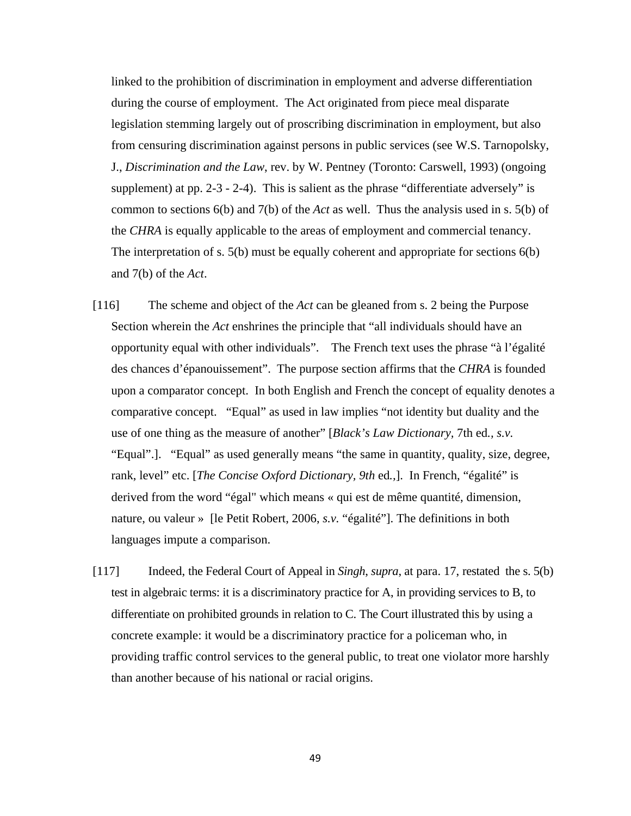linked to the prohibition of discrimination in employment and adverse differentiation during the course of employment. The Act originated from piece meal disparate legislation stemming largely out of proscribing discrimination in employment, but also from censuring discrimination against persons in public services (see W.S. Tarnopolsky, J., *Discrimination and the Law*, rev. by W. Pentney (Toronto: Carswell, 1993) (ongoing supplement) at pp. 2-3 - 2-4). This is salient as the phrase "differentiate adversely" is common to sections 6(b) and 7(b) of the *Act* as well. Thus the analysis used in s. 5(b) of the *CHRA* is equally applicable to the areas of employment and commercial tenancy. The interpretation of s. 5(b) must be equally coherent and appropriate for sections 6(b) and 7(b) of the *Act*.

- [116] The scheme and object of the *Act* can be gleaned from s. 2 being the Purpose Section wherein the *Act* enshrines the principle that "all individuals should have an opportunity equal with other individuals". The French text uses the phrase "à l'égalité des chances d'épanouissement". The purpose section affirms that the *CHRA* is founded upon a comparator concept. In both English and French the concept of equality denotes a comparative concept. "Equal" as used in law implies "not identity but duality and the use of one thing as the measure of another" [*Black's Law Dictionary,* 7th ed*., s.v.*  "Equal".]. "Equal" as used generally means "the same in quantity, quality, size, degree, rank, level" etc. [*The Concise Oxford Dictionary, 9th* ed*.,*]. In French, "égalité" is derived from the word "égal" which means « qui est de même quantité, dimension, nature, ou valeur » [le Petit Robert, 2006, *s.v.* "égalité"]. The definitions in both languages impute a comparison.
- [117] Indeed, the Federal Court of Appeal in *Singh*, *supra*, at para. 17, restated the s. 5(b) test in algebraic terms: it is a discriminatory practice for A, in providing services to B, to differentiate on prohibited grounds in relation to C. The Court illustrated this by using a concrete example: it would be a discriminatory practice for a policeman who, in providing traffic control services to the general public, to treat one violator more harshly than another because of his national or racial origins.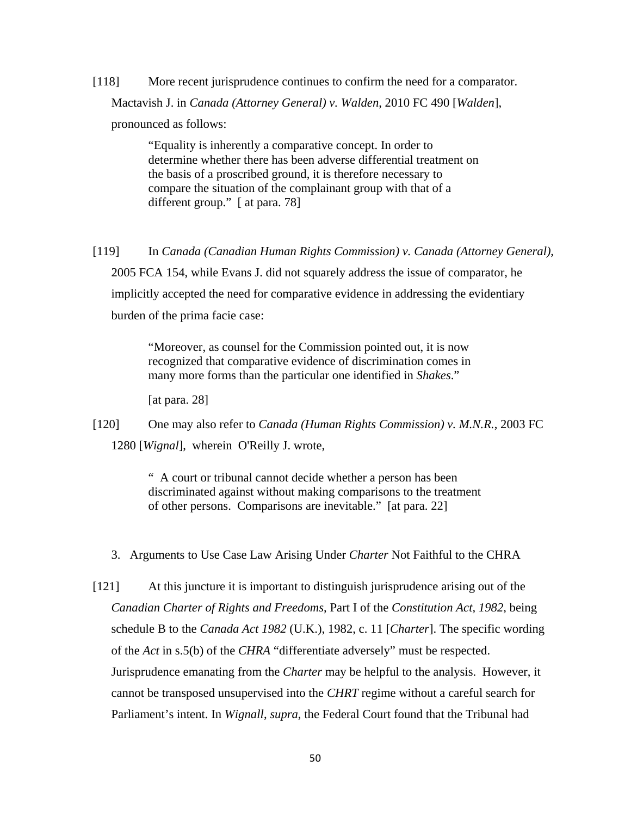[118] More recent jurisprudence continues to confirm the need for a comparator. Mactavish J. in *Canada (Attorney General) v. Walden*, 2010 FC 490 [*Walden*], pronounced as follows:

> "Equality is inherently a comparative concept. In order to determine whether there has been adverse differential treatment on the basis of a proscribed ground, it is therefore necessary to compare the situation of the complainant group with that of a different group." [ at para. 78]

[119] In *Canada (Canadian Human Rights Commission) v. Canada (Attorney General)*, 2005 FCA 154, while Evans J. did not squarely address the issue of comparator, he implicitly accepted the need for comparative evidence in addressing the evidentiary burden of the prima facie case:

> "Moreover, as counsel for the Commission pointed out, it is now recognized that comparative evidence of discrimination comes in many more forms than the particular one identified in *Shakes*."

[at para. 28]

[120] One may also refer to *Canada (Human Rights Commission) v. M.N.R.*, 2003 FC 1280 [*Wignal*], wherein O'Reilly J. wrote,

> " A court or tribunal cannot decide whether a person has been discriminated against without making comparisons to the treatment of other persons. Comparisons are inevitable." [at para. 22]

- 3. Arguments to Use Case Law Arising Under *Charter* Not Faithful to the CHRA
- [121] At this juncture it is important to distinguish jurisprudence arising out of the *Canadian Charter of Rights and Freedoms*, Part I of the *Constitution Act, 1982*, being schedule B to the *Canada Act 1982* (U.K.), 1982, c. 11 [*Charter*]. The specific wording of the *Act* in s.5(b) of the *CHRA* "differentiate adversely" must be respected. Jurisprudence emanating from the *Charter* may be helpful to the analysis. However, it cannot be transposed unsupervised into the *CHRT* regime without a careful search for Parliament's intent. In *Wignall*, *supra*, the Federal Court found that the Tribunal had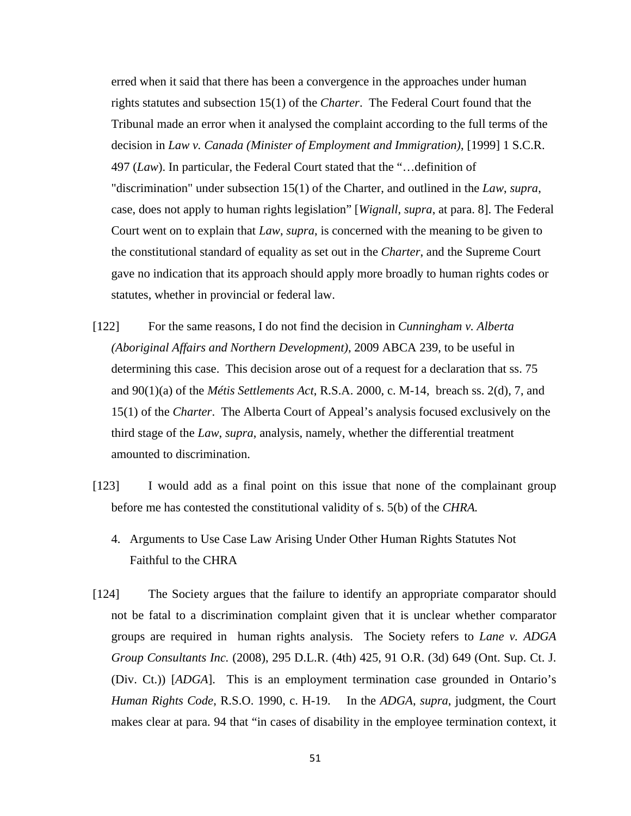erred when it said that there has been a convergence in the approaches under human rights statutes and subsection 15(1) of the *Charter*. The Federal Court found that the Tribunal made an error when it analysed the complaint according to the full terms of the decision in *Law v. Canada (Minister of Employment and Immigration)*, [1999] 1 S.C.R. 497 (*Law*). In particular, the Federal Court stated that the "…definition of "discrimination" under subsection 15(1) of the Charter, and outlined in the *Law*, *supra*, case, does not apply to human rights legislation" [*Wignall*, *supra*, at para. 8]. The Federal Court went on to explain that *Law*, *supra*, is concerned with the meaning to be given to the constitutional standard of equality as set out in the *Charter*, and the Supreme Court gave no indication that its approach should apply more broadly to human rights codes or statutes, whether in provincial or federal law.

- [122] For the same reasons, I do not find the decision in *Cunningham v. Alberta (Aboriginal Affairs and Northern Development)*, 2009 ABCA 239, to be useful in determining this case. This decision arose out of a request for a declaration that ss. 75 and 90(1)(a) of the *Métis Settlements Act*, R.S.A. 2000, c. M-14, breach ss. 2(d), 7, and 15(1) of the *Charter*. The Alberta Court of Appeal's analysis focused exclusively on the third stage of the *Law*, *supra*, analysis, namely, whether the differential treatment amounted to discrimination.
- [123] I would add as a final point on this issue that none of the complainant group before me has contested the constitutional validity of s. 5(b) of the *CHRA.*
	- 4. Arguments to Use Case Law Arising Under Other Human Rights Statutes Not Faithful to the CHRA
- [124] The Society argues that the failure to identify an appropriate comparator should not be fatal to a discrimination complaint given that it is unclear whether comparator groups are required in human rights analysis. The Society refers to *Lane v. ADGA Group Consultants Inc.* (2008), 295 D.L.R. (4th) 425, 91 O.R. (3d) 649 (Ont. Sup. Ct. J. (Div. Ct.)) [*ADGA*]. This is an employment termination case grounded in Ontario's *Human Rights Code*, R.S.O. 1990, c. H-19. In the *ADGA*, *supra*, judgment, the Court makes clear at para. 94 that "in cases of disability in the employee termination context, it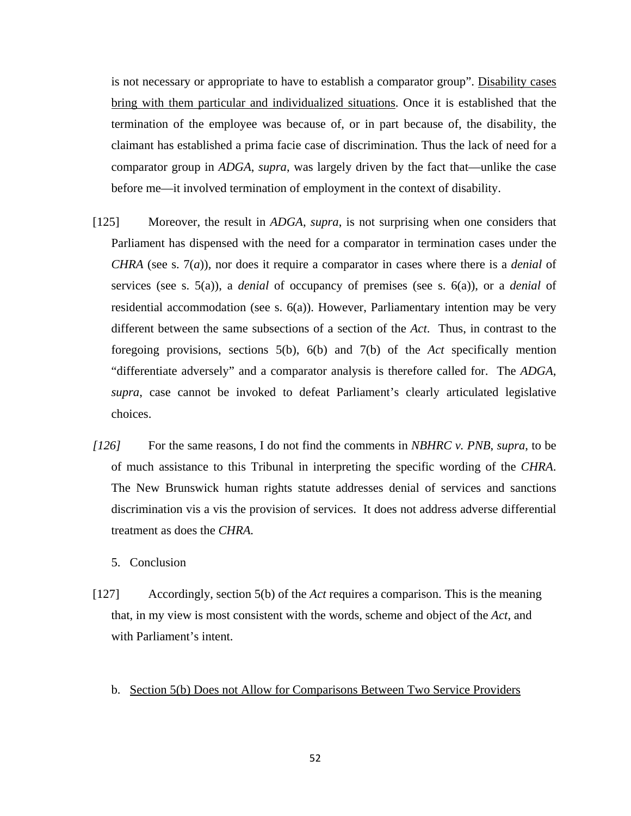is not necessary or appropriate to have to establish a comparator group". Disability cases bring with them particular and individualized situations. Once it is established that the termination of the employee was because of, or in part because of, the disability, the claimant has established a prima facie case of discrimination. Thus the lack of need for a comparator group in *ADGA*, *supra*, was largely driven by the fact that—unlike the case before me—it involved termination of employment in the context of disability.

- [125] Moreover, the result in *ADGA*, *supra*, is not surprising when one considers that Parliament has dispensed with the need for a comparator in termination cases under the *CHRA* (see s. 7(*a*))*,* nor does it require a comparator in cases where there is a *denial* of services (see s. 5(a)), a *denial* of occupancy of premises (see s. 6(a)), or a *denial* of residential accommodation (see s.  $6(a)$ ). However, Parliamentary intention may be very different between the same subsections of a section of the *Act*. Thus, in contrast to the foregoing provisions, sections 5(b), 6(b) and 7(b) of the *Act* specifically mention "differentiate adversely" and a comparator analysis is therefore called for. The *ADGA*, *supra*, case cannot be invoked to defeat Parliament's clearly articulated legislative choices.
- *[126]* For the same reasons, I do not find the comments in *NBHRC v. PNB*, *supra*, to be of much assistance to this Tribunal in interpreting the specific wording of the *CHRA*. The New Brunswick human rights statute addresses denial of services and sanctions discrimination vis a vis the provision of services. It does not address adverse differential treatment as does the *CHRA.* 
	- 5. Conclusion
- [127] Accordingly, section 5(b) of the *Act* requires a comparison. This is the meaning that, in my view is most consistent with the words, scheme and object of the *Act*, and with Parliament's intent.
	- b. Section 5(b) Does not Allow for Comparisons Between Two Service Providers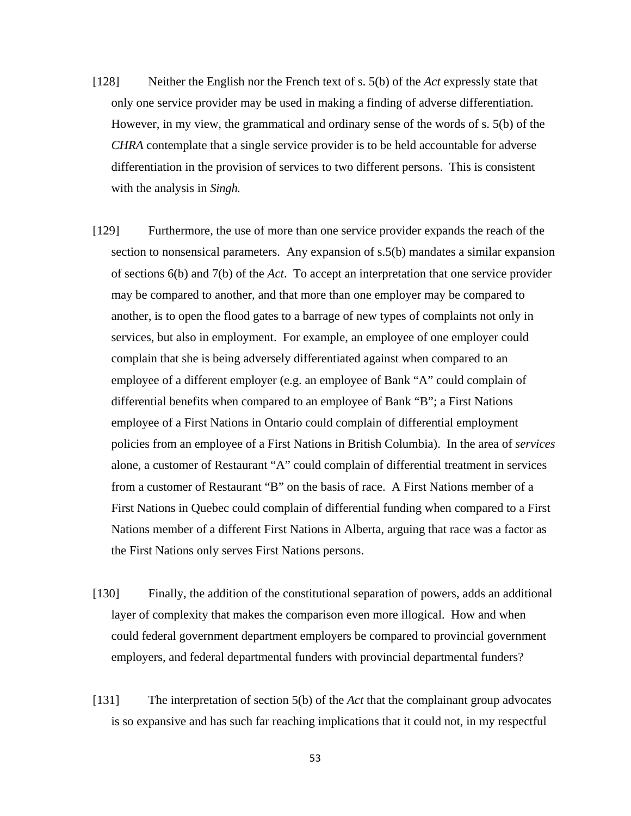- [128] Neither the English nor the French text of s. 5(b) of the *Act* expressly state that only one service provider may be used in making a finding of adverse differentiation. However, in my view, the grammatical and ordinary sense of the words of s. 5(b) of the *CHRA* contemplate that a single service provider is to be held accountable for adverse differentiation in the provision of services to two different persons. This is consistent with the analysis in *Singh.*
- [129] Furthermore, the use of more than one service provider expands the reach of the section to nonsensical parameters. Any expansion of s.5(b) mandates a similar expansion of sections 6(b) and 7(b) of the *Act*. To accept an interpretation that one service provider may be compared to another, and that more than one employer may be compared to another, is to open the flood gates to a barrage of new types of complaints not only in services, but also in employment. For example, an employee of one employer could complain that she is being adversely differentiated against when compared to an employee of a different employer (e.g. an employee of Bank "A" could complain of differential benefits when compared to an employee of Bank "B"; a First Nations employee of a First Nations in Ontario could complain of differential employment policies from an employee of a First Nations in British Columbia). In the area of *services* alone, a customer of Restaurant "A" could complain of differential treatment in services from a customer of Restaurant "B" on the basis of race. A First Nations member of a First Nations in Quebec could complain of differential funding when compared to a First Nations member of a different First Nations in Alberta, arguing that race was a factor as the First Nations only serves First Nations persons.
- [130] Finally, the addition of the constitutional separation of powers, adds an additional layer of complexity that makes the comparison even more illogical. How and when could federal government department employers be compared to provincial government employers, and federal departmental funders with provincial departmental funders?
- [131] The interpretation of section 5(b) of the *Act* that the complainant group advocates is so expansive and has such far reaching implications that it could not, in my respectful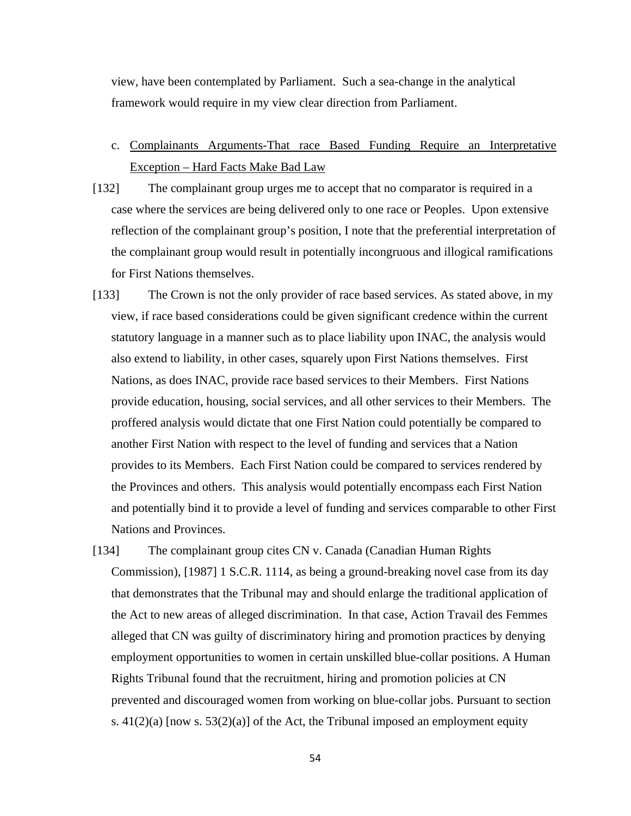view, have been contemplated by Parliament. Such a sea-change in the analytical framework would require in my view clear direction from Parliament.

- c. Complainants Arguments-That race Based Funding Require an Interpretative Exception – Hard Facts Make Bad Law
- [132] The complainant group urges me to accept that no comparator is required in a case where the services are being delivered only to one race or Peoples. Upon extensive reflection of the complainant group's position, I note that the preferential interpretation of the complainant group would result in potentially incongruous and illogical ramifications for First Nations themselves.
- [133] The Crown is not the only provider of race based services. As stated above, in my view, if race based considerations could be given significant credence within the current statutory language in a manner such as to place liability upon INAC, the analysis would also extend to liability, in other cases, squarely upon First Nations themselves. First Nations, as does INAC, provide race based services to their Members. First Nations provide education, housing, social services, and all other services to their Members. The proffered analysis would dictate that one First Nation could potentially be compared to another First Nation with respect to the level of funding and services that a Nation provides to its Members. Each First Nation could be compared to services rendered by the Provinces and others. This analysis would potentially encompass each First Nation and potentially bind it to provide a level of funding and services comparable to other First Nations and Provinces.
- [134] The complainant group cites CN v. Canada (Canadian Human Rights Commission), [1987] 1 S.C.R. 1114, as being a ground-breaking novel case from its day that demonstrates that the Tribunal may and should enlarge the traditional application of the Act to new areas of alleged discrimination. In that case, Action Travail des Femmes alleged that CN was guilty of discriminatory hiring and promotion practices by denying employment opportunities to women in certain unskilled blue-collar positions. A Human Rights Tribunal found that the recruitment, hiring and promotion policies at CN prevented and discouraged women from working on blue-collar jobs. Pursuant to section s.  $41(2)(a)$  [now s.  $53(2)(a)$ ] of the Act, the Tribunal imposed an employment equity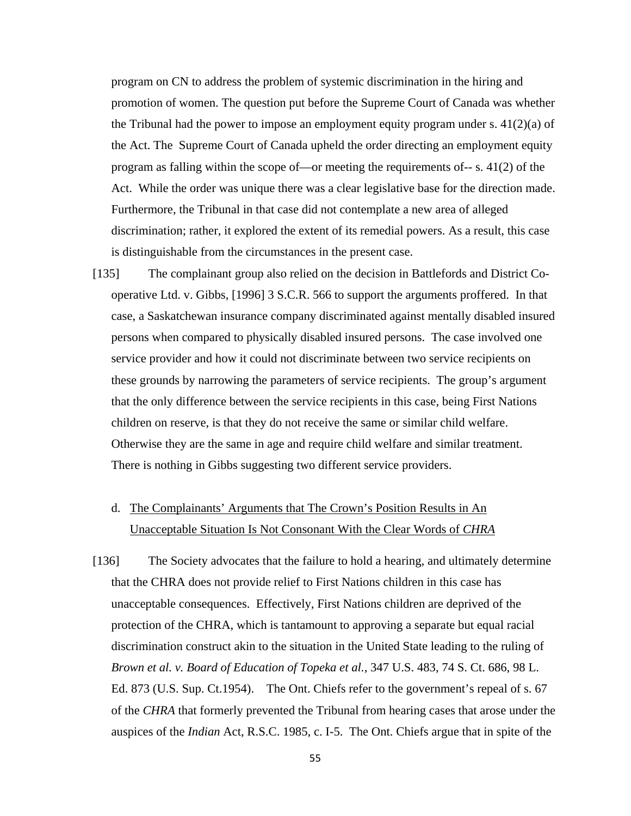program on CN to address the problem of systemic discrimination in the hiring and promotion of women. The question put before the Supreme Court of Canada was whether the Tribunal had the power to impose an employment equity program under s.  $41(2)(a)$  of the Act. The Supreme Court of Canada upheld the order directing an employment equity program as falling within the scope of—or meeting the requirements of-- s. 41(2) of the Act. While the order was unique there was a clear legislative base for the direction made. Furthermore, the Tribunal in that case did not contemplate a new area of alleged discrimination; rather, it explored the extent of its remedial powers. As a result, this case is distinguishable from the circumstances in the present case.

[135] The complainant group also relied on the decision in Battlefords and District Cooperative Ltd. v. Gibbs, [1996] 3 S.C.R. 566 to support the arguments proffered. In that case, a Saskatchewan insurance company discriminated against mentally disabled insured persons when compared to physically disabled insured persons. The case involved one service provider and how it could not discriminate between two service recipients on these grounds by narrowing the parameters of service recipients. The group's argument that the only difference between the service recipients in this case, being First Nations children on reserve, is that they do not receive the same or similar child welfare. Otherwise they are the same in age and require child welfare and similar treatment. There is nothing in Gibbs suggesting two different service providers.

# d. The Complainants' Arguments that The Crown's Position Results in An Unacceptable Situation Is Not Consonant With the Clear Words of *CHRA*

[136] The Society advocates that the failure to hold a hearing, and ultimately determine that the CHRA does not provide relief to First Nations children in this case has unacceptable consequences. Effectively, First Nations children are deprived of the protection of the CHRA, which is tantamount to approving a separate but equal racial discrimination construct akin to the situation in the United State leading to the ruling of *Brown et al. v. Board of Education of Topeka et al.*, 347 U.S. 483, 74 S. Ct. 686, 98 L. Ed. 873 (U.S. Sup. Ct.1954). The Ont. Chiefs refer to the government's repeal of s. 67 of the *CHRA* that formerly prevented the Tribunal from hearing cases that arose under the auspices of the *Indian* Act, R.S.C. 1985, c. I-5. The Ont. Chiefs argue that in spite of the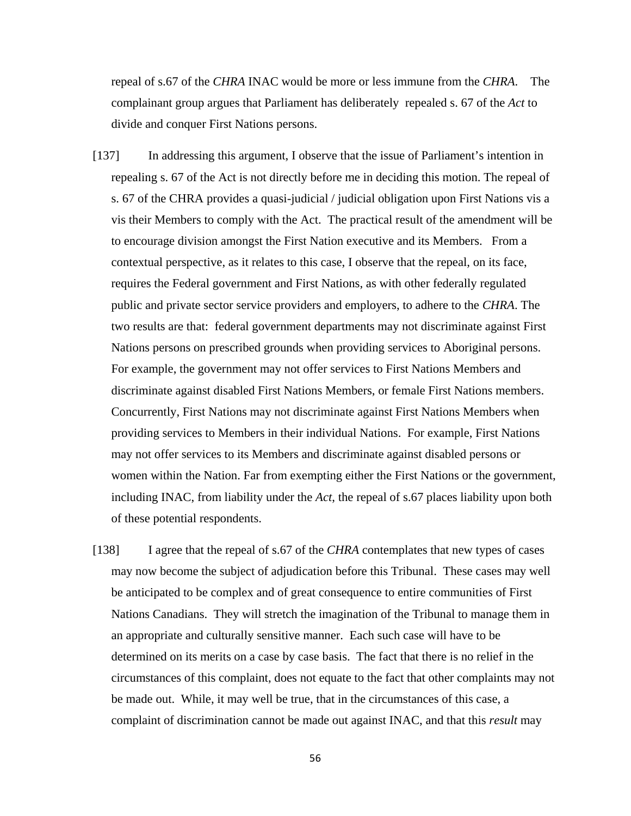repeal of s.67 of the *CHRA* INAC would be more or less immune from the *CHRA*. The complainant group argues that Parliament has deliberately repealed s. 67 of the *Act* to divide and conquer First Nations persons.

- [137] In addressing this argument, I observe that the issue of Parliament's intention in repealing s. 67 of the Act is not directly before me in deciding this motion. The repeal of s. 67 of the CHRA provides a quasi-judicial / judicial obligation upon First Nations vis a vis their Members to comply with the Act. The practical result of the amendment will be to encourage division amongst the First Nation executive and its Members. From a contextual perspective, as it relates to this case, I observe that the repeal, on its face, requires the Federal government and First Nations, as with other federally regulated public and private sector service providers and employers, to adhere to the *CHRA*. The two results are that: federal government departments may not discriminate against First Nations persons on prescribed grounds when providing services to Aboriginal persons. For example, the government may not offer services to First Nations Members and discriminate against disabled First Nations Members, or female First Nations members. Concurrently, First Nations may not discriminate against First Nations Members when providing services to Members in their individual Nations. For example, First Nations may not offer services to its Members and discriminate against disabled persons or women within the Nation. Far from exempting either the First Nations or the government, including INAC, from liability under the *Act*, the repeal of s.67 places liability upon both of these potential respondents.
- [138] I agree that the repeal of s.67 of the *CHRA* contemplates that new types of cases may now become the subject of adjudication before this Tribunal. These cases may well be anticipated to be complex and of great consequence to entire communities of First Nations Canadians. They will stretch the imagination of the Tribunal to manage them in an appropriate and culturally sensitive manner. Each such case will have to be determined on its merits on a case by case basis. The fact that there is no relief in the circumstances of this complaint, does not equate to the fact that other complaints may not be made out. While, it may well be true, that in the circumstances of this case, a complaint of discrimination cannot be made out against INAC, and that this *result* may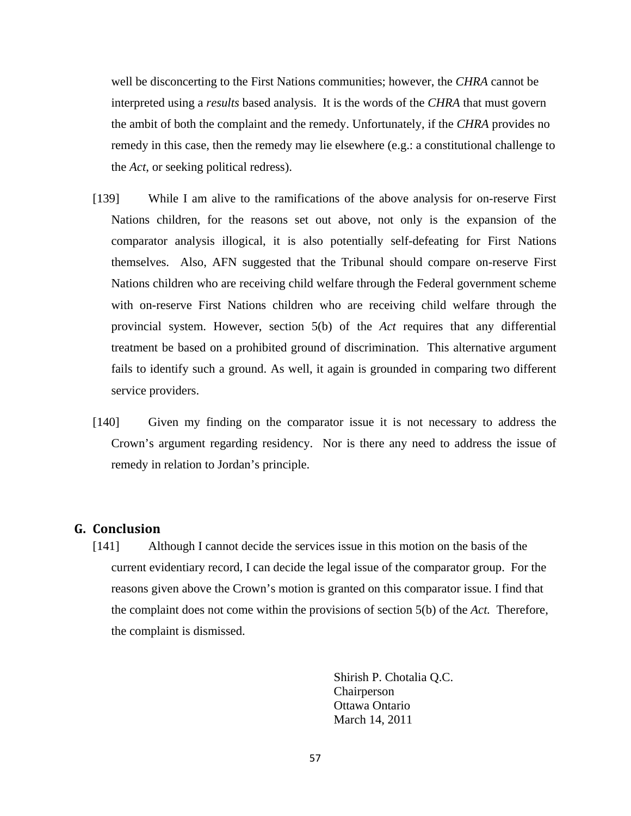well be disconcerting to the First Nations communities; however, the *CHRA* cannot be interpreted using a *results* based analysis. It is the words of the *CHRA* that must govern the ambit of both the complaint and the remedy. Unfortunately, if the *CHRA* provides no remedy in this case, then the remedy may lie elsewhere (e.g.: a constitutional challenge to the *Act*, or seeking political redress).

- [139] While I am alive to the ramifications of the above analysis for on-reserve First Nations children, for the reasons set out above, not only is the expansion of the comparator analysis illogical, it is also potentially self-defeating for First Nations themselves. Also, AFN suggested that the Tribunal should compare on-reserve First Nations children who are receiving child welfare through the Federal government scheme with on-reserve First Nations children who are receiving child welfare through the provincial system. However, section 5(b) of the *Act* requires that any differential treatment be based on a prohibited ground of discrimination. This alternative argument fails to identify such a ground. As well, it again is grounded in comparing two different service providers.
- [140] Given my finding on the comparator issue it is not necessary to address the Crown's argument regarding residency. Nor is there any need to address the issue of remedy in relation to Jordan's principle.

### **G. Conclusion**

[141] Although I cannot decide the services issue in this motion on the basis of the current evidentiary record, I can decide the legal issue of the comparator group. For the reasons given above the Crown's motion is granted on this comparator issue. I find that the complaint does not come within the provisions of section 5(b) of the *Act.* Therefore, the complaint is dismissed.

> Shirish P. Chotalia Q.C. Chairperson Ottawa Ontario March 14, 2011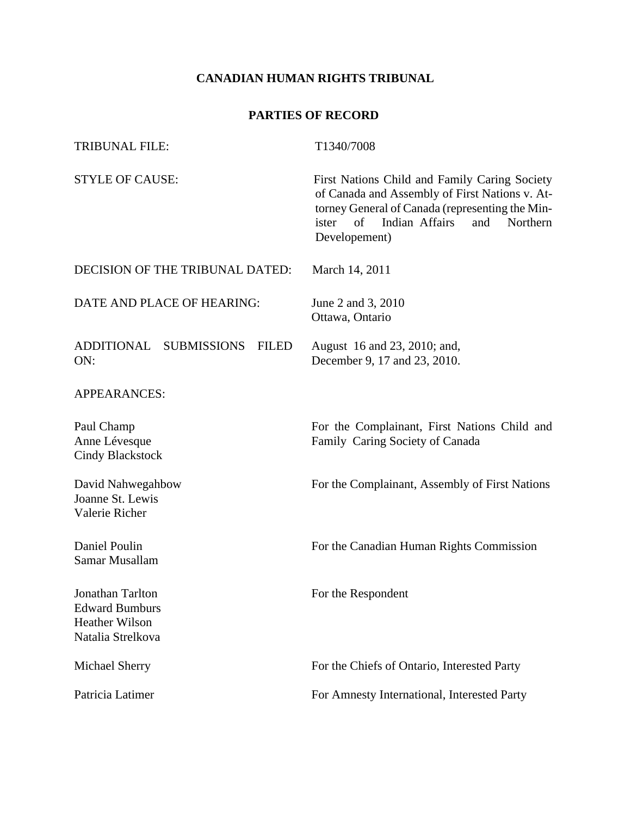### **CANADIAN HUMAN RIGHTS TRIBUNAL**

## **PARTIES OF RECORD**

| <b>TRIBUNAL FILE:</b>                                                                   | T1340/7008                                                                                                                                                                                                              |  |  |
|-----------------------------------------------------------------------------------------|-------------------------------------------------------------------------------------------------------------------------------------------------------------------------------------------------------------------------|--|--|
| <b>STYLE OF CAUSE:</b>                                                                  | First Nations Child and Family Caring Society<br>of Canada and Assembly of First Nations v. At-<br>torney General of Canada (representing the Min-<br>Indian Affairs<br>of<br>and<br>ister<br>Northern<br>Developement) |  |  |
| DECISION OF THE TRIBUNAL DATED:                                                         | March 14, 2011                                                                                                                                                                                                          |  |  |
| DATE AND PLACE OF HEARING:                                                              | June 2 and 3, 2010<br>Ottawa, Ontario                                                                                                                                                                                   |  |  |
| ADDITIONAL SUBMISSIONS<br><b>FILED</b><br>ON:                                           | August 16 and 23, 2010; and,<br>December 9, 17 and 23, 2010.                                                                                                                                                            |  |  |
| <b>APPEARANCES:</b>                                                                     |                                                                                                                                                                                                                         |  |  |
| Paul Champ<br>Anne Lévesque<br><b>Cindy Blackstock</b>                                  | For the Complainant, First Nations Child and<br>Family Caring Society of Canada                                                                                                                                         |  |  |
| David Nahwegahbow<br>Joanne St. Lewis<br>Valerie Richer                                 | For the Complainant, Assembly of First Nations                                                                                                                                                                          |  |  |
| Daniel Poulin<br>Samar Musallam                                                         | For the Canadian Human Rights Commission                                                                                                                                                                                |  |  |
| Jonathan Tarlton<br><b>Edward Bumburs</b><br><b>Heather Wilson</b><br>Natalia Strelkova | For the Respondent                                                                                                                                                                                                      |  |  |
| Michael Sherry                                                                          | For the Chiefs of Ontario, Interested Party                                                                                                                                                                             |  |  |
| Patricia Latimer                                                                        | For Amnesty International, Interested Party                                                                                                                                                                             |  |  |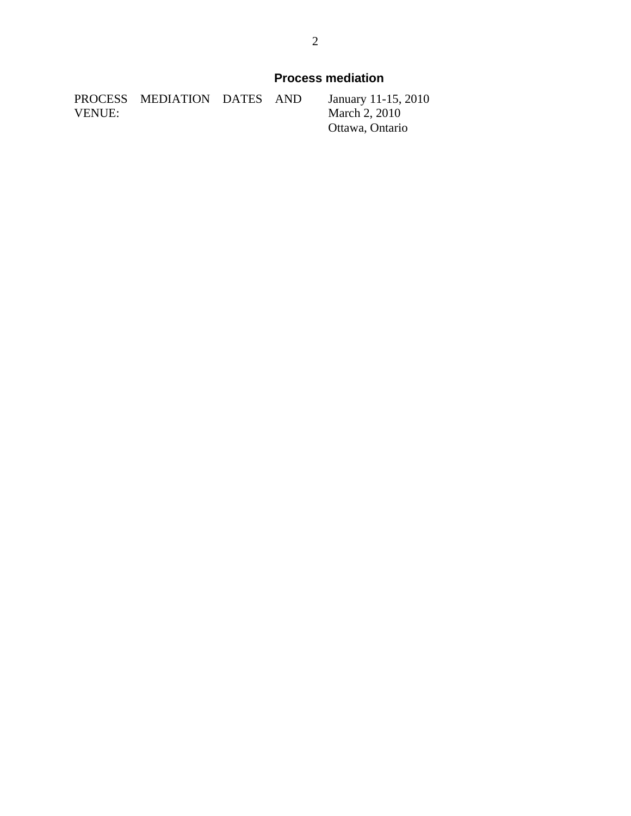|        | PROCESS MEDIATION DATES AND |  | January 11-1                           |
|--------|-----------------------------|--|----------------------------------------|
| VENUE: |                             |  | <b>March 2, 201</b>                    |
|        |                             |  | $Q$ <sup>ttawa <math>Q</math>nte</sup> |

 $15, 2010$  $10<sup>1</sup>$ Ottawa, Ontario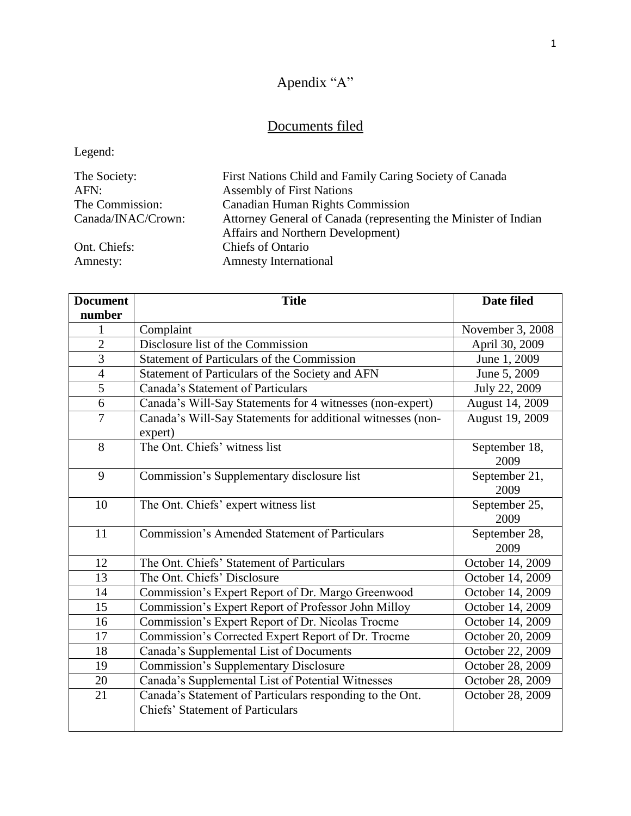# Apendix "A"

# Documents filed

Legend:

| The Society:       | First Nations Child and Family Caring Society of Canada         |
|--------------------|-----------------------------------------------------------------|
| AFN:               | <b>Assembly of First Nations</b>                                |
| The Commission:    | <b>Canadian Human Rights Commission</b>                         |
| Canada/INAC/Crown: | Attorney General of Canada (representing the Minister of Indian |
|                    | Affairs and Northern Development)                               |
| Ont. Chiefs:       | <b>Chiefs of Ontario</b>                                        |
| Amnesty:           | <b>Amnesty International</b>                                    |

| <b>Document</b> | <b>Title</b>                                                                                        | <b>Date filed</b>     |
|-----------------|-----------------------------------------------------------------------------------------------------|-----------------------|
| number          |                                                                                                     |                       |
| 1               | Complaint                                                                                           | November 3, 2008      |
| $\overline{2}$  | Disclosure list of the Commission                                                                   | April 30, 2009        |
| $\overline{3}$  | <b>Statement of Particulars of the Commission</b>                                                   | June 1, 2009          |
| $\overline{4}$  | Statement of Particulars of the Society and AFN                                                     | June 5, 2009          |
| 5               | Canada's Statement of Particulars                                                                   | July 22, 2009         |
| 6               | Canada's Will-Say Statements for 4 witnesses (non-expert)                                           | August 14, 2009       |
| $\overline{7}$  | Canada's Will-Say Statements for additional witnesses (non-<br>expert)                              | August 19, 2009       |
| 8               | The Ont. Chiefs' witness list                                                                       | September 18,<br>2009 |
| 9               | Commission's Supplementary disclosure list                                                          | September 21,<br>2009 |
| 10              | The Ont. Chiefs' expert witness list                                                                | September 25,<br>2009 |
| 11              | <b>Commission's Amended Statement of Particulars</b>                                                | September 28,<br>2009 |
| 12              | The Ont. Chiefs' Statement of Particulars                                                           | October 14, 2009      |
| 13              | The Ont. Chiefs' Disclosure                                                                         | October 14, 2009      |
| 14              | Commission's Expert Report of Dr. Margo Greenwood                                                   | October 14, 2009      |
| 15              | Commission's Expert Report of Professor John Milloy                                                 | October 14, 2009      |
| 16              | Commission's Expert Report of Dr. Nicolas Trocme                                                    | October 14, 2009      |
| 17              | Commission's Corrected Expert Report of Dr. Trocme                                                  | October 20, 2009      |
| 18              | Canada's Supplemental List of Documents                                                             | October 22, 2009      |
| 19              | <b>Commission's Supplementary Disclosure</b>                                                        | October 28, 2009      |
| 20              | Canada's Supplemental List of Potential Witnesses                                                   | October 28, 2009      |
| 21              | Canada's Statement of Particulars responding to the Ont.<br><b>Chiefs' Statement of Particulars</b> | October 28, 2009      |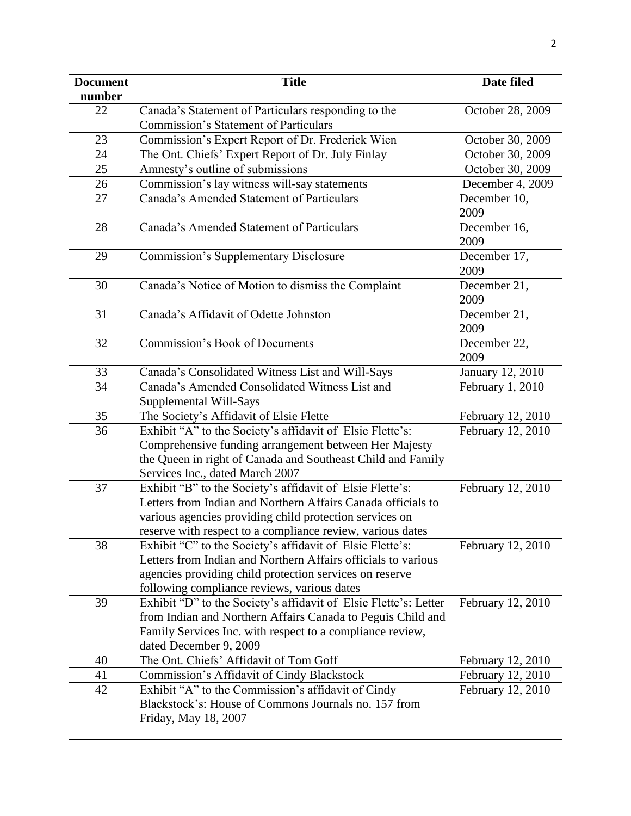| <b>Document</b> | <b>Title</b>                                                                                                            | Date filed           |
|-----------------|-------------------------------------------------------------------------------------------------------------------------|----------------------|
| number          |                                                                                                                         |                      |
| 22              | Canada's Statement of Particulars responding to the                                                                     | October 28, 2009     |
|                 | <b>Commission's Statement of Particulars</b>                                                                            |                      |
| 23              | Commission's Expert Report of Dr. Frederick Wien                                                                        | October 30, 2009     |
| 24              | The Ont. Chiefs' Expert Report of Dr. July Finlay                                                                       | October 30, 2009     |
| 25              | Amnesty's outline of submissions                                                                                        | October 30, 2009     |
| 26              | Commission's lay witness will-say statements                                                                            | December 4, 2009     |
| 27              | Canada's Amended Statement of Particulars                                                                               | December 10,<br>2009 |
| 28              | Canada's Amended Statement of Particulars                                                                               | December 16,<br>2009 |
| 29              | <b>Commission's Supplementary Disclosure</b>                                                                            | December 17,<br>2009 |
| 30              | Canada's Notice of Motion to dismiss the Complaint                                                                      | December 21,<br>2009 |
| 31              | Canada's Affidavit of Odette Johnston                                                                                   | December 21,<br>2009 |
| 32              | Commission's Book of Documents                                                                                          | December 22,<br>2009 |
| 33              | Canada's Consolidated Witness List and Will-Says                                                                        | January 12, 2010     |
| 34              | Canada's Amended Consolidated Witness List and<br>Supplemental Will-Says                                                | February 1, 2010     |
| 35              | The Society's Affidavit of Elsie Flette                                                                                 | February 12, 2010    |
| 36              | Exhibit "A" to the Society's affidavit of Elsie Flette's:                                                               | February 12, 2010    |
|                 | Comprehensive funding arrangement between Her Majesty                                                                   |                      |
|                 | the Queen in right of Canada and Southeast Child and Family                                                             |                      |
|                 | Services Inc., dated March 2007                                                                                         |                      |
| 37              | Exhibit "B" to the Society's affidavit of Elsie Flette's:                                                               | February 12, 2010    |
|                 | Letters from Indian and Northern Affairs Canada officials to                                                            |                      |
|                 | various agencies providing child protection services on                                                                 |                      |
| 38              | reserve with respect to a compliance review, various dates<br>Exhibit "C" to the Society's affidavit of Elsie Flette's: | February 12, 2010    |
|                 | Letters from Indian and Northern Affairs officials to various                                                           |                      |
|                 | agencies providing child protection services on reserve                                                                 |                      |
|                 | following compliance reviews, various dates                                                                             |                      |
| 39              | Exhibit "D" to the Society's affidavit of Elsie Flette's: Letter                                                        | February 12, 2010    |
|                 | from Indian and Northern Affairs Canada to Peguis Child and                                                             |                      |
|                 | Family Services Inc. with respect to a compliance review,                                                               |                      |
|                 | dated December 9, 2009                                                                                                  |                      |
| 40              | The Ont. Chiefs' Affidavit of Tom Goff                                                                                  | February 12, 2010    |
| 41              | Commission's Affidavit of Cindy Blackstock                                                                              | February 12, 2010    |
| 42              | Exhibit "A" to the Commission's affidavit of Cindy                                                                      | February 12, 2010    |
|                 | Blackstock's: House of Commons Journals no. 157 from                                                                    |                      |
|                 | Friday, May 18, 2007                                                                                                    |                      |
|                 |                                                                                                                         |                      |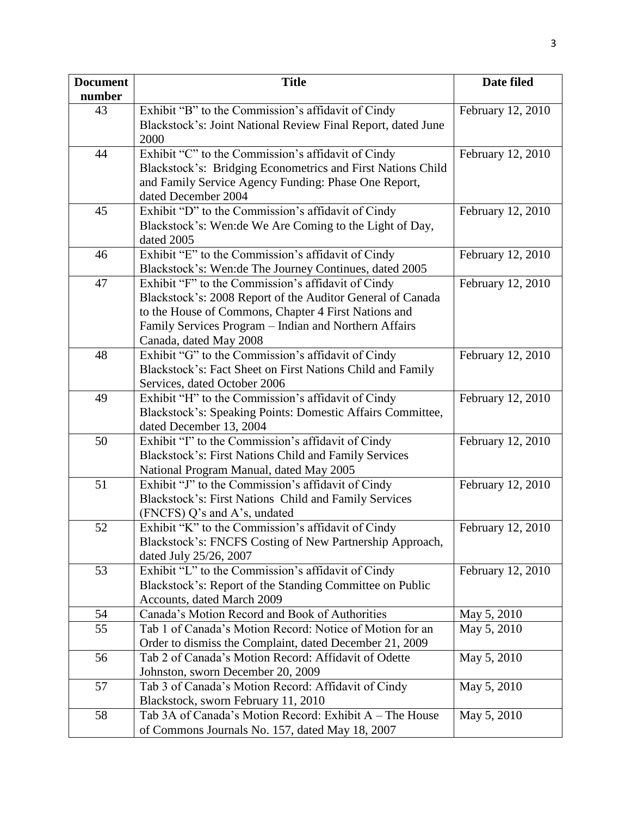| <b>Document</b> | <b>Title</b>                                                                                                     | Date filed        |
|-----------------|------------------------------------------------------------------------------------------------------------------|-------------------|
| number          |                                                                                                                  |                   |
| 43              | Exhibit "B" to the Commission's affidavit of Cindy                                                               | February 12, 2010 |
|                 | Blackstock's: Joint National Review Final Report, dated June                                                     |                   |
|                 | 2000                                                                                                             |                   |
| 44              | Exhibit "C" to the Commission's affidavit of Cindy                                                               | February 12, 2010 |
|                 | Blackstock's: Bridging Econometrics and First Nations Child                                                      |                   |
|                 | and Family Service Agency Funding: Phase One Report,                                                             |                   |
|                 | dated December 2004                                                                                              |                   |
| 45              | Exhibit "D" to the Commission's affidavit of Cindy                                                               | February 12, 2010 |
|                 | Blackstock's: Wen: de We Are Coming to the Light of Day,                                                         |                   |
|                 | dated 2005                                                                                                       |                   |
| 46              | Exhibit "E" to the Commission's affidavit of Cindy                                                               | February 12, 2010 |
|                 | Blackstock's: Wen:de The Journey Continues, dated 2005                                                           |                   |
| 47              | Exhibit "F" to the Commission's affidavit of Cindy                                                               | February 12, 2010 |
|                 | Blackstock's: 2008 Report of the Auditor General of Canada                                                       |                   |
|                 | to the House of Commons, Chapter 4 First Nations and                                                             |                   |
|                 | Family Services Program - Indian and Northern Affairs                                                            |                   |
|                 | Canada, dated May 2008                                                                                           |                   |
| 48              | Exhibit "G" to the Commission's affidavit of Cindy<br>Blackstock's: Fact Sheet on First Nations Child and Family | February 12, 2010 |
|                 |                                                                                                                  |                   |
| 49              | Services, dated October 2006<br>Exhibit "H" to the Commission's affidavit of Cindy                               | February 12, 2010 |
|                 | Blackstock's: Speaking Points: Domestic Affairs Committee,                                                       |                   |
|                 | dated December 13, 2004                                                                                          |                   |
| 50              | Exhibit "I" to the Commission's affidavit of Cindy                                                               | February 12, 2010 |
|                 | Blackstock's: First Nations Child and Family Services                                                            |                   |
|                 | National Program Manual, dated May 2005                                                                          |                   |
| 51              | Exhibit "J" to the Commission's affidavit of Cindy                                                               | February 12, 2010 |
|                 | Blackstock's: First Nations Child and Family Services                                                            |                   |
|                 | (FNCFS) Q's and A's, undated                                                                                     |                   |
| 52              | Exhibit "K" to the Commission's affidavit of Cindy                                                               | February 12, 2010 |
|                 | Blackstock's: FNCFS Costing of New Partnership Approach,                                                         |                   |
|                 | dated July 25/26, 2007                                                                                           |                   |
| 53              | Exhibit "L" to the Commission's affidavit of Cindy                                                               | February 12, 2010 |
|                 | Blackstock's: Report of the Standing Committee on Public                                                         |                   |
|                 | Accounts, dated March 2009                                                                                       |                   |
| 54              | Canada's Motion Record and Book of Authorities                                                                   | May 5, 2010       |
| 55              | Tab 1 of Canada's Motion Record: Notice of Motion for an                                                         | May 5, 2010       |
|                 | Order to dismiss the Complaint, dated December 21, 2009                                                          |                   |
| 56              | Tab 2 of Canada's Motion Record: Affidavit of Odette                                                             | May 5, 2010       |
|                 | Johnston, sworn December 20, 2009                                                                                |                   |
| 57              | Tab 3 of Canada's Motion Record: Affidavit of Cindy                                                              | May 5, 2010       |
|                 | Blackstock, sworn February 11, 2010                                                                              |                   |
| 58              | Tab 3A of Canada's Motion Record: Exhibit A – The House                                                          | May 5, 2010       |
|                 | of Commons Journals No. 157, dated May 18, 2007                                                                  |                   |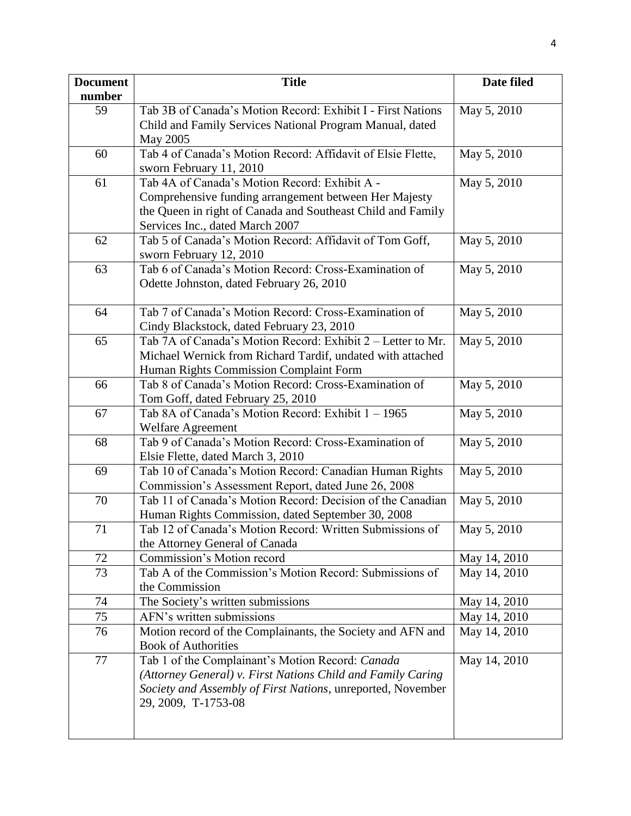| <b>Document</b> | <b>Title</b>                                                | Date filed   |
|-----------------|-------------------------------------------------------------|--------------|
| number          |                                                             |              |
| 59              | Tab 3B of Canada's Motion Record: Exhibit I - First Nations | May 5, 2010  |
|                 | Child and Family Services National Program Manual, dated    |              |
|                 | May 2005                                                    |              |
| 60              | Tab 4 of Canada's Motion Record: Affidavit of Elsie Flette, | May 5, 2010  |
|                 | sworn February 11, 2010                                     |              |
| 61              | Tab 4A of Canada's Motion Record: Exhibit A -               | May 5, 2010  |
|                 | Comprehensive funding arrangement between Her Majesty       |              |
|                 | the Queen in right of Canada and Southeast Child and Family |              |
|                 | Services Inc., dated March 2007                             |              |
| 62              | Tab 5 of Canada's Motion Record: Affidavit of Tom Goff,     | May 5, 2010  |
|                 | sworn February 12, 2010                                     |              |
| 63              | Tab 6 of Canada's Motion Record: Cross-Examination of       | May 5, 2010  |
|                 | Odette Johnston, dated February 26, 2010                    |              |
|                 |                                                             |              |
| 64              | Tab 7 of Canada's Motion Record: Cross-Examination of       | May 5, 2010  |
|                 | Cindy Blackstock, dated February 23, 2010                   |              |
| 65              | Tab 7A of Canada's Motion Record: Exhibit 2 – Letter to Mr. | May 5, 2010  |
|                 | Michael Wernick from Richard Tardif, undated with attached  |              |
|                 | Human Rights Commission Complaint Form                      |              |
| 66              | Tab 8 of Canada's Motion Record: Cross-Examination of       | May 5, 2010  |
|                 | Tom Goff, dated February 25, 2010                           |              |
| 67              | Tab 8A of Canada's Motion Record: Exhibit 1 - 1965          | May 5, 2010  |
|                 | <b>Welfare Agreement</b>                                    |              |
| 68              | Tab 9 of Canada's Motion Record: Cross-Examination of       | May 5, 2010  |
|                 | Elsie Flette, dated March 3, 2010                           |              |
| 69              | Tab 10 of Canada's Motion Record: Canadian Human Rights     | May 5, 2010  |
|                 | Commission's Assessment Report, dated June 26, 2008         |              |
| 70              | Tab 11 of Canada's Motion Record: Decision of the Canadian  | May 5, 2010  |
|                 | Human Rights Commission, dated September 30, 2008           |              |
| 71              | Tab 12 of Canada's Motion Record: Written Submissions of    | May 5, 2010  |
|                 | the Attorney General of Canada                              |              |
| 72              | Commission's Motion record                                  | May 14, 2010 |
| 73              | Tab A of the Commission's Motion Record: Submissions of     | May 14, 2010 |
|                 | the Commission                                              |              |
| 74              | The Society's written submissions                           | May 14, 2010 |
| 75              | AFN's written submissions                                   | May 14, 2010 |
| 76              | Motion record of the Complainants, the Society and AFN and  | May 14, 2010 |
|                 | <b>Book of Authorities</b>                                  |              |
| 77              | Tab 1 of the Complainant's Motion Record: Canada            | May 14, 2010 |
|                 | (Attorney General) v. First Nations Child and Family Caring |              |
|                 | Society and Assembly of First Nations, unreported, November |              |
|                 | 29, 2009, T-1753-08                                         |              |
|                 |                                                             |              |
|                 |                                                             |              |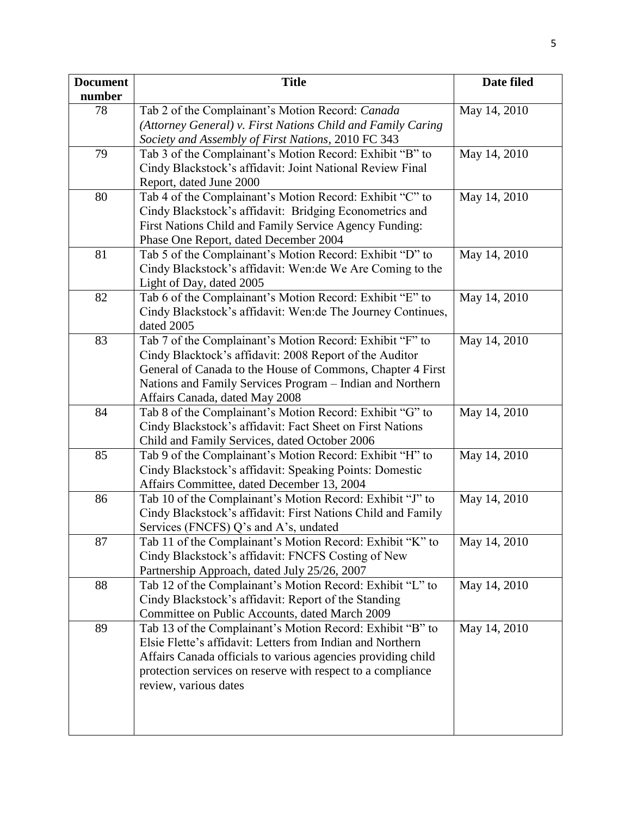| <b>Document</b> | <b>Title</b>                                                                                                            | Date filed   |
|-----------------|-------------------------------------------------------------------------------------------------------------------------|--------------|
| number<br>78    |                                                                                                                         | May 14, 2010 |
|                 | Tab 2 of the Complainant's Motion Record: Canada<br>(Attorney General) v. First Nations Child and Family Caring         |              |
|                 | Society and Assembly of First Nations, 2010 FC 343                                                                      |              |
| 79              | Tab 3 of the Complainant's Motion Record: Exhibit "B" to                                                                | May 14, 2010 |
|                 | Cindy Blackstock's affidavit: Joint National Review Final                                                               |              |
|                 | Report, dated June 2000                                                                                                 |              |
| 80              | Tab 4 of the Complainant's Motion Record: Exhibit "C" to                                                                | May 14, 2010 |
|                 | Cindy Blackstock's affidavit: Bridging Econometrics and                                                                 |              |
|                 | First Nations Child and Family Service Agency Funding:                                                                  |              |
|                 | Phase One Report, dated December 2004                                                                                   |              |
| 81              | Tab 5 of the Complainant's Motion Record: Exhibit "D" to                                                                | May 14, 2010 |
|                 | Cindy Blackstock's affidavit: Wen: de We Are Coming to the                                                              |              |
|                 | Light of Day, dated 2005                                                                                                |              |
| 82              | Tab 6 of the Complainant's Motion Record: Exhibit "E" to                                                                | May 14, 2010 |
|                 | Cindy Blackstock's affidavit: Wen: de The Journey Continues,                                                            |              |
|                 | dated 2005                                                                                                              |              |
| 83              | Tab 7 of the Complainant's Motion Record: Exhibit "F" to                                                                | May 14, 2010 |
|                 | Cindy Blacktock's affidavit: 2008 Report of the Auditor                                                                 |              |
|                 | General of Canada to the House of Commons, Chapter 4 First<br>Nations and Family Services Program - Indian and Northern |              |
|                 | Affairs Canada, dated May 2008                                                                                          |              |
| 84              | Tab 8 of the Complainant's Motion Record: Exhibit "G" to                                                                | May 14, 2010 |
|                 | Cindy Blackstock's affidavit: Fact Sheet on First Nations                                                               |              |
|                 | Child and Family Services, dated October 2006                                                                           |              |
| 85              | Tab 9 of the Complainant's Motion Record: Exhibit "H" to                                                                | May 14, 2010 |
|                 | Cindy Blackstock's affidavit: Speaking Points: Domestic                                                                 |              |
|                 | Affairs Committee, dated December 13, 2004                                                                              |              |
| 86              | Tab 10 of the Complainant's Motion Record: Exhibit "J" to                                                               | May 14, 2010 |
|                 | Cindy Blackstock's affidavit: First Nations Child and Family                                                            |              |
|                 | Services (FNCFS) Q's and A's, undated                                                                                   |              |
| 87              | Tab 11 of the Complainant's Motion Record: Exhibit "K" to                                                               | May 14, 2010 |
|                 | Cindy Blackstock's affidavit: FNCFS Costing of New                                                                      |              |
|                 | Partnership Approach, dated July 25/26, 2007                                                                            |              |
| 88              | Tab 12 of the Complainant's Motion Record: Exhibit "L" to                                                               | May 14, 2010 |
|                 | Cindy Blackstock's affidavit: Report of the Standing                                                                    |              |
| 89              | Committee on Public Accounts, dated March 2009<br>Tab 13 of the Complainant's Motion Record: Exhibit "B" to             | May 14, 2010 |
|                 | Elsie Flette's affidavit: Letters from Indian and Northern                                                              |              |
|                 | Affairs Canada officials to various agencies providing child                                                            |              |
|                 | protection services on reserve with respect to a compliance                                                             |              |
|                 | review, various dates                                                                                                   |              |
|                 |                                                                                                                         |              |
|                 |                                                                                                                         |              |
|                 |                                                                                                                         |              |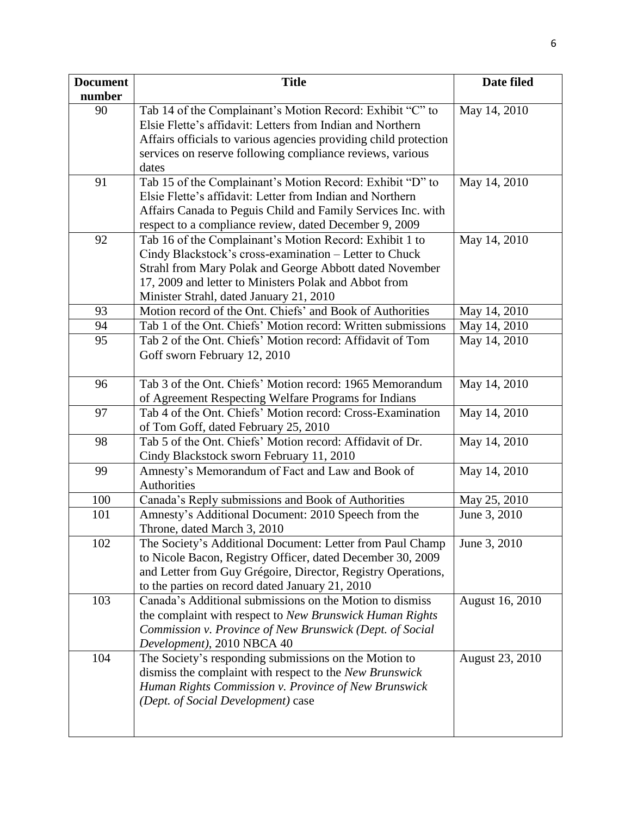| <b>Document</b> | <b>Title</b>                                                                                                           | Date filed      |
|-----------------|------------------------------------------------------------------------------------------------------------------------|-----------------|
| number          |                                                                                                                        |                 |
| 90              | Tab 14 of the Complainant's Motion Record: Exhibit "C" to                                                              | May 14, 2010    |
|                 | Elsie Flette's affidavit: Letters from Indian and Northern                                                             |                 |
|                 | Affairs officials to various agencies providing child protection                                                       |                 |
|                 | services on reserve following compliance reviews, various                                                              |                 |
|                 | dates                                                                                                                  |                 |
| 91              | Tab 15 of the Complainant's Motion Record: Exhibit "D" to<br>Elsie Flette's affidavit: Letter from Indian and Northern | May 14, 2010    |
|                 |                                                                                                                        |                 |
|                 | Affairs Canada to Peguis Child and Family Services Inc. with                                                           |                 |
| 92              | respect to a compliance review, dated December 9, 2009                                                                 |                 |
|                 | Tab 16 of the Complainant's Motion Record: Exhibit 1 to                                                                | May 14, 2010    |
|                 | Cindy Blackstock's cross-examination - Letter to Chuck                                                                 |                 |
|                 | Strahl from Mary Polak and George Abbott dated November<br>17, 2009 and letter to Ministers Polak and Abbot from       |                 |
|                 | Minister Strahl, dated January 21, 2010                                                                                |                 |
| 93              | Motion record of the Ont. Chiefs' and Book of Authorities                                                              | May 14, 2010    |
| 94              | Tab 1 of the Ont. Chiefs' Motion record: Written submissions                                                           | May 14, 2010    |
| 95              | Tab 2 of the Ont. Chiefs' Motion record: Affidavit of Tom                                                              | May 14, 2010    |
|                 | Goff sworn February 12, 2010                                                                                           |                 |
|                 |                                                                                                                        |                 |
| 96              | Tab 3 of the Ont. Chiefs' Motion record: 1965 Memorandum                                                               | May 14, 2010    |
|                 | of Agreement Respecting Welfare Programs for Indians                                                                   |                 |
| 97              | Tab 4 of the Ont. Chiefs' Motion record: Cross-Examination                                                             | May 14, 2010    |
|                 | of Tom Goff, dated February 25, 2010                                                                                   |                 |
| 98              | Tab 5 of the Ont. Chiefs' Motion record: Affidavit of Dr.                                                              | May 14, 2010    |
|                 | Cindy Blackstock sworn February 11, 2010                                                                               |                 |
| 99              | Amnesty's Memorandum of Fact and Law and Book of                                                                       | May 14, 2010    |
|                 | Authorities                                                                                                            |                 |
| 100             | Canada's Reply submissions and Book of Authorities                                                                     | May 25, 2010    |
| 101             | Amnesty's Additional Document: 2010 Speech from the                                                                    | June 3, 2010    |
|                 | Throne, dated March 3, 2010                                                                                            |                 |
| 102             | The Society's Additional Document: Letter from Paul Champ                                                              | June 3, 2010    |
|                 | to Nicole Bacon, Registry Officer, dated December 30, 2009                                                             |                 |
|                 | and Letter from Guy Grégoire, Director, Registry Operations,                                                           |                 |
|                 | to the parties on record dated January 21, 2010                                                                        |                 |
| 103             | Canada's Additional submissions on the Motion to dismiss                                                               | August 16, 2010 |
|                 | the complaint with respect to New Brunswick Human Rights                                                               |                 |
|                 | Commission v. Province of New Brunswick (Dept. of Social                                                               |                 |
|                 | Development), 2010 NBCA 40                                                                                             |                 |
| 104             | The Society's responding submissions on the Motion to                                                                  | August 23, 2010 |
|                 | dismiss the complaint with respect to the New Brunswick                                                                |                 |
|                 | Human Rights Commission v. Province of New Brunswick                                                                   |                 |
|                 | (Dept. of Social Development) case                                                                                     |                 |
|                 |                                                                                                                        |                 |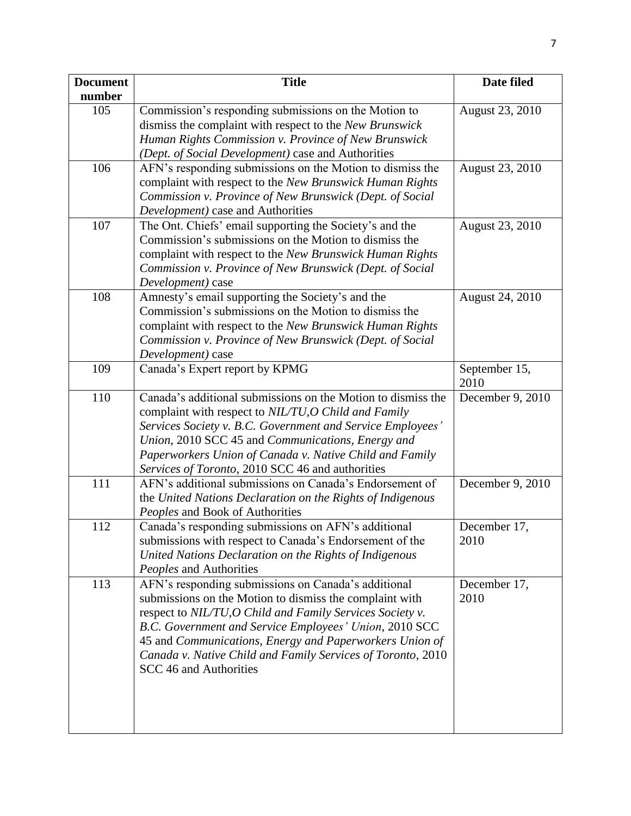| <b>Document</b> | <b>Title</b>                                                                                                                                                                                                                                                                                                                                                                              | Date filed            |
|-----------------|-------------------------------------------------------------------------------------------------------------------------------------------------------------------------------------------------------------------------------------------------------------------------------------------------------------------------------------------------------------------------------------------|-----------------------|
| number          |                                                                                                                                                                                                                                                                                                                                                                                           |                       |
| 105             | Commission's responding submissions on the Motion to<br>dismiss the complaint with respect to the New Brunswick<br>Human Rights Commission v. Province of New Brunswick<br>(Dept. of Social Development) case and Authorities                                                                                                                                                             | August 23, 2010       |
| 106             | AFN's responding submissions on the Motion to dismiss the<br>complaint with respect to the New Brunswick Human Rights<br>Commission v. Province of New Brunswick (Dept. of Social<br>Development) case and Authorities                                                                                                                                                                    | August 23, 2010       |
| 107             | The Ont. Chiefs' email supporting the Society's and the<br>Commission's submissions on the Motion to dismiss the<br>complaint with respect to the New Brunswick Human Rights<br>Commission v. Province of New Brunswick (Dept. of Social<br>Development) case                                                                                                                             | August 23, 2010       |
| 108             | Amnesty's email supporting the Society's and the<br>Commission's submissions on the Motion to dismiss the<br>complaint with respect to the New Brunswick Human Rights<br>Commission v. Province of New Brunswick (Dept. of Social<br>Development) case                                                                                                                                    | August 24, 2010       |
| 109             | Canada's Expert report by KPMG                                                                                                                                                                                                                                                                                                                                                            | September 15,<br>2010 |
| 110             | Canada's additional submissions on the Motion to dismiss the<br>complaint with respect to NIL/TU, O Child and Family<br>Services Society v. B.C. Government and Service Employees'<br>Union, 2010 SCC 45 and Communications, Energy and<br>Paperworkers Union of Canada v. Native Child and Family<br>Services of Toronto, 2010 SCC 46 and authorities                                    | December 9, 2010      |
| 111             | AFN's additional submissions on Canada's Endorsement of<br>the United Nations Declaration on the Rights of Indigenous<br>Peoples and Book of Authorities                                                                                                                                                                                                                                  | December 9, 2010      |
| 112             | Canada's responding submissions on AFN's additional<br>submissions with respect to Canada's Endorsement of the<br>United Nations Declaration on the Rights of Indigenous<br>Peoples and Authorities                                                                                                                                                                                       | December 17,<br>2010  |
| 113             | AFN's responding submissions on Canada's additional<br>submissions on the Motion to dismiss the complaint with<br>respect to NIL/TU, O Child and Family Services Society v.<br>B.C. Government and Service Employees' Union, 2010 SCC<br>45 and Communications, Energy and Paperworkers Union of<br>Canada v. Native Child and Family Services of Toronto, 2010<br>SCC 46 and Authorities | December 17,<br>2010  |